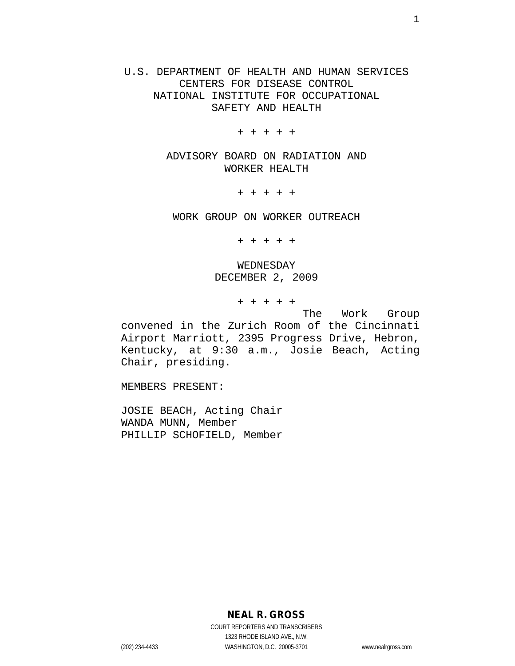U.S. DEPARTMENT OF HEALTH AND HUMAN SERVICES CENTERS FOR DISEASE CONTROL NATIONAL INSTITUTE FOR OCCUPATIONAL SAFETY AND HEALTH

+ + + + +

ADVISORY BOARD ON RADIATION AND WORKER HEALTH

+ + + + +

WORK GROUP ON WORKER OUTREACH

+ + + + +

WEDNESDAY DECEMBER 2, 2009

+ + + + +

The Work Group convened in the Zurich Room of the Cincinnati Airport Marriott, 2395 Progress Drive, Hebron, Kentucky, at 9:30 a.m., Josie Beach, Acting Chair, presiding.

MEMBERS PRESENT:

JOSIE BEACH, Acting Chair WANDA MUNN, Member PHILLIP SCHOFIELD, Member

**NEAL R. GROSS**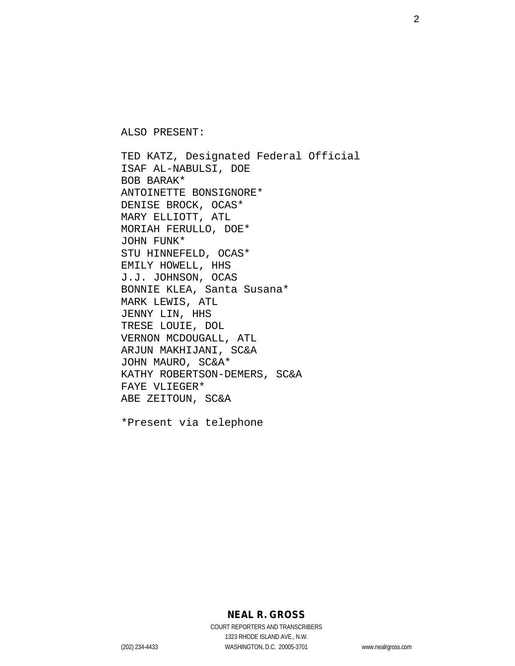ALSO PRESENT:

TED KATZ, Designated Federal Official ISAF AL-NABULSI, DOE BOB BARAK\* ANTOINETTE BONSIGNORE\* DENISE BROCK, OCAS\* MARY ELLIOTT, ATL MORIAH FERULLO, DOE\* JOHN FUNK\* STU HINNEFELD, OCAS\* EMILY HOWELL, HHS J.J. JOHNSON, OCAS BONNIE KLEA, Santa Susana\* MARK LEWIS, ATL JENNY LIN, HHS TRESE LOUIE, DOL VERNON MCDOUGALL, ATL ARJUN MAKHIJANI, SC&A JOHN MAURO, SC&A\* KATHY ROBERTSON-DEMERS, SC&A FAYE VLIEGER\* ABE ZEITOUN, SC&A

\*Present via telephone

# **NEAL R. GROSS**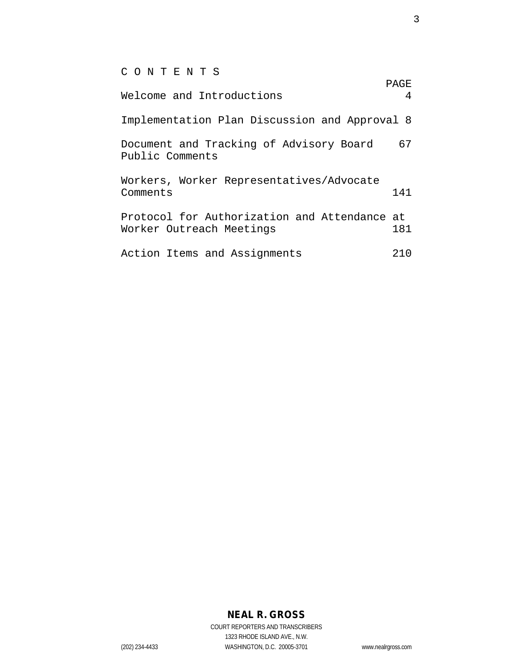C O N T E N T S

| Welcome and Introductions                                                | PAGE<br>4 |
|--------------------------------------------------------------------------|-----------|
| Implementation Plan Discussion and Approval 8                            |           |
| Document and Tracking of Advisory Board<br>Public Comments               | 67        |
| Workers, Worker Representatives/Advocate<br>Comments                     | 141       |
| Protocol for Authorization and Attendance at<br>Worker Outreach Meetings | 181       |
| Action Items and Assignments                                             | 21 O      |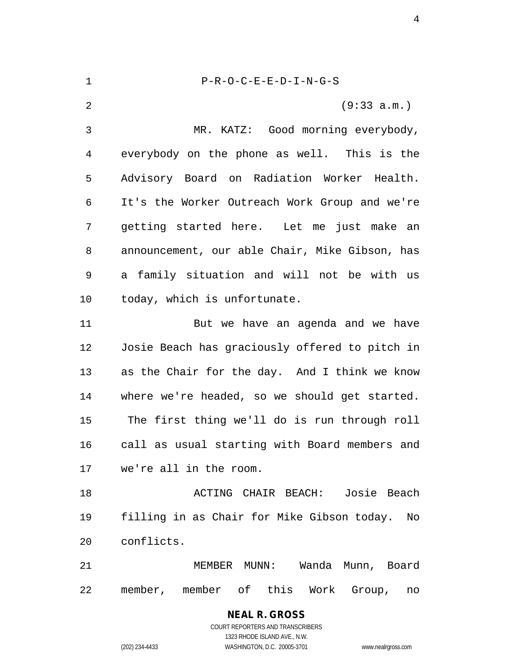P-R-O-C-E-E-D-I-N-G-S (9:33 a.m.) MR. KATZ: Good morning everybody, everybody on the phone as well. This is the Advisory Board on Radiation Worker Health. It's the Worker Outreach Work Group and we're getting started here. Let me just make an announcement, our able Chair, Mike Gibson, has a family situation and will not be with us today, which is unfortunate. But we have an agenda and we have Josie Beach has graciously offered to pitch in as the Chair for the day. And I think we know where we're headed, so we should get started. The first thing we'll do is run through roll call as usual starting with Board members and we're all in the room. ACTING CHAIR BEACH: Josie Beach filling in as Chair for Mike Gibson today. No conflicts. MEMBER MUNN: Wanda Munn, Board member, member of this Work Group, no

> COURT REPORTERS AND TRANSCRIBERS 1323 RHODE ISLAND AVE., N.W. (202) 234-4433 WASHINGTON, D.C. 20005-3701 www.nealrgross.com

**NEAL R. GROSS**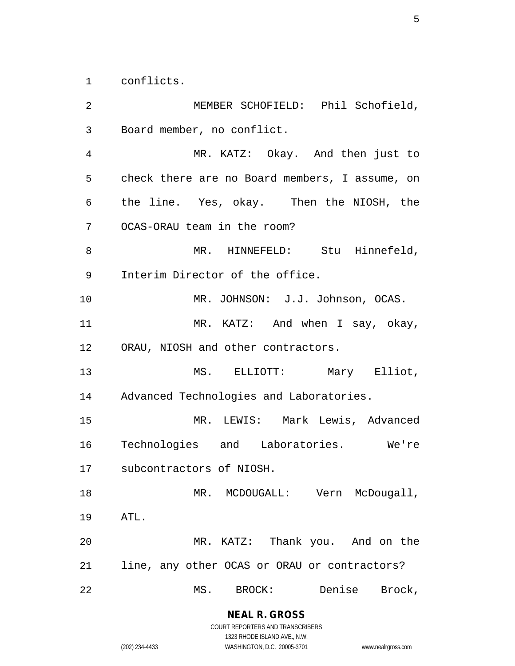conflicts.

 MEMBER SCHOFIELD: Phil Schofield, Board member, no conflict. MR. KATZ: Okay. And then just to check there are no Board members, I assume, on the line. Yes, okay. Then the NIOSH, the OCAS-ORAU team in the room? 8 MR. HINNEFELD: Stu Hinnefeld, Interim Director of the office. MR. JOHNSON: J.J. Johnson, OCAS. 11 MR. KATZ: And when I say, okay, ORAU, NIOSH and other contractors. MS. ELLIOTT: Mary Elliot, Advanced Technologies and Laboratories. MR. LEWIS: Mark Lewis, Advanced Technologies and Laboratories. We're subcontractors of NIOSH. 18 MR. MCDOUGALL: Vern McDougall, ATL. MR. KATZ: Thank you. And on the line, any other OCAS or ORAU or contractors? MS. BROCK: Denise Brock,

> **NEAL R. GROSS** COURT REPORTERS AND TRANSCRIBERS

1323 RHODE ISLAND AVE., N.W. (202) 234-4433 WASHINGTON, D.C. 20005-3701 www.nealrgross.com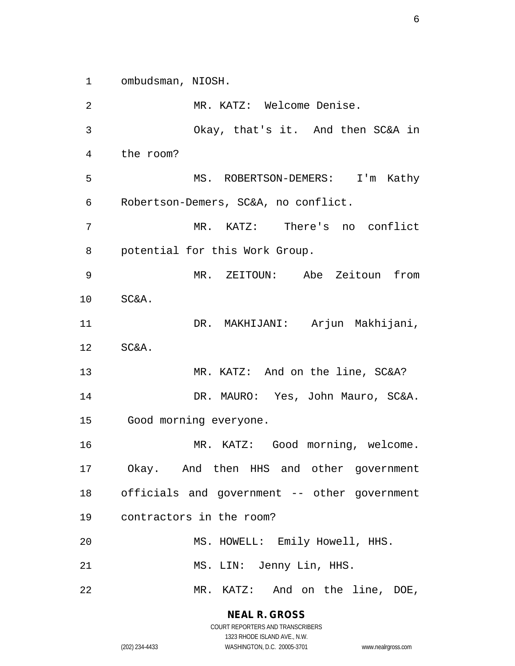ombudsman, NIOSH.

 MR. KATZ: Welcome Denise. Okay, that's it. And then SC&A in the room? MS. ROBERTSON-DEMERS: I'm Kathy Robertson-Demers, SC&A, no conflict. MR. KATZ: There's no conflict potential for this Work Group. MR. ZEITOUN: Abe Zeitoun from SC&A. DR. MAKHIJANI: Arjun Makhijani, SC&A. MR. KATZ: And on the line, SC&A? DR. MAURO: Yes, John Mauro, SC&A. Good morning everyone. MR. KATZ: Good morning, welcome. Okay. And then HHS and other government officials and government -- other government contractors in the room? MS. HOWELL: Emily Howell, HHS. MS. LIN: Jenny Lin, HHS. MR. KATZ: And on the line, DOE,

> **NEAL R. GROSS** COURT REPORTERS AND TRANSCRIBERS

> > 1323 RHODE ISLAND AVE., N.W.

(202) 234-4433 WASHINGTON, D.C. 20005-3701 www.nealrgross.com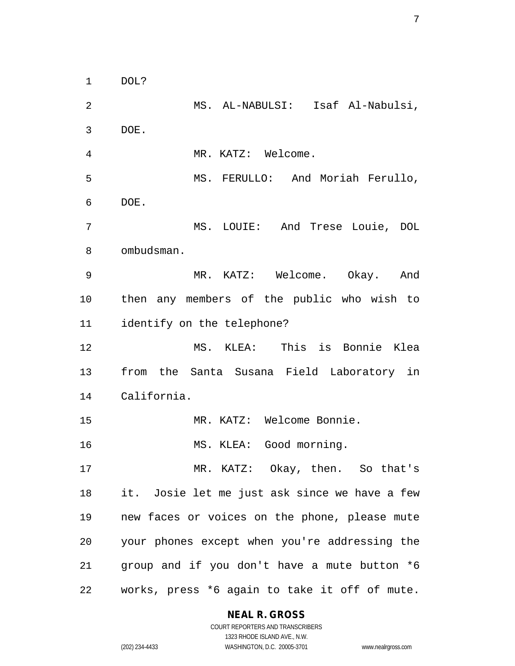DOL?

 MS. AL-NABULSI: Isaf Al-Nabulsi, DOE. MR. KATZ: Welcome. MS. FERULLO: And Moriah Ferullo, DOE. MS. LOUIE: And Trese Louie, DOL ombudsman. MR. KATZ: Welcome. Okay. And then any members of the public who wish to identify on the telephone? MS. KLEA: This is Bonnie Klea from the Santa Susana Field Laboratory in California. MR. KATZ: Welcome Bonnie. MS. KLEA: Good morning. MR. KATZ: Okay, then. So that's it. Josie let me just ask since we have a few new faces or voices on the phone, please mute your phones except when you're addressing the group and if you don't have a mute button \*6 works, press \*6 again to take it off of mute.

#### **NEAL R. GROSS**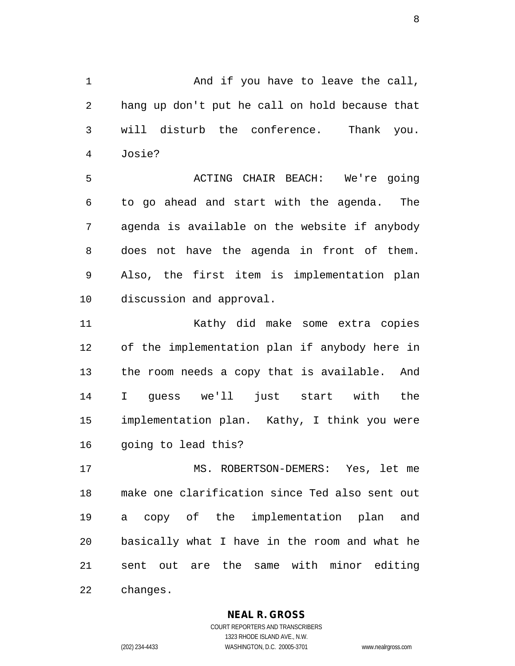1 And if you have to leave the call, hang up don't put he call on hold because that will disturb the conference. Thank you. Josie?

 ACTING CHAIR BEACH: We're going to go ahead and start with the agenda. The agenda is available on the website if anybody does not have the agenda in front of them. Also, the first item is implementation plan discussion and approval.

 Kathy did make some extra copies of the implementation plan if anybody here in the room needs a copy that is available. And I guess we'll just start with the implementation plan. Kathy, I think you were going to lead this?

 MS. ROBERTSON-DEMERS: Yes, let me make one clarification since Ted also sent out a copy of the implementation plan and basically what I have in the room and what he sent out are the same with minor editing changes.

**NEAL R. GROSS**

COURT REPORTERS AND TRANSCRIBERS 1323 RHODE ISLAND AVE., N.W. (202) 234-4433 WASHINGTON, D.C. 20005-3701 www.nealrgross.com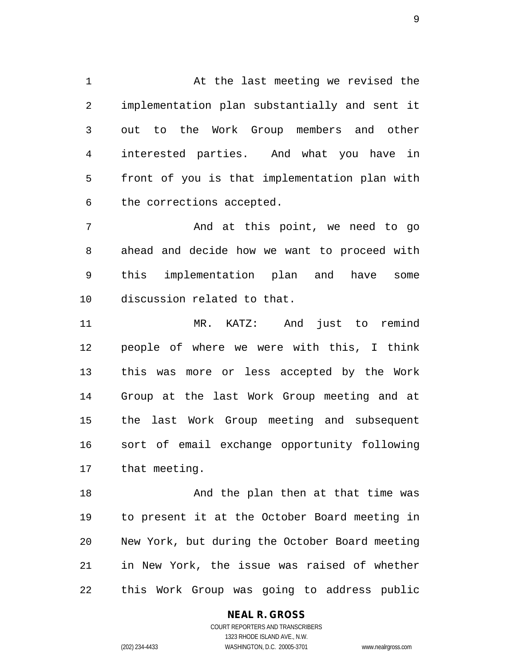1 At the last meeting we revised the implementation plan substantially and sent it out to the Work Group members and other interested parties. And what you have in front of you is that implementation plan with the corrections accepted.

 And at this point, we need to go ahead and decide how we want to proceed with this implementation plan and have some discussion related to that.

 MR. KATZ: And just to remind people of where we were with this, I think this was more or less accepted by the Work Group at the last Work Group meeting and at the last Work Group meeting and subsequent sort of email exchange opportunity following that meeting.

18 And the plan then at that time was to present it at the October Board meeting in New York, but during the October Board meeting in New York, the issue was raised of whether this Work Group was going to address public

# **NEAL R. GROSS**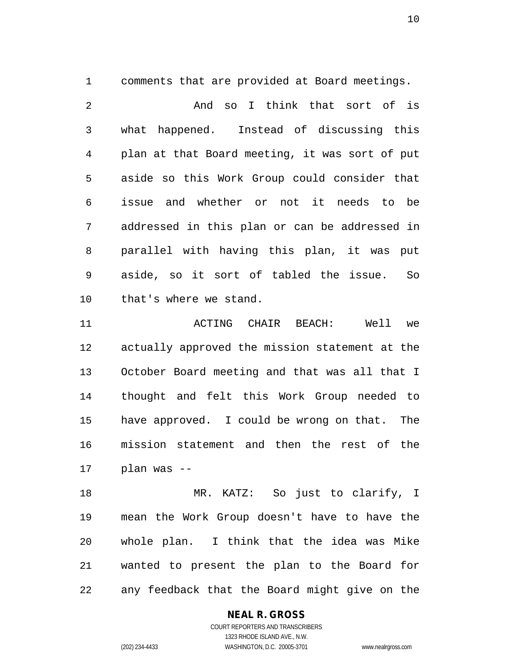comments that are provided at Board meetings.

 And so I think that sort of is what happened. Instead of discussing this plan at that Board meeting, it was sort of put aside so this Work Group could consider that issue and whether or not it needs to be addressed in this plan or can be addressed in parallel with having this plan, it was put aside, so it sort of tabled the issue. So that's where we stand.

 ACTING CHAIR BEACH: Well we actually approved the mission statement at the October Board meeting and that was all that I thought and felt this Work Group needed to have approved. I could be wrong on that. The mission statement and then the rest of the plan was --

 MR. KATZ: So just to clarify, I mean the Work Group doesn't have to have the whole plan. I think that the idea was Mike wanted to present the plan to the Board for any feedback that the Board might give on the

# **NEAL R. GROSS**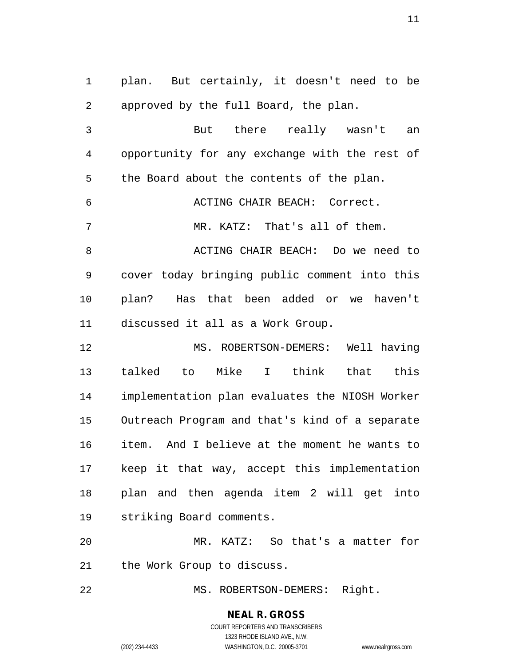plan. But certainly, it doesn't need to be approved by the full Board, the plan.

 But there really wasn't an opportunity for any exchange with the rest of 5 the Board about the contents of the plan. ACTING CHAIR BEACH: Correct. MR. KATZ: That's all of them. 8 ACTING CHAIR BEACH: Do we need to cover today bringing public comment into this plan? Has that been added or we haven't discussed it all as a Work Group. MS. ROBERTSON-DEMERS: Well having

 talked to Mike I think that this implementation plan evaluates the NIOSH Worker Outreach Program and that's kind of a separate item. And I believe at the moment he wants to keep it that way, accept this implementation plan and then agenda item 2 will get into striking Board comments.

 MR. KATZ: So that's a matter for the Work Group to discuss.

22 MS. ROBERTSON-DEMERS: Right.

**NEAL R. GROSS** COURT REPORTERS AND TRANSCRIBERS

1323 RHODE ISLAND AVE., N.W. (202) 234-4433 WASHINGTON, D.C. 20005-3701 www.nealrgross.com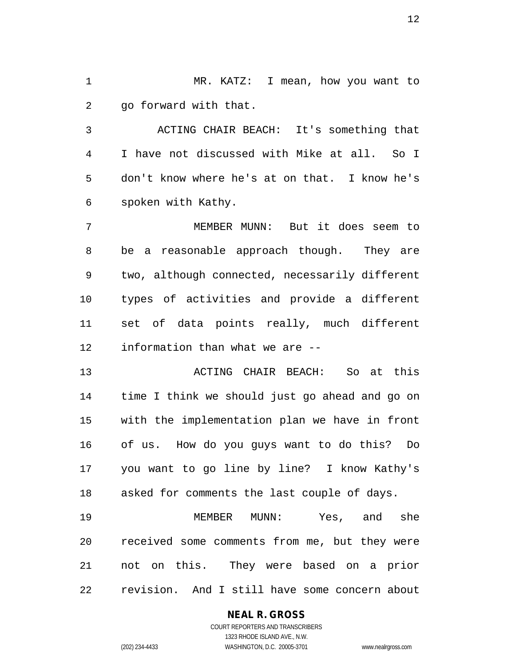MR. KATZ: I mean, how you want to go forward with that.

 ACTING CHAIR BEACH: It's something that I have not discussed with Mike at all. So I don't know where he's at on that. I know he's spoken with Kathy.

 MEMBER MUNN: But it does seem to be a reasonable approach though. They are two, although connected, necessarily different types of activities and provide a different set of data points really, much different information than what we are --

 ACTING CHAIR BEACH: So at this time I think we should just go ahead and go on with the implementation plan we have in front of us. How do you guys want to do this? Do you want to go line by line? I know Kathy's asked for comments the last couple of days.

 MEMBER MUNN: Yes, and she received some comments from me, but they were not on this. They were based on a prior revision. And I still have some concern about

#### **NEAL R. GROSS**

COURT REPORTERS AND TRANSCRIBERS 1323 RHODE ISLAND AVE., N.W. (202) 234-4433 WASHINGTON, D.C. 20005-3701 www.nealrgross.com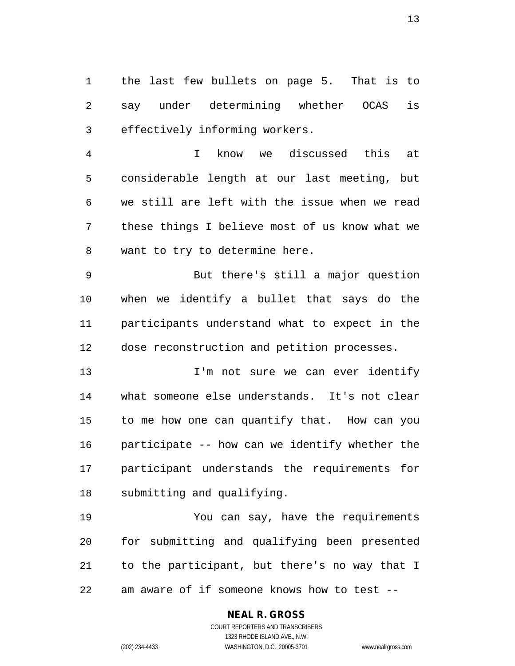the last few bullets on page 5. That is to say under determining whether OCAS is effectively informing workers.

 I know we discussed this at considerable length at our last meeting, but we still are left with the issue when we read these things I believe most of us know what we want to try to determine here.

 But there's still a major question when we identify a bullet that says do the participants understand what to expect in the dose reconstruction and petition processes.

13 13 I'm not sure we can ever identify what someone else understands. It's not clear to me how one can quantify that. How can you participate -- how can we identify whether the participant understands the requirements for submitting and qualifying.

 You can say, have the requirements for submitting and qualifying been presented to the participant, but there's no way that I am aware of if someone knows how to test --

# **NEAL R. GROSS**

COURT REPORTERS AND TRANSCRIBERS 1323 RHODE ISLAND AVE., N.W. (202) 234-4433 WASHINGTON, D.C. 20005-3701 www.nealrgross.com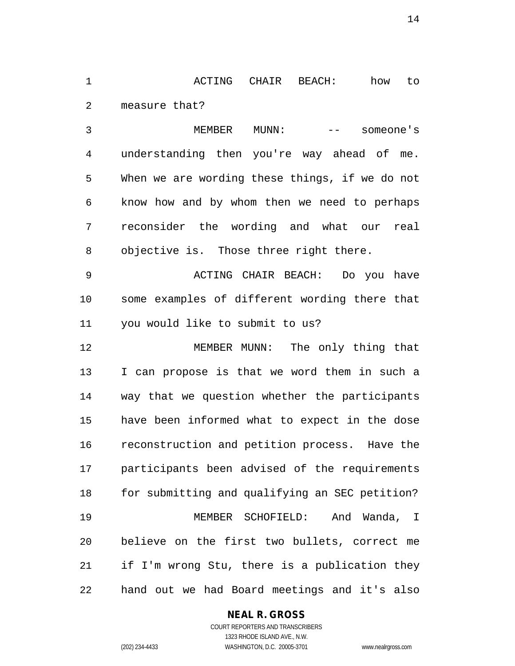ACTING CHAIR BEACH: how to measure that?

 MEMBER MUNN: -- someone's understanding then you're way ahead of me. When we are wording these things, if we do not know how and by whom then we need to perhaps reconsider the wording and what our real objective is. Those three right there.

 ACTING CHAIR BEACH: Do you have some examples of different wording there that you would like to submit to us?

 MEMBER MUNN: The only thing that I can propose is that we word them in such a way that we question whether the participants have been informed what to expect in the dose reconstruction and petition process. Have the participants been advised of the requirements for submitting and qualifying an SEC petition? MEMBER SCHOFIELD: And Wanda, I believe on the first two bullets, correct me if I'm wrong Stu, there is a publication they hand out we had Board meetings and it's also

# **NEAL R. GROSS**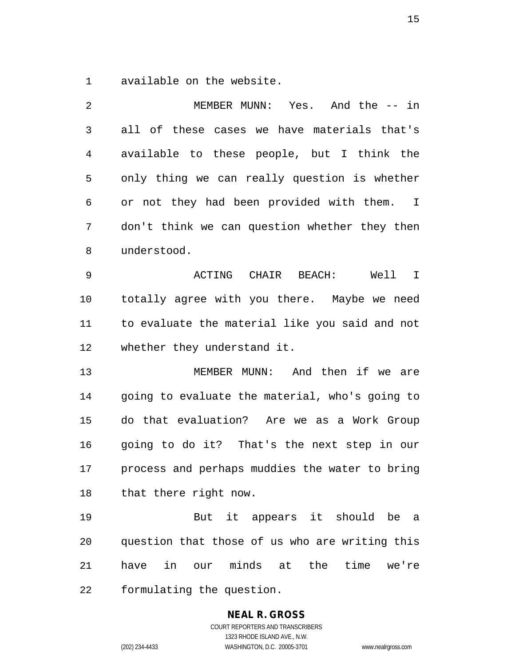available on the website.

 MEMBER MUNN: Yes. And the -- in all of these cases we have materials that's available to these people, but I think the only thing we can really question is whether or not they had been provided with them. I don't think we can question whether they then understood. ACTING CHAIR BEACH: Well I totally agree with you there. Maybe we need to evaluate the material like you said and not whether they understand it. MEMBER MUNN: And then if we are going to evaluate the material, who's going to do that evaluation? Are we as a Work Group going to do it? That's the next step in our process and perhaps muddies the water to bring that there right now. But it appears it should be a question that those of us who are writing this have in our minds at the time we're formulating the question.

> **NEAL R. GROSS** COURT REPORTERS AND TRANSCRIBERS 1323 RHODE ISLAND AVE., N.W.

(202) 234-4433 WASHINGTON, D.C. 20005-3701 www.nealrgross.com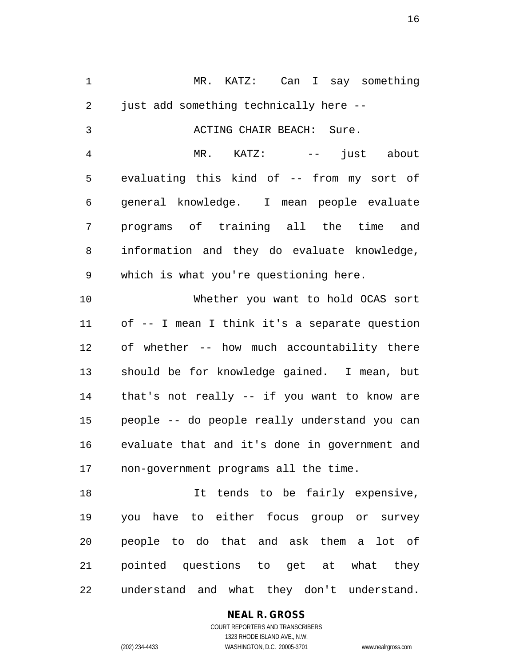MR. KATZ: Can I say something just add something technically here -- ACTING CHAIR BEACH: Sure. MR. KATZ: -- just about evaluating this kind of -- from my sort of general knowledge. I mean people evaluate programs of training all the time and information and they do evaluate knowledge, which is what you're questioning here. Whether you want to hold OCAS sort

 of -- I mean I think it's a separate question of whether -- how much accountability there should be for knowledge gained. I mean, but that's not really -- if you want to know are people -- do people really understand you can evaluate that and it's done in government and non-government programs all the time.

18 18 It tends to be fairly expensive, you have to either focus group or survey people to do that and ask them a lot of pointed questions to get at what they understand and what they don't understand.

# **NEAL R. GROSS** COURT REPORTERS AND TRANSCRIBERS

1323 RHODE ISLAND AVE., N.W.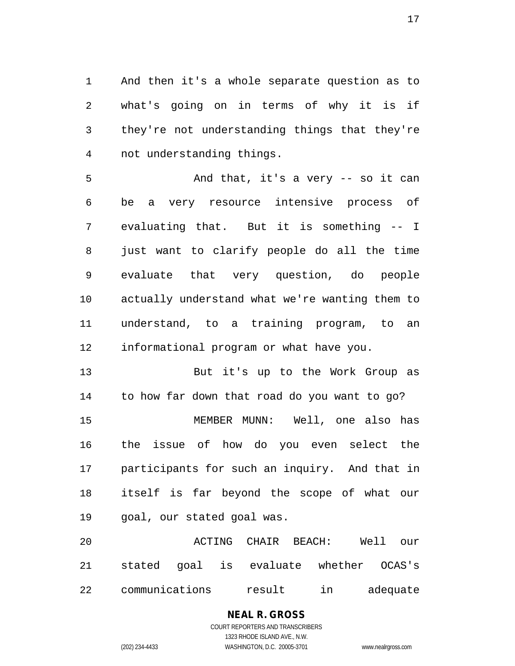And then it's a whole separate question as to what's going on in terms of why it is if they're not understanding things that they're not understanding things.

5 And that, it's a very -- so it can be a very resource intensive process of evaluating that. But it is something -- I just want to clarify people do all the time evaluate that very question, do people actually understand what we're wanting them to understand, to a training program, to an informational program or what have you.

 But it's up to the Work Group as to how far down that road do you want to go? MEMBER MUNN: Well, one also has the issue of how do you even select the participants for such an inquiry. And that in itself is far beyond the scope of what our goal, our stated goal was.

 ACTING CHAIR BEACH: Well our stated goal is evaluate whether OCAS's communications result in adequate

# **NEAL R. GROSS**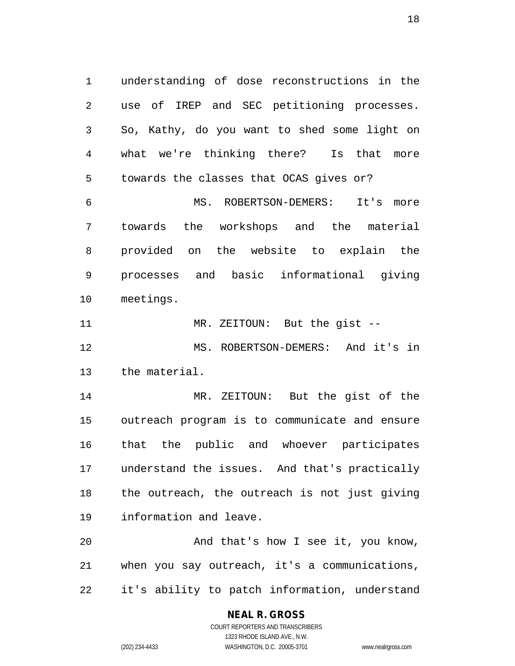understanding of dose reconstructions in the use of IREP and SEC petitioning processes. So, Kathy, do you want to shed some light on what we're thinking there? Is that more towards the classes that OCAS gives or?

 MS. ROBERTSON-DEMERS: It's more towards the workshops and the material provided on the website to explain the processes and basic informational giving meetings.

 MR. ZEITOUN: But the gist -- MS. ROBERTSON-DEMERS: And it's in the material.

 MR. ZEITOUN: But the gist of the outreach program is to communicate and ensure that the public and whoever participates understand the issues. And that's practically the outreach, the outreach is not just giving information and leave.

20 And that's how I see it, you know, when you say outreach, it's a communications, it's ability to patch information, understand

# **NEAL R. GROSS**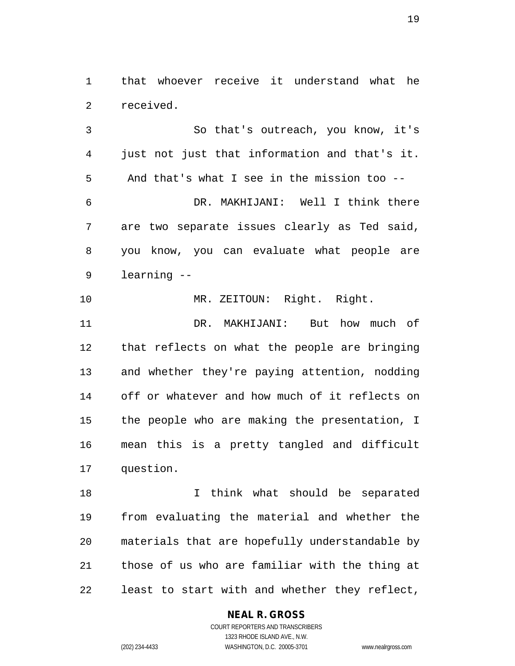that whoever receive it understand what he received.

 So that's outreach, you know, it's just not just that information and that's it. And that's what I see in the mission too -- DR. MAKHIJANI: Well I think there are two separate issues clearly as Ted said, you know, you can evaluate what people are learning --

 MR. ZEITOUN: Right. Right. DR. MAKHIJANI: But how much of that reflects on what the people are bringing and whether they're paying attention, nodding off or whatever and how much of it reflects on the people who are making the presentation, I mean this is a pretty tangled and difficult question.

 I think what should be separated from evaluating the material and whether the materials that are hopefully understandable by those of us who are familiar with the thing at least to start with and whether they reflect,

# **NEAL R. GROSS**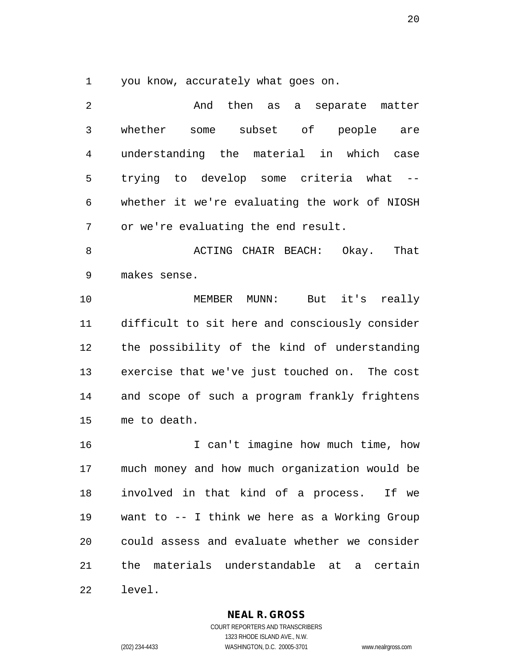you know, accurately what goes on.

2 And then as a separate matter whether some subset of people are understanding the material in which case trying to develop some criteria what -- whether it we're evaluating the work of NIOSH or we're evaluating the end result. ACTING CHAIR BEACH: Okay. That makes sense. MEMBER MUNN: But it's really difficult to sit here and consciously consider the possibility of the kind of understanding

 exercise that we've just touched on. The cost and scope of such a program frankly frightens me to death.

 I can't imagine how much time, how much money and how much organization would be involved in that kind of a process. If we want to -- I think we here as a Working Group could assess and evaluate whether we consider the materials understandable at a certain level.

# **NEAL R. GROSS**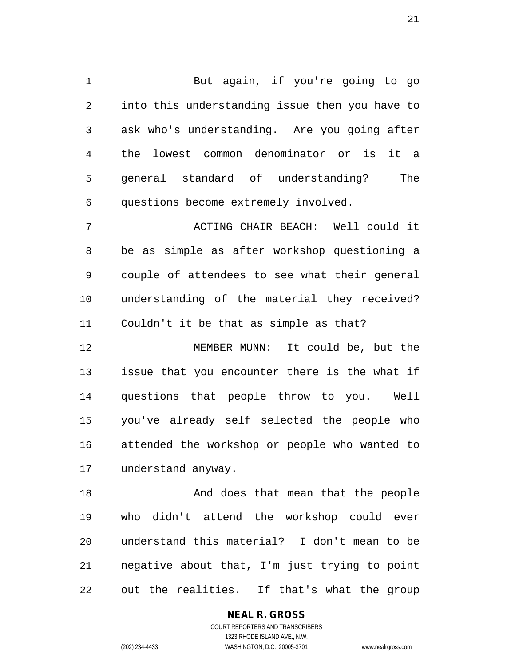But again, if you're going to go into this understanding issue then you have to ask who's understanding. Are you going after the lowest common denominator or is it a general standard of understanding? The questions become extremely involved.

 ACTING CHAIR BEACH: Well could it be as simple as after workshop questioning a couple of attendees to see what their general understanding of the material they received? Couldn't it be that as simple as that?

 MEMBER MUNN: It could be, but the issue that you encounter there is the what if questions that people throw to you. Well you've already self selected the people who attended the workshop or people who wanted to understand anyway.

18 And does that mean that the people who didn't attend the workshop could ever understand this material? I don't mean to be negative about that, I'm just trying to point out the realities. If that's what the group

# **NEAL R. GROSS**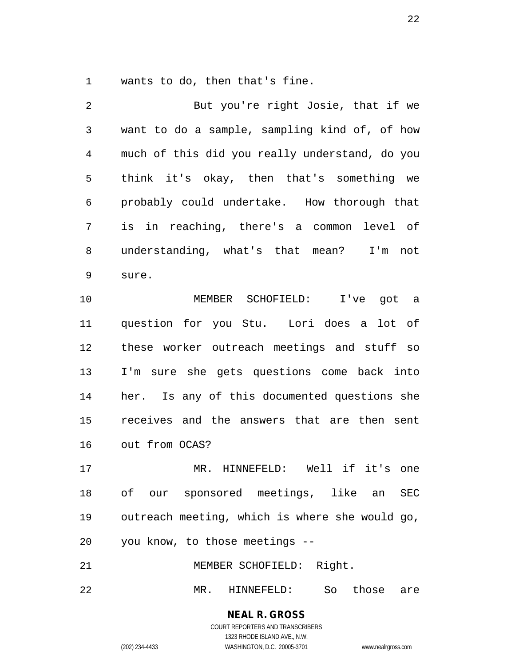wants to do, then that's fine.

 But you're right Josie, that if we want to do a sample, sampling kind of, of how much of this did you really understand, do you think it's okay, then that's something we probably could undertake. How thorough that is in reaching, there's a common level of understanding, what's that mean? I'm not sure. MEMBER SCHOFIELD: I've got a question for you Stu. Lori does a lot of these worker outreach meetings and stuff so I'm sure she gets questions come back into her. Is any of this documented questions she receives and the answers that are then sent out from OCAS? MR. HINNEFELD: Well if it's one of our sponsored meetings, like an SEC outreach meeting, which is where she would go, you know, to those meetings -- MEMBER SCHOFIELD: Right.

MR. HINNEFELD: So those are

**NEAL R. GROSS** COURT REPORTERS AND TRANSCRIBERS 1323 RHODE ISLAND AVE., N.W.

(202) 234-4433 WASHINGTON, D.C. 20005-3701 www.nealrgross.com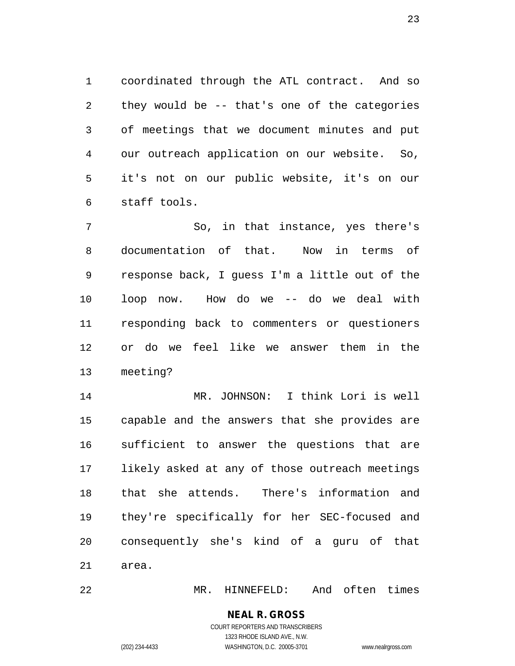coordinated through the ATL contract. And so they would be -- that's one of the categories of meetings that we document minutes and put our outreach application on our website. So, it's not on our public website, it's on our staff tools.

 So, in that instance, yes there's documentation of that. Now in terms of response back, I guess I'm a little out of the loop now. How do we -- do we deal with responding back to commenters or questioners or do we feel like we answer them in the meeting?

 MR. JOHNSON: I think Lori is well capable and the answers that she provides are sufficient to answer the questions that are likely asked at any of those outreach meetings that she attends. There's information and they're specifically for her SEC-focused and consequently she's kind of a guru of that area.

MR. HINNEFELD: And often times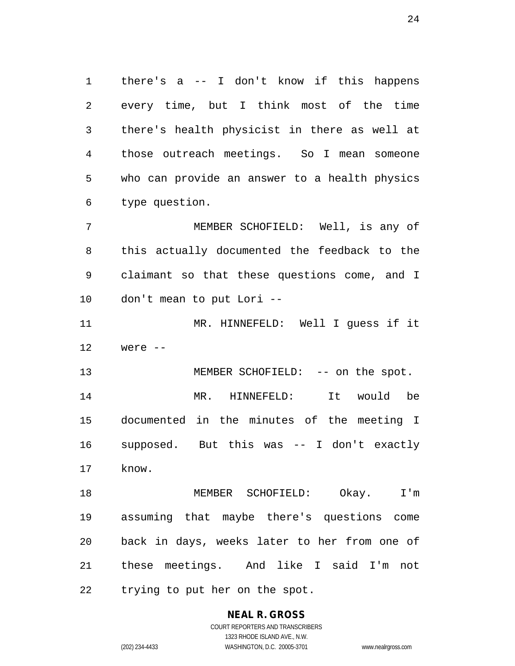there's a -- I don't know if this happens every time, but I think most of the time there's health physicist in there as well at those outreach meetings. So I mean someone who can provide an answer to a health physics type question.

 MEMBER SCHOFIELD: Well, is any of this actually documented the feedback to the claimant so that these questions come, and I don't mean to put Lori --

 MR. HINNEFELD: Well I guess if it were --

13 MEMBER SCHOFIELD: -- on the spot. MR. HINNEFELD: It would be documented in the minutes of the meeting I supposed. But this was -- I don't exactly know.

 MEMBER SCHOFIELD: Okay. I'm assuming that maybe there's questions come back in days, weeks later to her from one of these meetings. And like I said I'm not trying to put her on the spot.

# **NEAL R. GROSS**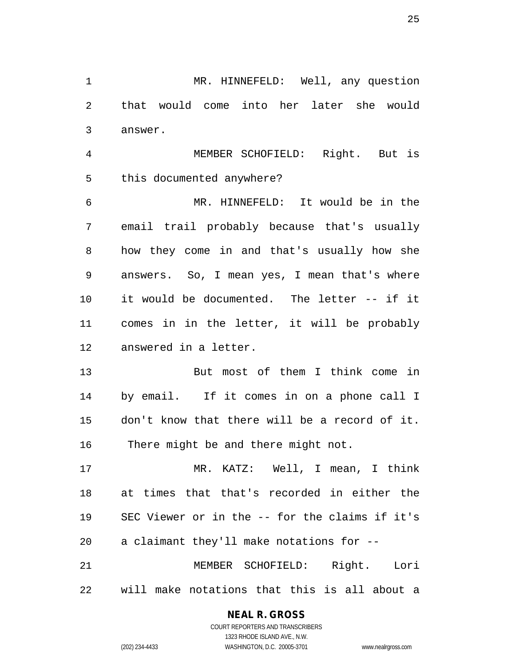MR. HINNEFELD: Well, any question that would come into her later she would answer.

 MEMBER SCHOFIELD: Right. But is this documented anywhere?

 MR. HINNEFELD: It would be in the email trail probably because that's usually how they come in and that's usually how she answers. So, I mean yes, I mean that's where it would be documented. The letter -- if it comes in in the letter, it will be probably answered in a letter.

 But most of them I think come in by email. If it comes in on a phone call I don't know that there will be a record of it. There might be and there might not.

 MR. KATZ: Well, I mean, I think at times that that's recorded in either the SEC Viewer or in the -- for the claims if it's a claimant they'll make notations for --

 MEMBER SCHOFIELD: Right. Lori will make notations that this is all about a

# **NEAL R. GROSS**

COURT REPORTERS AND TRANSCRIBERS 1323 RHODE ISLAND AVE., N.W. (202) 234-4433 WASHINGTON, D.C. 20005-3701 www.nealrgross.com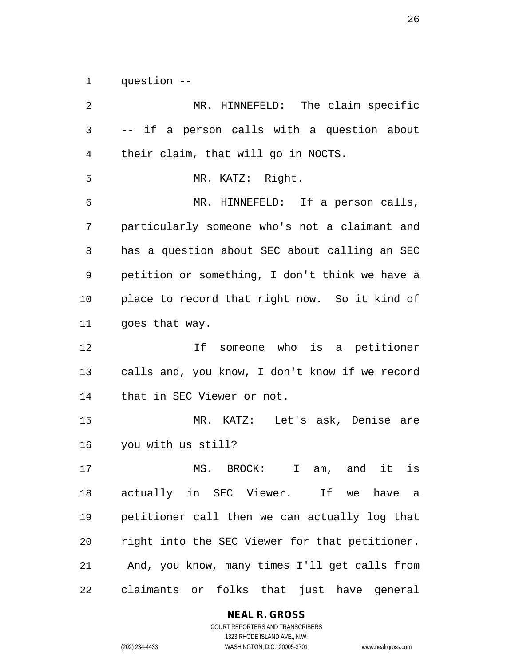question --

 MR. HINNEFELD: The claim specific -- if a person calls with a question about their claim, that will go in NOCTS. MR. KATZ: Right. MR. HINNEFELD: If a person calls, particularly someone who's not a claimant and has a question about SEC about calling an SEC petition or something, I don't think we have a place to record that right now. So it kind of goes that way. If someone who is a petitioner calls and, you know, I don't know if we record that in SEC Viewer or not. MR. KATZ: Let's ask, Denise are you with us still? MS. BROCK: I am, and it is actually in SEC Viewer. If we have a petitioner call then we can actually log that right into the SEC Viewer for that petitioner. And, you know, many times I'll get calls from claimants or folks that just have general

**NEAL R. GROSS**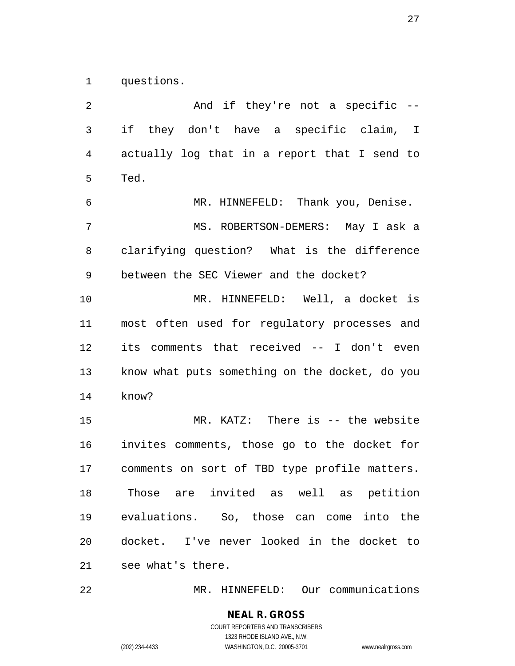questions.

2 And if they're not a specific -- if they don't have a specific claim, I actually log that in a report that I send to Ted. MR. HINNEFELD: Thank you, Denise. MS. ROBERTSON-DEMERS: May I ask a clarifying question? What is the difference between the SEC Viewer and the docket? MR. HINNEFELD: Well, a docket is most often used for regulatory processes and its comments that received -- I don't even know what puts something on the docket, do you know? MR. KATZ: There is -- the website invites comments, those go to the docket for comments on sort of TBD type profile matters. Those are invited as well as petition evaluations. So, those can come into the docket. I've never looked in the docket to see what's there.

MR. HINNEFELD: Our communications

# **NEAL R. GROSS** COURT REPORTERS AND TRANSCRIBERS 1323 RHODE ISLAND AVE., N.W.

(202) 234-4433 WASHINGTON, D.C. 20005-3701 www.nealrgross.com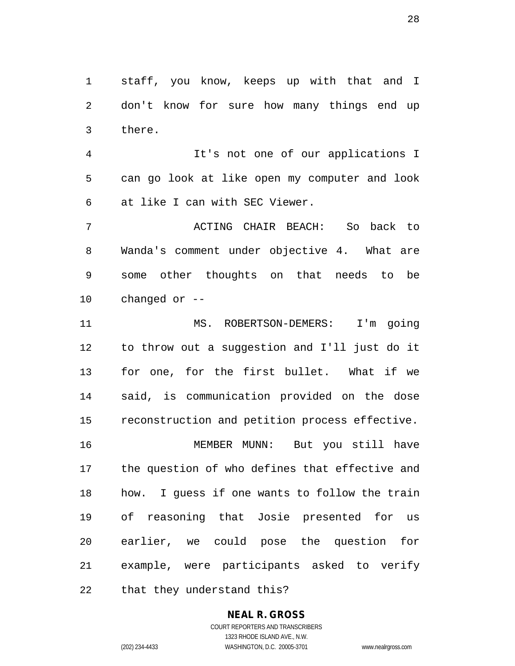staff, you know, keeps up with that and I don't know for sure how many things end up there.

 It's not one of our applications I can go look at like open my computer and look at like I can with SEC Viewer.

 ACTING CHAIR BEACH: So back to Wanda's comment under objective 4. What are some other thoughts on that needs to be changed or --

 MS. ROBERTSON-DEMERS: I'm going to throw out a suggestion and I'll just do it for one, for the first bullet. What if we said, is communication provided on the dose reconstruction and petition process effective. MEMBER MUNN: But you still have

 the question of who defines that effective and how. I guess if one wants to follow the train of reasoning that Josie presented for us earlier, we could pose the question for example, were participants asked to verify that they understand this?

#### **NEAL R. GROSS** COURT REPORTERS AND TRANSCRIBERS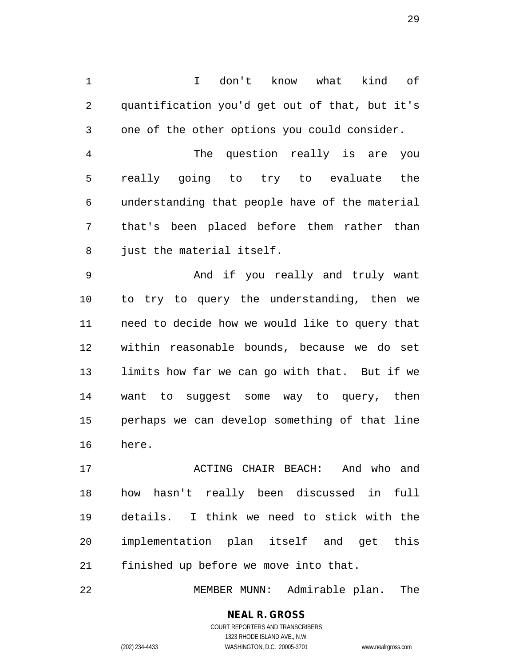I don't know what kind of quantification you'd get out of that, but it's one of the other options you could consider.

 The question really is are you really going to try to evaluate the understanding that people have of the material that's been placed before them rather than 8 just the material itself.

 And if you really and truly want to try to query the understanding, then we need to decide how we would like to query that within reasonable bounds, because we do set limits how far we can go with that. But if we want to suggest some way to query, then perhaps we can develop something of that line here.

 ACTING CHAIR BEACH: And who and how hasn't really been discussed in full details. I think we need to stick with the implementation plan itself and get this finished up before we move into that.

MEMBER MUNN: Admirable plan. The

# **NEAL R. GROSS**

COURT REPORTERS AND TRANSCRIBERS 1323 RHODE ISLAND AVE., N.W. (202) 234-4433 WASHINGTON, D.C. 20005-3701 www.nealrgross.com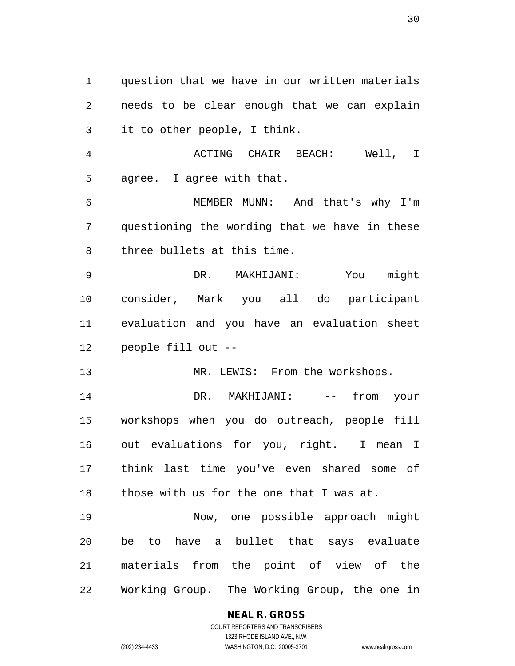question that we have in our written materials needs to be clear enough that we can explain it to other people, I think. ACTING CHAIR BEACH: Well, I

 agree. I agree with that. MEMBER MUNN: And that's why I'm

 questioning the wording that we have in these three bullets at this time.

 DR. MAKHIJANI: You might consider, Mark you all do participant evaluation and you have an evaluation sheet people fill out --

13 MR. LEWIS: From the workshops.

14 DR. MAKHIJANI: -- from your workshops when you do outreach, people fill out evaluations for you, right. I mean I think last time you've even shared some of those with us for the one that I was at.

 Now, one possible approach might be to have a bullet that says evaluate materials from the point of view of the Working Group. The Working Group, the one in

# **NEAL R. GROSS**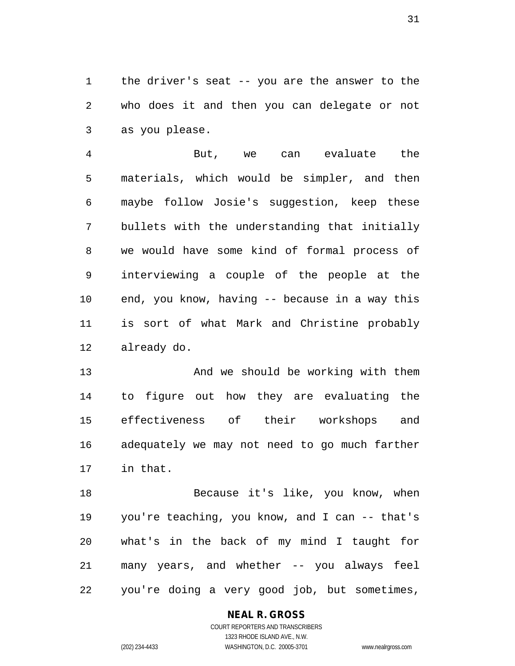the driver's seat -- you are the answer to the who does it and then you can delegate or not as you please.

 But, we can evaluate the materials, which would be simpler, and then maybe follow Josie's suggestion, keep these bullets with the understanding that initially we would have some kind of formal process of interviewing a couple of the people at the end, you know, having -- because in a way this is sort of what Mark and Christine probably already do.

13 And we should be working with them to figure out how they are evaluating the effectiveness of their workshops and adequately we may not need to go much farther in that.

18 Because it's like, you know, when you're teaching, you know, and I can -- that's what's in the back of my mind I taught for many years, and whether -- you always feel you're doing a very good job, but sometimes,

# **NEAL R. GROSS**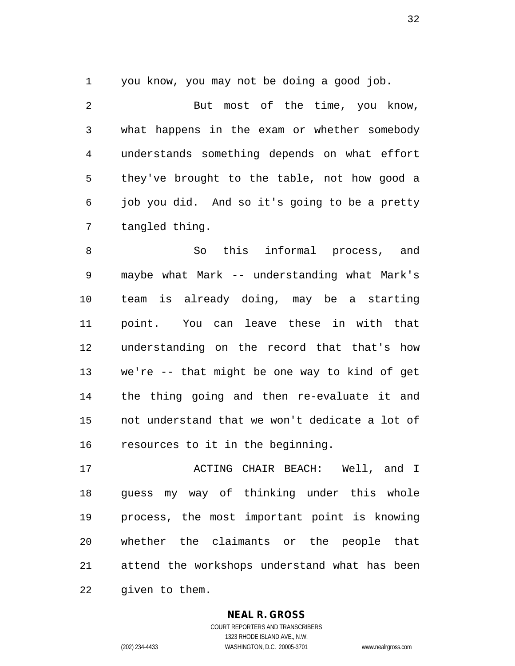you know, you may not be doing a good job.

 But most of the time, you know, what happens in the exam or whether somebody understands something depends on what effort they've brought to the table, not how good a job you did. And so it's going to be a pretty tangled thing.

 So this informal process, and maybe what Mark -- understanding what Mark's team is already doing, may be a starting point. You can leave these in with that understanding on the record that that's how we're -- that might be one way to kind of get the thing going and then re-evaluate it and not understand that we won't dedicate a lot of resources to it in the beginning.

 ACTING CHAIR BEACH: Well, and I guess my way of thinking under this whole process, the most important point is knowing whether the claimants or the people that attend the workshops understand what has been given to them.

# **NEAL R. GROSS**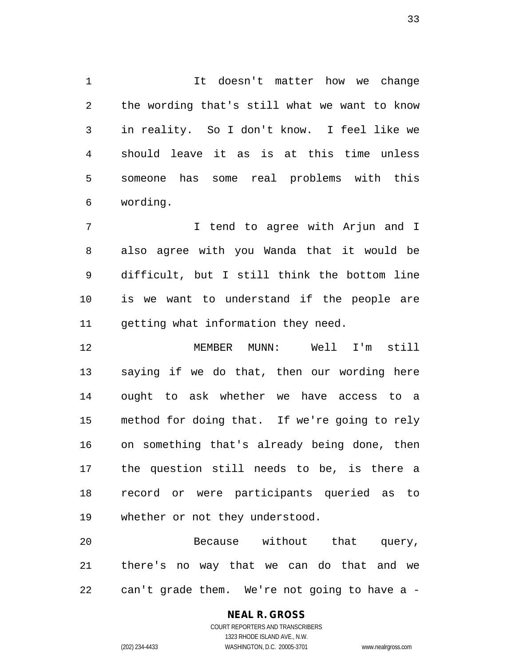It doesn't matter how we change the wording that's still what we want to know in reality. So I don't know. I feel like we should leave it as is at this time unless someone has some real problems with this wording.

 I tend to agree with Arjun and I also agree with you Wanda that it would be difficult, but I still think the bottom line is we want to understand if the people are getting what information they need.

 MEMBER MUNN: Well I'm still saying if we do that, then our wording here ought to ask whether we have access to a method for doing that. If we're going to rely on something that's already being done, then the question still needs to be, is there a record or were participants queried as to whether or not they understood.

 Because without that query, there's no way that we can do that and we can't grade them. We're not going to have a -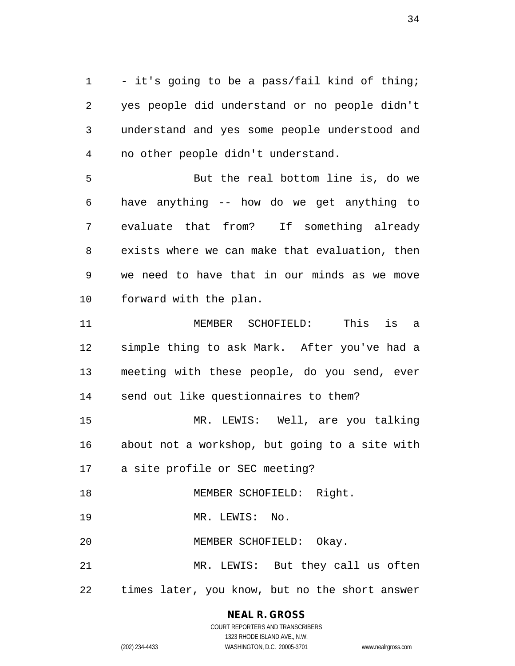- it's going to be a pass/fail kind of thing; yes people did understand or no people didn't understand and yes some people understood and no other people didn't understand.

 But the real bottom line is, do we have anything -- how do we get anything to evaluate that from? If something already exists where we can make that evaluation, then we need to have that in our minds as we move forward with the plan.

 MEMBER SCHOFIELD: This is a simple thing to ask Mark. After you've had a meeting with these people, do you send, ever send out like questionnaires to them?

 MR. LEWIS: Well, are you talking about not a workshop, but going to a site with a site profile or SEC meeting?

18 MEMBER SCHOFIELD: Right.

MR. LEWIS: No.

MEMBER SCHOFIELD: Okay.

 MR. LEWIS: But they call us often times later, you know, but no the short answer

**NEAL R. GROSS**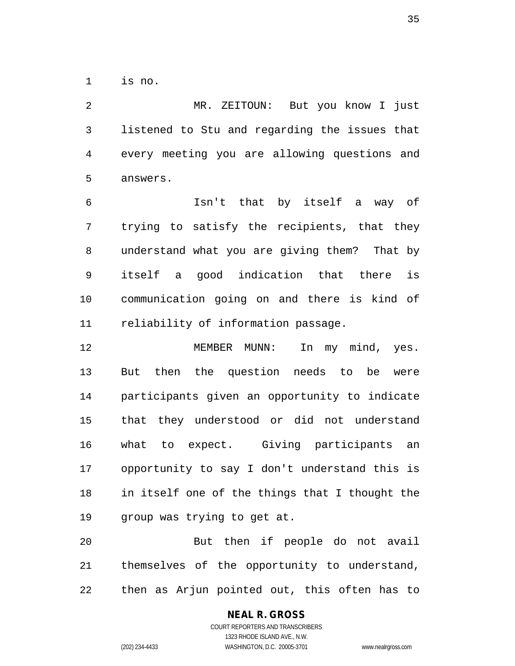is no.

 MR. ZEITOUN: But you know I just listened to Stu and regarding the issues that every meeting you are allowing questions and answers.

 Isn't that by itself a way of trying to satisfy the recipients, that they understand what you are giving them? That by itself a good indication that there is communication going on and there is kind of reliability of information passage.

12 MEMBER MUNN: In my mind, yes. But then the question needs to be were participants given an opportunity to indicate that they understood or did not understand what to expect. Giving participants an opportunity to say I don't understand this is in itself one of the things that I thought the group was trying to get at.

 But then if people do not avail themselves of the opportunity to understand, then as Arjun pointed out, this often has to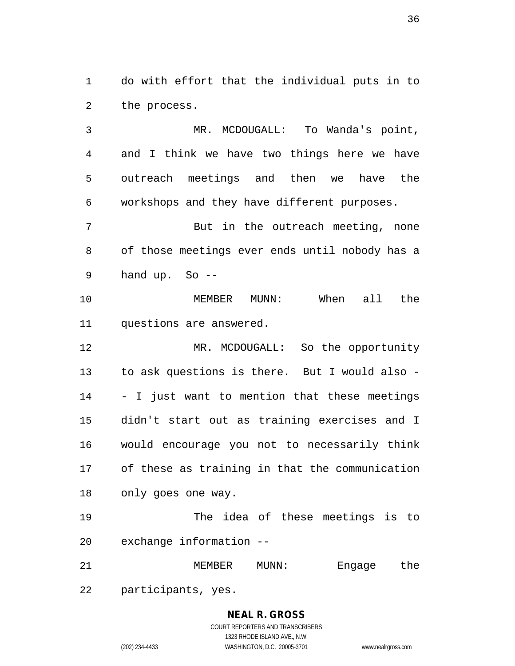do with effort that the individual puts in to the process.

 MR. MCDOUGALL: To Wanda's point, and I think we have two things here we have outreach meetings and then we have the workshops and they have different purposes.

 But in the outreach meeting, none of those meetings ever ends until nobody has a hand up. So --

 MEMBER MUNN: When all the questions are answered.

 MR. MCDOUGALL: So the opportunity to ask questions is there. But I would also - - I just want to mention that these meetings didn't start out as training exercises and I would encourage you not to necessarily think of these as training in that the communication only goes one way.

 The idea of these meetings is to exchange information --

 MEMBER MUNN: Engage the participants, yes.

#### **NEAL R. GROSS** COURT REPORTERS AND TRANSCRIBERS 1323 RHODE ISLAND AVE., N.W. (202) 234-4433 WASHINGTON, D.C. 20005-3701 www.nealrgross.com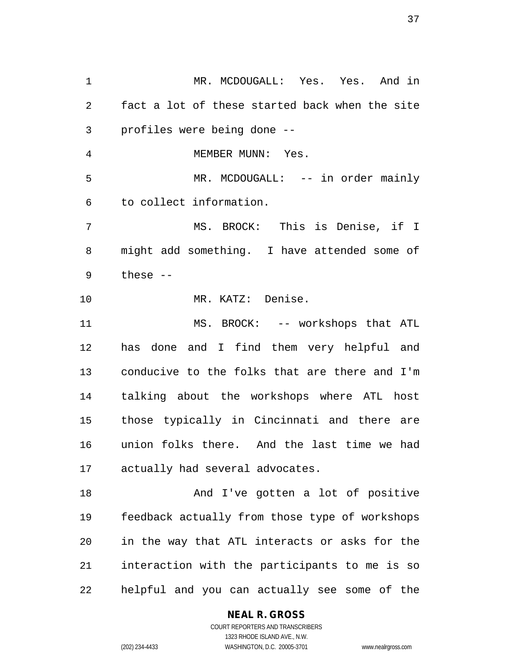MR. MCDOUGALL: Yes. Yes. And in fact a lot of these started back when the site profiles were being done -- 4 MEMBER MUNN: Yes. MR. MCDOUGALL: -- in order mainly to collect information. MS. BROCK: This is Denise, if I might add something. I have attended some of these -- MR. KATZ: Denise. 11 MS. BROCK: -- workshops that ATL has done and I find them very helpful and conducive to the folks that are there and I'm talking about the workshops where ATL host those typically in Cincinnati and there are union folks there. And the last time we had actually had several advocates. 18 And I've gotten a lot of positive feedback actually from those type of workshops in the way that ATL interacts or asks for the interaction with the participants to me is so helpful and you can actually see some of the

#### **NEAL R. GROSS**

COURT REPORTERS AND TRANSCRIBERS 1323 RHODE ISLAND AVE., N.W. (202) 234-4433 WASHINGTON, D.C. 20005-3701 www.nealrgross.com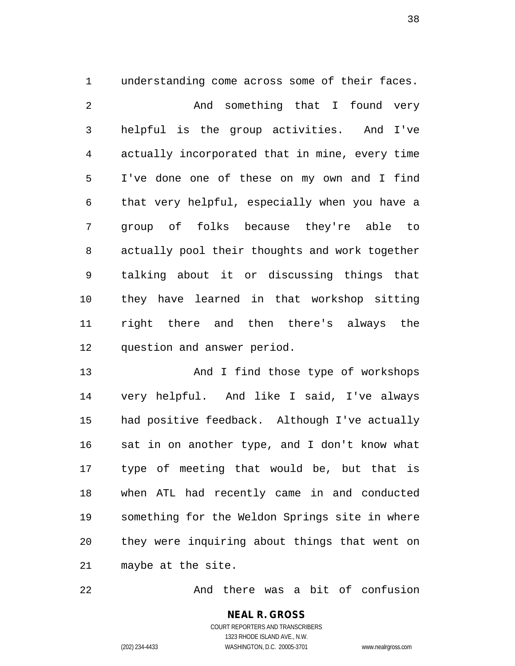understanding come across some of their faces. And something that I found very helpful is the group activities. And I've actually incorporated that in mine, every time I've done one of these on my own and I find that very helpful, especially when you have a group of folks because they're able to actually pool their thoughts and work together talking about it or discussing things that they have learned in that workshop sitting right there and then there's always the question and answer period.

13 And I find those type of workshops very helpful. And like I said, I've always had positive feedback. Although I've actually sat in on another type, and I don't know what type of meeting that would be, but that is when ATL had recently came in and conducted something for the Weldon Springs site in where they were inquiring about things that went on maybe at the site.

And there was a bit of confusion

**NEAL R. GROSS** COURT REPORTERS AND TRANSCRIBERS 1323 RHODE ISLAND AVE., N.W. (202) 234-4433 WASHINGTON, D.C. 20005-3701 www.nealrgross.com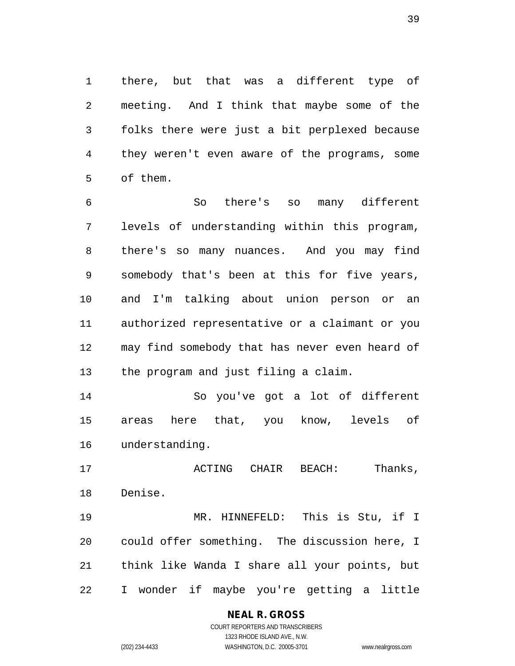there, but that was a different type of meeting. And I think that maybe some of the folks there were just a bit perplexed because they weren't even aware of the programs, some of them.

 So there's so many different levels of understanding within this program, there's so many nuances. And you may find somebody that's been at this for five years, and I'm talking about union person or an authorized representative or a claimant or you may find somebody that has never even heard of the program and just filing a claim.

 So you've got a lot of different areas here that, you know, levels of understanding.

 ACTING CHAIR BEACH: Thanks, Denise.

 MR. HINNEFELD: This is Stu, if I could offer something. The discussion here, I think like Wanda I share all your points, but I wonder if maybe you're getting a little

# **NEAL R. GROSS**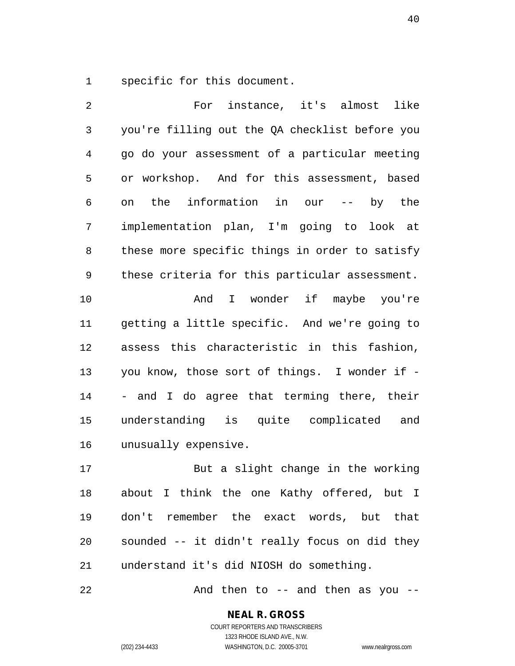specific for this document.

 For instance, it's almost like you're filling out the QA checklist before you go do your assessment of a particular meeting or workshop. And for this assessment, based on the information in our -- by the implementation plan, I'm going to look at these more specific things in order to satisfy these criteria for this particular assessment. And I wonder if maybe you're getting a little specific. And we're going to assess this characteristic in this fashion, you know, those sort of things. I wonder if - - and I do agree that terming there, their understanding is quite complicated and unusually expensive. But a slight change in the working

 about I think the one Kathy offered, but I don't remember the exact words, but that sounded -- it didn't really focus on did they understand it's did NIOSH do something.

22 And then to -- and then as you --

**NEAL R. GROSS** COURT REPORTERS AND TRANSCRIBERS

1323 RHODE ISLAND AVE., N.W. (202) 234-4433 WASHINGTON, D.C. 20005-3701 www.nealrgross.com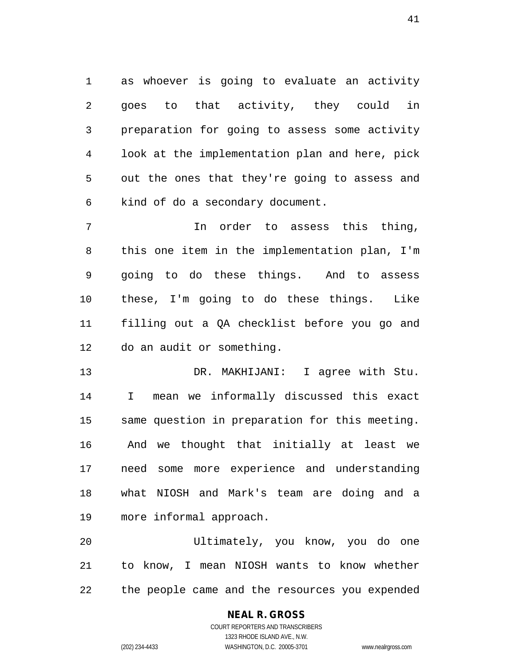as whoever is going to evaluate an activity goes to that activity, they could in preparation for going to assess some activity look at the implementation plan and here, pick out the ones that they're going to assess and kind of do a secondary document.

 In order to assess this thing, this one item in the implementation plan, I'm going to do these things. And to assess these, I'm going to do these things. Like filling out a QA checklist before you go and do an audit or something.

 DR. MAKHIJANI: I agree with Stu. I mean we informally discussed this exact same question in preparation for this meeting. And we thought that initially at least we need some more experience and understanding what NIOSH and Mark's team are doing and a more informal approach.

 Ultimately, you know, you do one to know, I mean NIOSH wants to know whether the people came and the resources you expended

# **NEAL R. GROSS**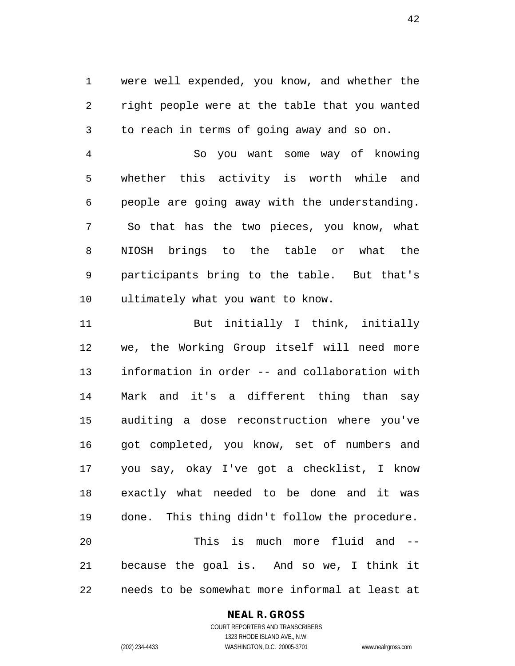were well expended, you know, and whether the right people were at the table that you wanted to reach in terms of going away and so on.

 So you want some way of knowing whether this activity is worth while and people are going away with the understanding. So that has the two pieces, you know, what NIOSH brings to the table or what the participants bring to the table. But that's ultimately what you want to know.

11 But initially I think, initially we, the Working Group itself will need more information in order -- and collaboration with Mark and it's a different thing than say auditing a dose reconstruction where you've got completed, you know, set of numbers and you say, okay I've got a checklist, I know exactly what needed to be done and it was done. This thing didn't follow the procedure. This is much more fluid and -- because the goal is. And so we, I think it needs to be somewhat more informal at least at

#### **NEAL R. GROSS**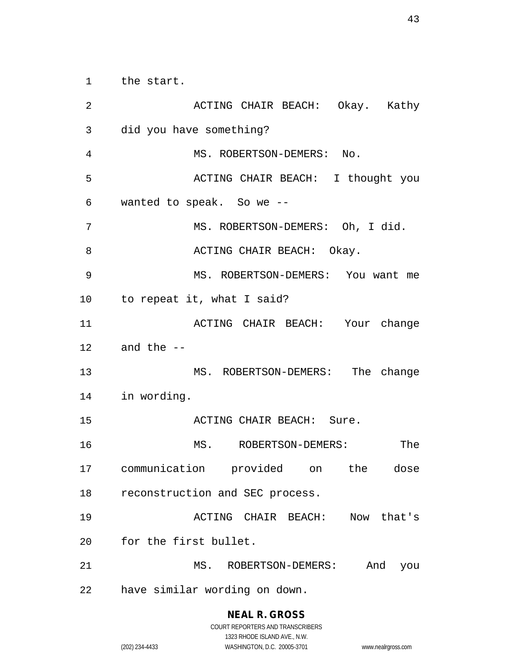the start.

 ACTING CHAIR BEACH: Okay. Kathy did you have something? MS. ROBERTSON-DEMERS: No. ACTING CHAIR BEACH: I thought you wanted to speak. So we -- MS. ROBERTSON-DEMERS: Oh, I did. 8 ACTING CHAIR BEACH: Okay. MS. ROBERTSON-DEMERS: You want me to repeat it, what I said? ACTING CHAIR BEACH: Your change and the -- MS. ROBERTSON-DEMERS: The change in wording. 15 ACTING CHAIR BEACH: Sure. MS. ROBERTSON-DEMERS: The communication provided on the dose reconstruction and SEC process. ACTING CHAIR BEACH: Now that's for the first bullet. MS. ROBERTSON-DEMERS: And you have similar wording on down.

**NEAL R. GROSS**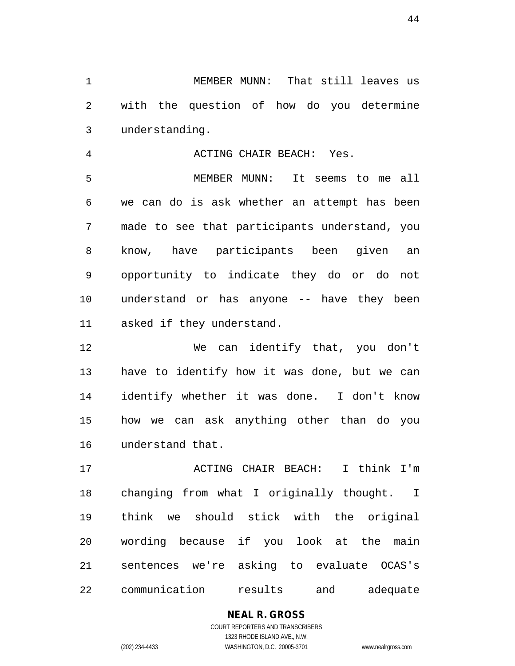MEMBER MUNN: That still leaves us with the question of how do you determine understanding.

ACTING CHAIR BEACH: Yes.

 MEMBER MUNN: It seems to me all we can do is ask whether an attempt has been made to see that participants understand, you know, have participants been given an opportunity to indicate they do or do not understand or has anyone -- have they been asked if they understand.

 We can identify that, you don't have to identify how it was done, but we can identify whether it was done. I don't know how we can ask anything other than do you understand that.

 ACTING CHAIR BEACH: I think I'm changing from what I originally thought. I think we should stick with the original wording because if you look at the main sentences we're asking to evaluate OCAS's communication results and adequate

> **NEAL R. GROSS** COURT REPORTERS AND TRANSCRIBERS 1323 RHODE ISLAND AVE., N.W.

(202) 234-4433 WASHINGTON, D.C. 20005-3701 www.nealrgross.com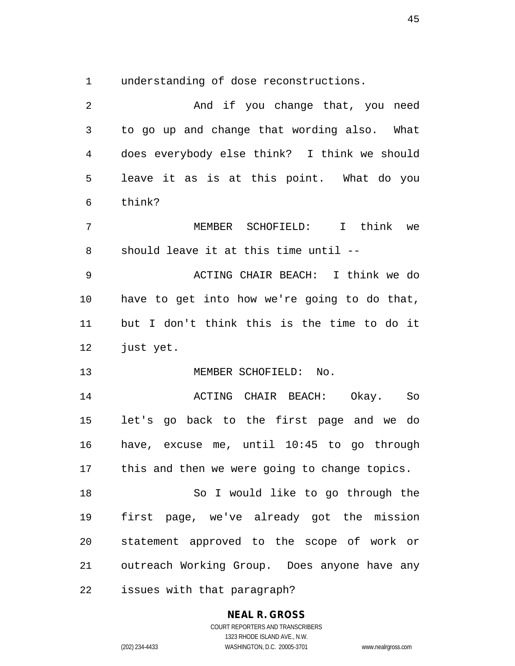understanding of dose reconstructions.

| $\overline{2}$ | And if you change that, you need              |
|----------------|-----------------------------------------------|
| 3              | to go up and change that wording also. What   |
| 4              | does everybody else think? I think we should  |
| 5              | leave it as is at this point. What do you     |
| 6              | think?                                        |
| 7              | MEMBER SCHOFIELD: I think we                  |
| 8              | should leave it at this time until --         |
| $\mathsf 9$    | ACTING CHAIR BEACH: I think we do             |
| 10             | have to get into how we're going to do that,  |
| 11             | but I don't think this is the time to do it   |
| 12             | just yet.                                     |
| 13             | MEMBER SCHOFIELD: No.                         |
| 14             | ACTING CHAIR BEACH: Okay.<br>So               |
| 15             | let's go back to the first page and we do     |
| 16             | have, excuse me, until 10:45 to go through    |
| 17             | this and then we were going to change topics. |
| 18             | So I would like to go through the             |
| 19             | first page, we've already got the mission     |
| 20             | statement approved to the scope of work or    |
| 21             | outreach Working Group. Does anyone have any  |
| 22             | issues with that paragraph?                   |

**NEAL R. GROSS** COURT REPORTERS AND TRANSCRIBERS

1323 RHODE ISLAND AVE., N.W.

(202) 234-4433 WASHINGTON, D.C. 20005-3701 www.nealrgross.com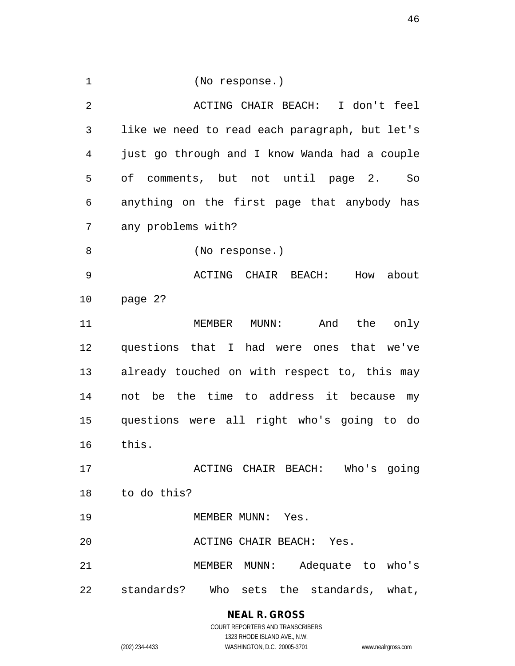(No response.) ACTING CHAIR BEACH: I don't feel like we need to read each paragraph, but let's just go through and I know Wanda had a couple of comments, but not until page 2. So anything on the first page that anybody has any problems with? (No response.) ACTING CHAIR BEACH: How about page 2? MEMBER MUNN: And the only questions that I had were ones that we've already touched on with respect to, this may not be the time to address it because my questions were all right who's going to do this. ACTING CHAIR BEACH: Who's going to do this? 19 MEMBER MUNN: Yes. ACTING CHAIR BEACH: Yes. MEMBER MUNN: Adequate to who's standards? Who sets the standards, what,

> **NEAL R. GROSS** COURT REPORTERS AND TRANSCRIBERS 1323 RHODE ISLAND AVE., N.W. (202) 234-4433 WASHINGTON, D.C. 20005-3701 www.nealrgross.com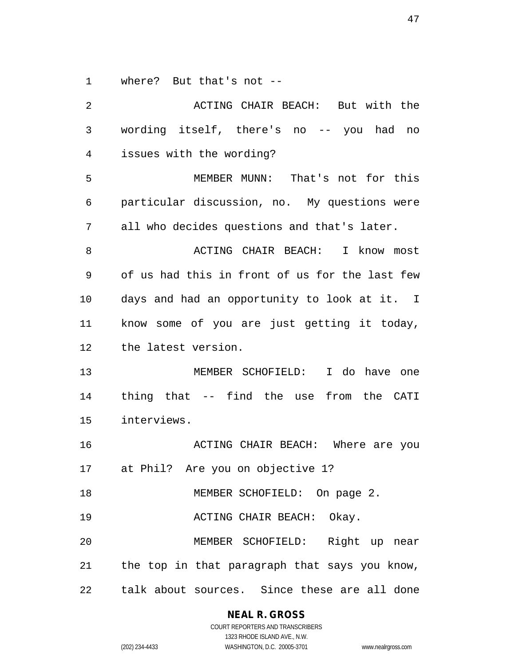where? But that's not --

| 2  | ACTING CHAIR BEACH: But with the                 |
|----|--------------------------------------------------|
| 3  | wording itself, there's no -- you had<br>no      |
| 4  | issues with the wording?                         |
| 5  | MEMBER MUNN: That's not for this                 |
| 6  | particular discussion, no. My questions were     |
| 7  | all who decides questions and that's later.      |
| 8  | ACTING CHAIR BEACH: I know most                  |
| 9  | of us had this in front of us for the last few   |
| 10 | days and had an opportunity to look at it. I     |
| 11 | know some of you are just getting it today,      |
| 12 | the latest version.                              |
| 13 | MEMBER SCHOFIELD: I do<br>have one               |
| 14 | thing that -- find the use from the CATI         |
| 15 | interviews.                                      |
| 16 | ACTING CHAIR BEACH: Where are you                |
| 17 | at Phil? Are you on objective 1?                 |
| 18 | MEMBER SCHOFIELD: On page 2.                     |
| 19 | ACTING CHAIR BEACH: Okay.                        |
| 20 | MEMBER SCHOFIELD: Right up near                  |
|    | 21 the top in that paragraph that says you know, |
| 22 | talk about sources. Since these are all done     |

## **NEAL R. GROSS**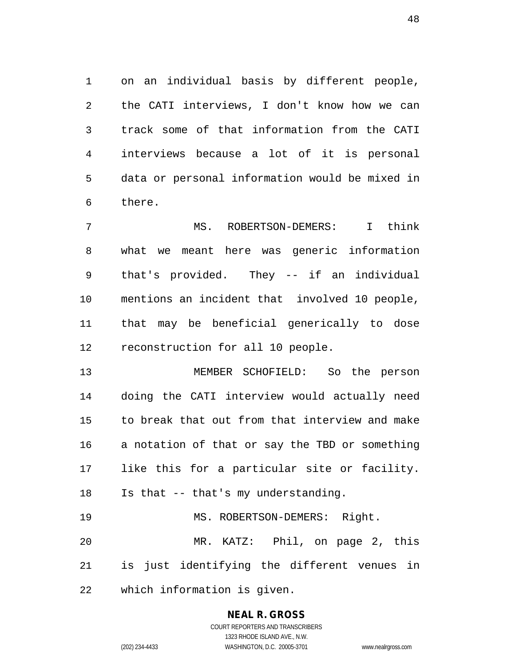on an individual basis by different people, the CATI interviews, I don't know how we can track some of that information from the CATI interviews because a lot of it is personal data or personal information would be mixed in there.

 MS. ROBERTSON-DEMERS: I think what we meant here was generic information that's provided. They -- if an individual mentions an incident that involved 10 people, that may be beneficial generically to dose reconstruction for all 10 people.

 MEMBER SCHOFIELD: So the person doing the CATI interview would actually need to break that out from that interview and make a notation of that or say the TBD or something like this for a particular site or facility. Is that -- that's my understanding. 19 MS. ROBERTSON-DEMERS: Right.

 MR. KATZ: Phil, on page 2, this is just identifying the different venues in which information is given.

#### **NEAL R. GROSS**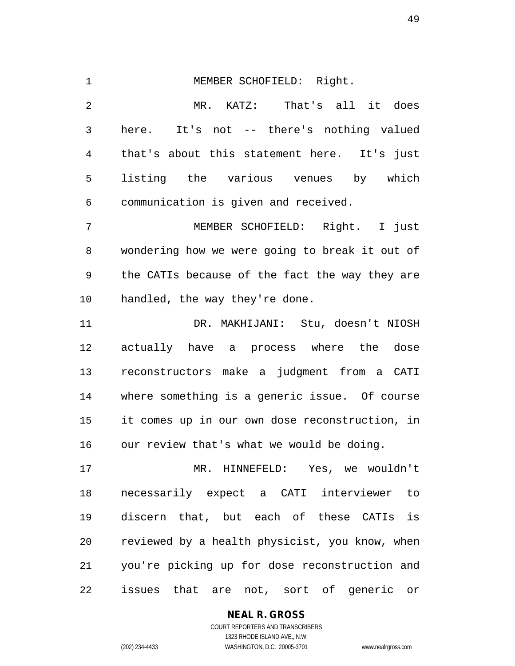MEMBER SCHOFIELD: Right. MR. KATZ: That's all it does here. It's not -- there's nothing valued that's about this statement here. It's just listing the various venues by which communication is given and received. MEMBER SCHOFIELD: Right. I just wondering how we were going to break it out of the CATIs because of the fact the way they are handled, the way they're done. DR. MAKHIJANI: Stu, doesn't NIOSH actually have a process where the dose

 reconstructors make a judgment from a CATI where something is a generic issue. Of course it comes up in our own dose reconstruction, in our review that's what we would be doing.

 MR. HINNEFELD: Yes, we wouldn't necessarily expect a CATI interviewer to discern that, but each of these CATIs is reviewed by a health physicist, you know, when you're picking up for dose reconstruction and issues that are not, sort of generic or

## **NEAL R. GROSS**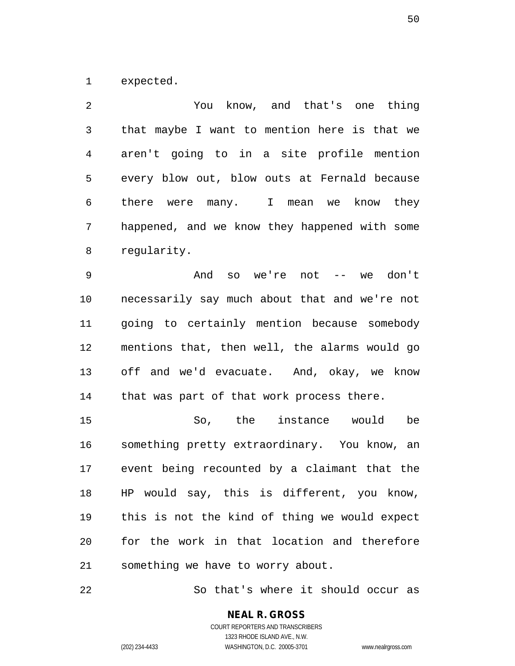expected.

 You know, and that's one thing that maybe I want to mention here is that we aren't going to in a site profile mention every blow out, blow outs at Fernald because there were many. I mean we know they happened, and we know they happened with some regularity.

 And so we're not -- we don't necessarily say much about that and we're not going to certainly mention because somebody mentions that, then well, the alarms would go off and we'd evacuate. And, okay, we know 14 that was part of that work process there.

 So, the instance would be something pretty extraordinary. You know, an event being recounted by a claimant that the HP would say, this is different, you know, this is not the kind of thing we would expect for the work in that location and therefore something we have to worry about.

So that's where it should occur as

# **NEAL R. GROSS**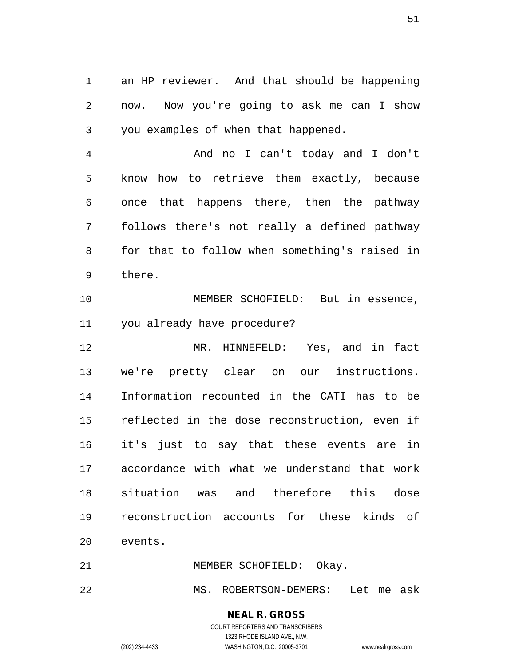an HP reviewer. And that should be happening now. Now you're going to ask me can I show you examples of when that happened.

 And no I can't today and I don't know how to retrieve them exactly, because once that happens there, then the pathway follows there's not really a defined pathway for that to follow when something's raised in there.

 MEMBER SCHOFIELD: But in essence, you already have procedure?

 MR. HINNEFELD: Yes, and in fact we're pretty clear on our instructions. Information recounted in the CATI has to be reflected in the dose reconstruction, even if it's just to say that these events are in accordance with what we understand that work situation was and therefore this dose reconstruction accounts for these kinds of events.

21 MEMBER SCHOFIELD: Okay.

MS. ROBERTSON-DEMERS: Let me ask

## **NEAL R. GROSS**

COURT REPORTERS AND TRANSCRIBERS 1323 RHODE ISLAND AVE., N.W. (202) 234-4433 WASHINGTON, D.C. 20005-3701 www.nealrgross.com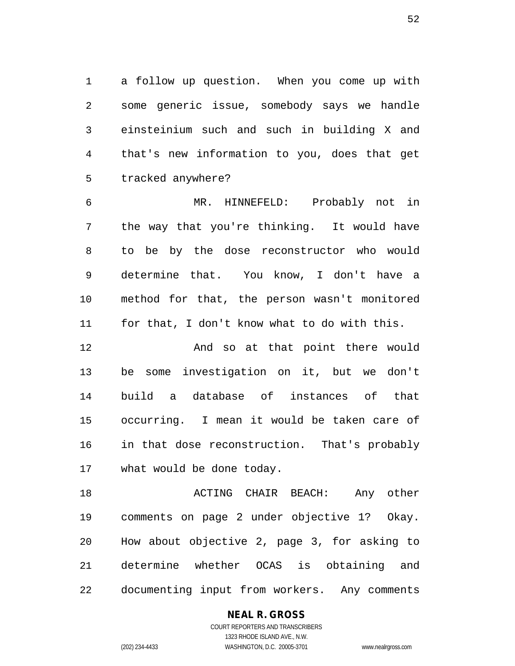a follow up question. When you come up with some generic issue, somebody says we handle einsteinium such and such in building X and that's new information to you, does that get tracked anywhere?

 MR. HINNEFELD: Probably not in the way that you're thinking. It would have to be by the dose reconstructor who would determine that. You know, I don't have a method for that, the person wasn't monitored for that, I don't know what to do with this.

 And so at that point there would be some investigation on it, but we don't build a database of instances of that occurring. I mean it would be taken care of in that dose reconstruction. That's probably what would be done today.

18 ACTING CHAIR BEACH: Any other comments on page 2 under objective 1? Okay. How about objective 2, page 3, for asking to determine whether OCAS is obtaining and documenting input from workers. Any comments

**NEAL R. GROSS**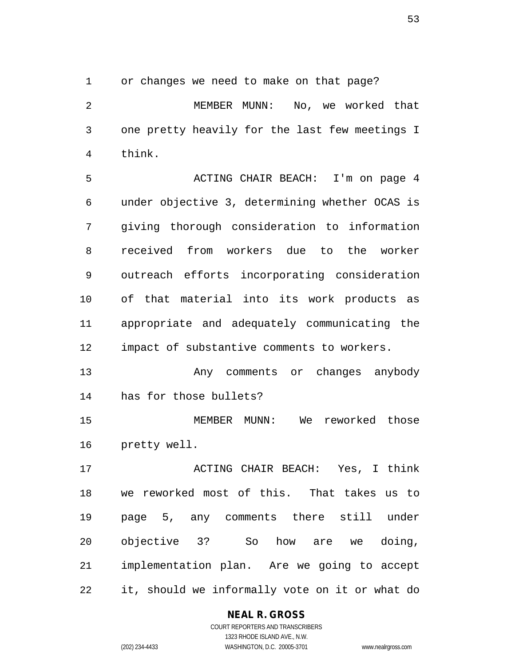or changes we need to make on that page?

 MEMBER MUNN: No, we worked that one pretty heavily for the last few meetings I think.

 ACTING CHAIR BEACH: I'm on page 4 under objective 3, determining whether OCAS is giving thorough consideration to information received from workers due to the worker outreach efforts incorporating consideration of that material into its work products as appropriate and adequately communicating the impact of substantive comments to workers.

 Any comments or changes anybody has for those bullets?

 MEMBER MUNN: We reworked those pretty well.

 ACTING CHAIR BEACH: Yes, I think we reworked most of this. That takes us to page 5, any comments there still under objective 3? So how are we doing, implementation plan. Are we going to accept it, should we informally vote on it or what do

**NEAL R. GROSS**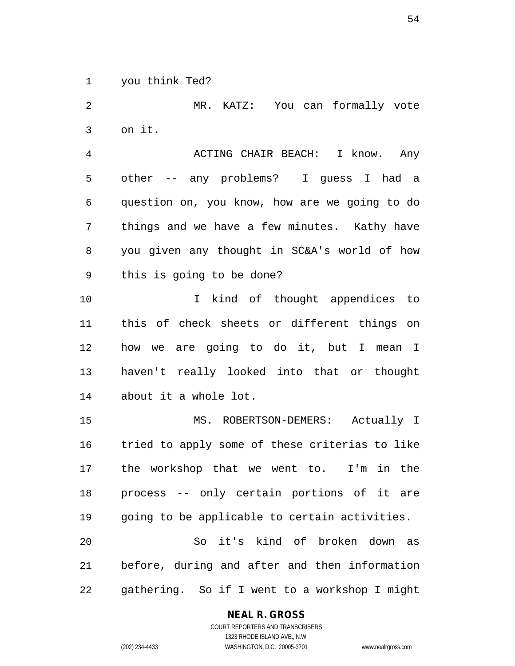you think Ted?

 MR. KATZ: You can formally vote on it. ACTING CHAIR BEACH: I know. Any other -- any problems? I guess I had a question on, you know, how are we going to do things and we have a few minutes. Kathy have you given any thought in SC&A's world of how this is going to be done? I kind of thought appendices to this of check sheets or different things on how we are going to do it, but I mean I haven't really looked into that or thought about it a whole lot. MS. ROBERTSON-DEMERS: Actually I tried to apply some of these criterias to like the workshop that we went to. I'm in the process -- only certain portions of it are going to be applicable to certain activities. So it's kind of broken down as before, during and after and then information gathering. So if I went to a workshop I might

**NEAL R. GROSS**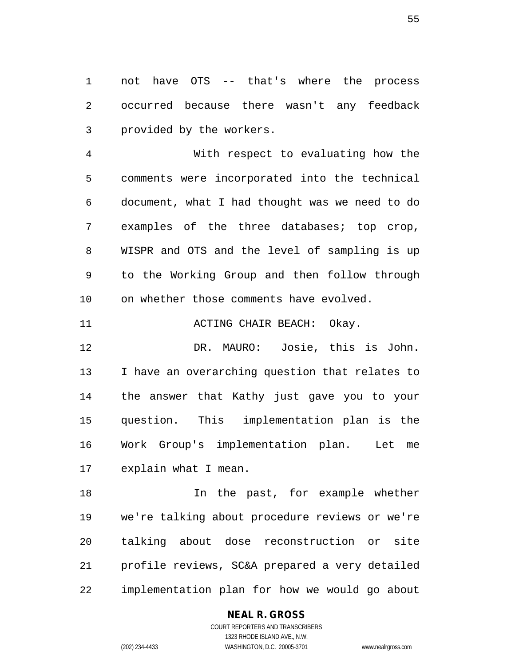not have OTS -- that's where the process occurred because there wasn't any feedback provided by the workers.

 With respect to evaluating how the comments were incorporated into the technical document, what I had thought was we need to do examples of the three databases; top crop, WISPR and OTS and the level of sampling is up to the Working Group and then follow through on whether those comments have evolved.

11 ACTING CHAIR BEACH: Okay.

 DR. MAURO: Josie, this is John. I have an overarching question that relates to the answer that Kathy just gave you to your question. This implementation plan is the Work Group's implementation plan. Let me explain what I mean.

 In the past, for example whether we're talking about procedure reviews or we're talking about dose reconstruction or site profile reviews, SC&A prepared a very detailed implementation plan for how we would go about

#### **NEAL R. GROSS**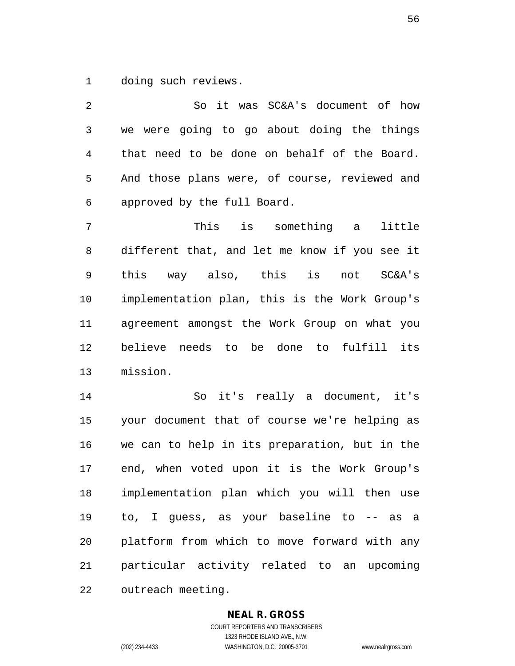doing such reviews.

 So it was SC&A's document of how we were going to go about doing the things that need to be done on behalf of the Board. And those plans were, of course, reviewed and approved by the full Board.

 This is something a little different that, and let me know if you see it this way also, this is not SC&A's implementation plan, this is the Work Group's agreement amongst the Work Group on what you believe needs to be done to fulfill its mission.

 So it's really a document, it's your document that of course we're helping as we can to help in its preparation, but in the end, when voted upon it is the Work Group's implementation plan which you will then use to, I guess, as your baseline to -- as a platform from which to move forward with any particular activity related to an upcoming outreach meeting.

#### **NEAL R. GROSS**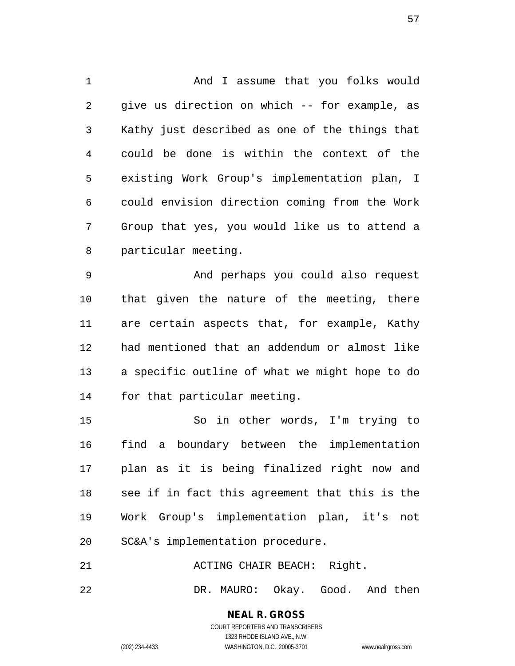And I assume that you folks would give us direction on which -- for example, as Kathy just described as one of the things that could be done is within the context of the existing Work Group's implementation plan, I could envision direction coming from the Work Group that yes, you would like us to attend a particular meeting.

 And perhaps you could also request that given the nature of the meeting, there are certain aspects that, for example, Kathy had mentioned that an addendum or almost like a specific outline of what we might hope to do for that particular meeting.

 So in other words, I'm trying to find a boundary between the implementation plan as it is being finalized right now and see if in fact this agreement that this is the Work Group's implementation plan, it's not SC&A's implementation procedure.

21 ACTING CHAIR BEACH: Right.

DR. MAURO: Okay. Good. And then

**NEAL R. GROSS** COURT REPORTERS AND TRANSCRIBERS

1323 RHODE ISLAND AVE., N.W. (202) 234-4433 WASHINGTON, D.C. 20005-3701 www.nealrgross.com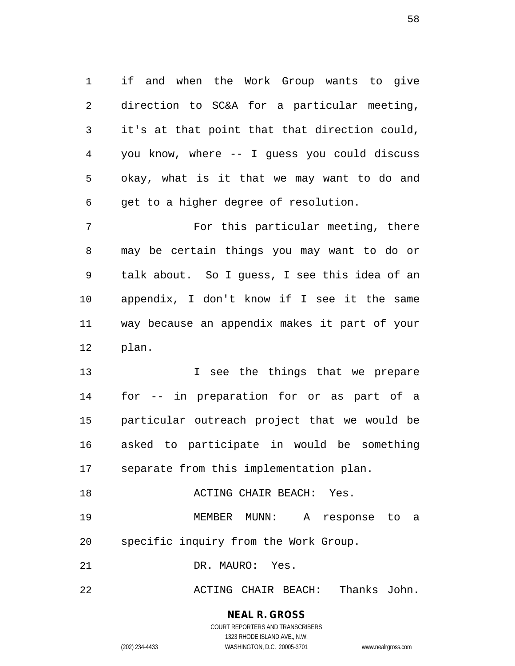if and when the Work Group wants to give direction to SC&A for a particular meeting, it's at that point that that direction could, you know, where -- I guess you could discuss okay, what is it that we may want to do and get to a higher degree of resolution.

 For this particular meeting, there may be certain things you may want to do or talk about. So I guess, I see this idea of an appendix, I don't know if I see it the same way because an appendix makes it part of your plan.

**I** see the things that we prepare for -- in preparation for or as part of a particular outreach project that we would be asked to participate in would be something separate from this implementation plan.

**ACTING CHAIR BEACH:** Yes. MEMBER MUNN: A response to a specific inquiry from the Work Group.

DR. MAURO: Yes.

ACTING CHAIR BEACH: Thanks John.

**NEAL R. GROSS** COURT REPORTERS AND TRANSCRIBERS

1323 RHODE ISLAND AVE., N.W. (202) 234-4433 WASHINGTON, D.C. 20005-3701 www.nealrgross.com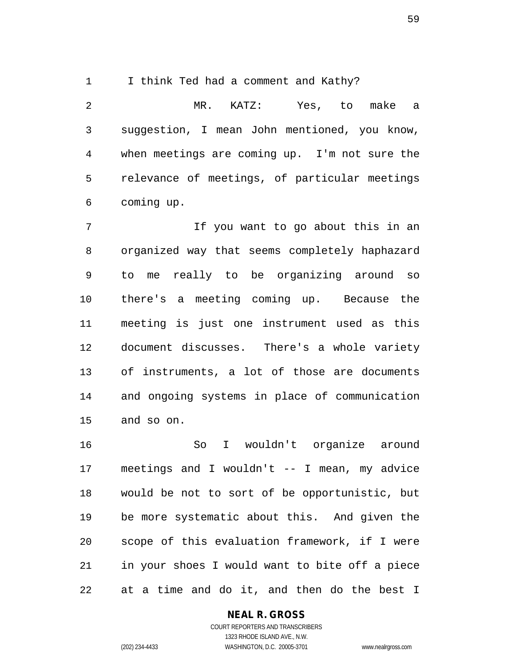I think Ted had a comment and Kathy?

 MR. KATZ: Yes, to make a suggestion, I mean John mentioned, you know, when meetings are coming up. I'm not sure the relevance of meetings, of particular meetings coming up.

 If you want to go about this in an organized way that seems completely haphazard to me really to be organizing around so there's a meeting coming up. Because the meeting is just one instrument used as this document discusses. There's a whole variety of instruments, a lot of those are documents and ongoing systems in place of communication and so on.

 So I wouldn't organize around meetings and I wouldn't -- I mean, my advice would be not to sort of be opportunistic, but be more systematic about this. And given the scope of this evaluation framework, if I were in your shoes I would want to bite off a piece at a time and do it, and then do the best I

#### **NEAL R. GROSS**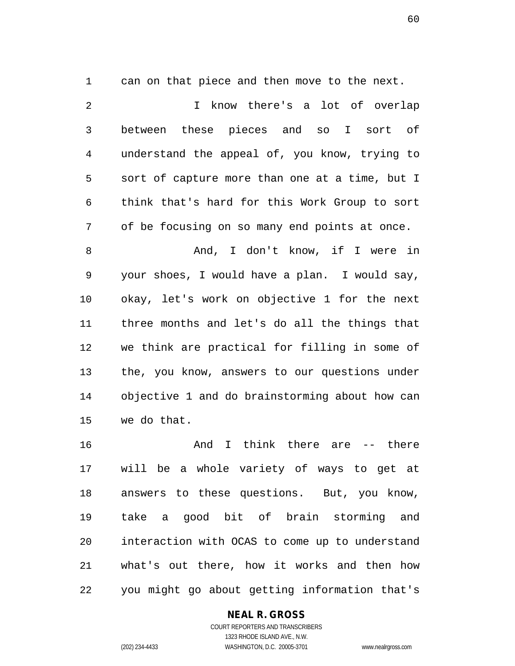can on that piece and then move to the next.

 I know there's a lot of overlap between these pieces and so I sort of understand the appeal of, you know, trying to sort of capture more than one at a time, but I think that's hard for this Work Group to sort of be focusing on so many end points at once. And, I don't know, if I were in your shoes, I would have a plan. I would say, okay, let's work on objective 1 for the next three months and let's do all the things that we think are practical for filling in some of the, you know, answers to our questions under objective 1 and do brainstorming about how can we do that.

 And I think there are -- there will be a whole variety of ways to get at answers to these questions. But, you know, take a good bit of brain storming and interaction with OCAS to come up to understand what's out there, how it works and then how you might go about getting information that's

#### **NEAL R. GROSS**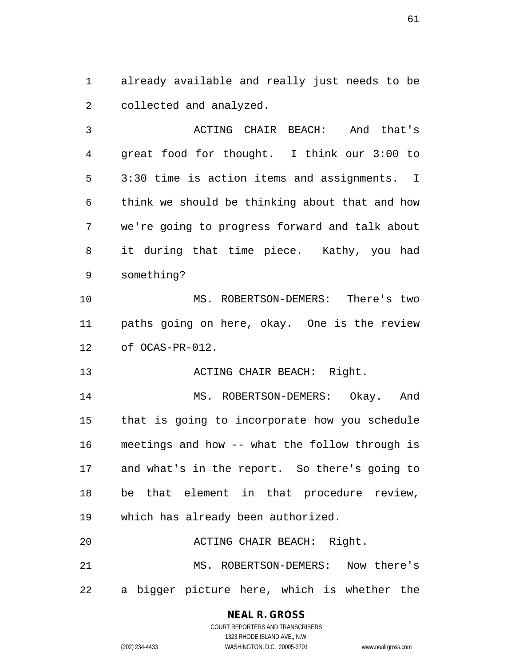already available and really just needs to be collected and analyzed.

 ACTING CHAIR BEACH: And that's great food for thought. I think our 3:00 to 3:30 time is action items and assignments. I think we should be thinking about that and how we're going to progress forward and talk about it during that time piece. Kathy, you had something?

 MS. ROBERTSON-DEMERS: There's two paths going on here, okay. One is the review of OCAS-PR-012.

13 ACTING CHAIR BEACH: Right.

 MS. ROBERTSON-DEMERS: Okay. And that is going to incorporate how you schedule meetings and how -- what the follow through is and what's in the report. So there's going to be that element in that procedure review, which has already been authorized.

 ACTING CHAIR BEACH: Right. MS. ROBERTSON-DEMERS: Now there's a bigger picture here, which is whether the

# **NEAL R. GROSS**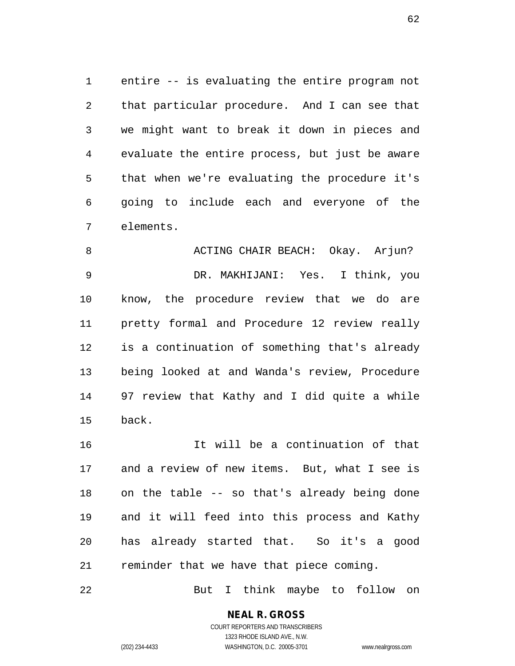entire -- is evaluating the entire program not that particular procedure. And I can see that we might want to break it down in pieces and evaluate the entire process, but just be aware that when we're evaluating the procedure it's going to include each and everyone of the elements.

8 ACTING CHAIR BEACH: Okay. Arjun? DR. MAKHIJANI: Yes. I think, you know, the procedure review that we do are pretty formal and Procedure 12 review really is a continuation of something that's already being looked at and Wanda's review, Procedure 97 review that Kathy and I did quite a while back.

 It will be a continuation of that and a review of new items. But, what I see is on the table -- so that's already being done and it will feed into this process and Kathy has already started that. So it's a good reminder that we have that piece coming.

But I think maybe to follow on

**NEAL R. GROSS** COURT REPORTERS AND TRANSCRIBERS 1323 RHODE ISLAND AVE., N.W.

(202) 234-4433 WASHINGTON, D.C. 20005-3701 www.nealrgross.com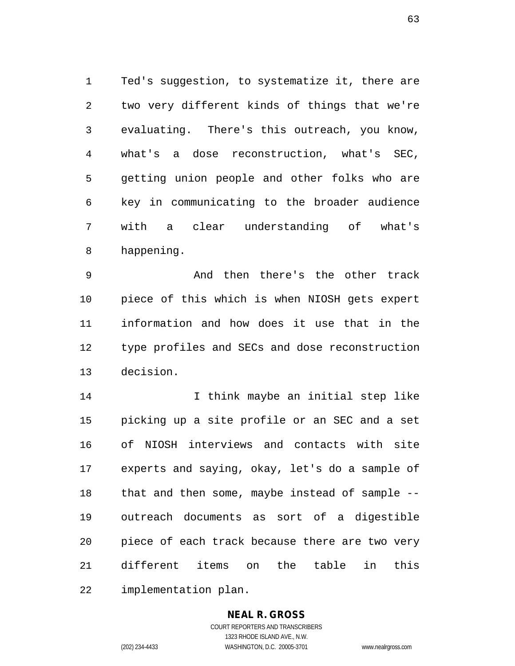Ted's suggestion, to systematize it, there are two very different kinds of things that we're evaluating. There's this outreach, you know, what's a dose reconstruction, what's SEC, getting union people and other folks who are key in communicating to the broader audience with a clear understanding of what's happening.

 And then there's the other track piece of this which is when NIOSH gets expert information and how does it use that in the type profiles and SECs and dose reconstruction decision.

 I think maybe an initial step like picking up a site profile or an SEC and a set of NIOSH interviews and contacts with site experts and saying, okay, let's do a sample of that and then some, maybe instead of sample -- outreach documents as sort of a digestible piece of each track because there are two very different items on the table in this implementation plan.

## **NEAL R. GROSS**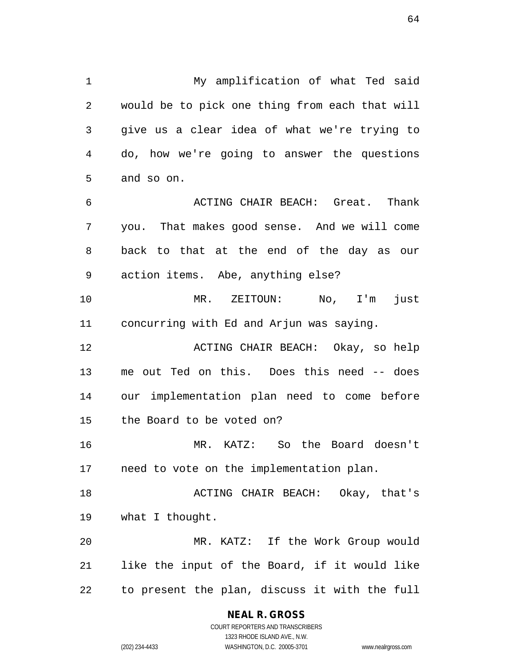My amplification of what Ted said would be to pick one thing from each that will give us a clear idea of what we're trying to do, how we're going to answer the questions and so on. ACTING CHAIR BEACH: Great. Thank you. That makes good sense. And we will come back to that at the end of the day as our action items. Abe, anything else? MR. ZEITOUN: No, I'm just concurring with Ed and Arjun was saying. ACTING CHAIR BEACH: Okay, so help me out Ted on this. Does this need -- does our implementation plan need to come before the Board to be voted on? MR. KATZ: So the Board doesn't need to vote on the implementation plan. ACTING CHAIR BEACH: Okay, that's what I thought.

 MR. KATZ: If the Work Group would like the input of the Board, if it would like to present the plan, discuss it with the full

> **NEAL R. GROSS** COURT REPORTERS AND TRANSCRIBERS

1323 RHODE ISLAND AVE., N.W. (202) 234-4433 WASHINGTON, D.C. 20005-3701 www.nealrgross.com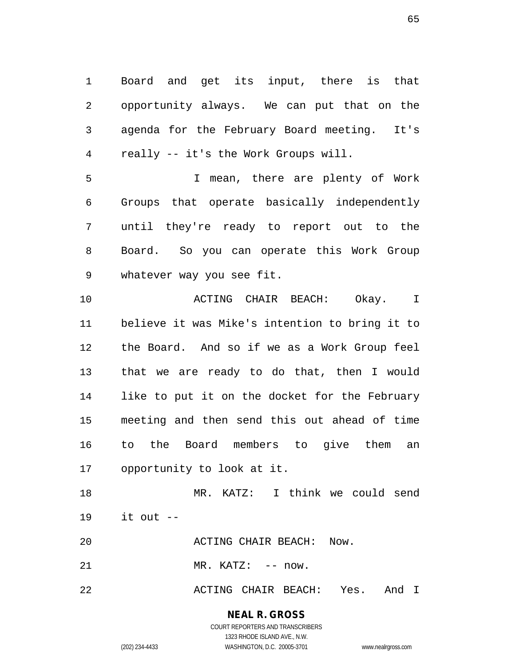Board and get its input, there is that opportunity always. We can put that on the agenda for the February Board meeting. It's really -- it's the Work Groups will.

 I mean, there are plenty of Work Groups that operate basically independently until they're ready to report out to the Board. So you can operate this Work Group whatever way you see fit.

 ACTING CHAIR BEACH: Okay. I believe it was Mike's intention to bring it to the Board. And so if we as a Work Group feel that we are ready to do that, then I would like to put it on the docket for the February meeting and then send this out ahead of time to the Board members to give them an opportunity to look at it.

 MR. KATZ: I think we could send it out --

ACTING CHAIR BEACH: Now.

21 MR. KATZ: -- now.

ACTING CHAIR BEACH: Yes. And I

**NEAL R. GROSS** COURT REPORTERS AND TRANSCRIBERS

1323 RHODE ISLAND AVE., N.W. (202) 234-4433 WASHINGTON, D.C. 20005-3701 www.nealrgross.com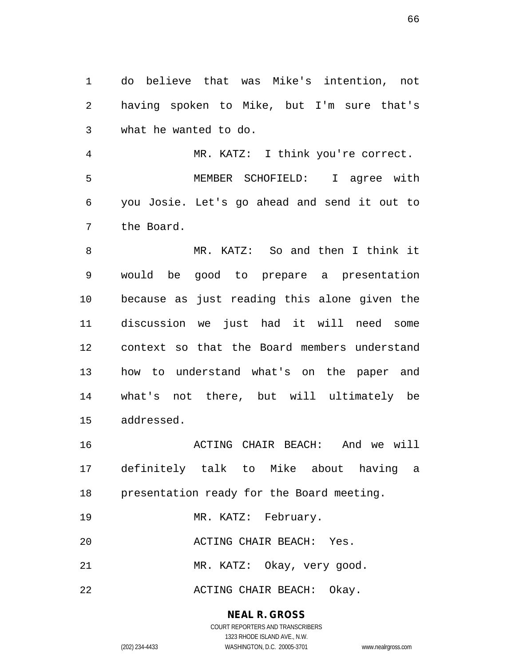do believe that was Mike's intention, not having spoken to Mike, but I'm sure that's what he wanted to do.

 MR. KATZ: I think you're correct. MEMBER SCHOFIELD: I agree with you Josie. Let's go ahead and send it out to the Board.

 MR. KATZ: So and then I think it would be good to prepare a presentation because as just reading this alone given the discussion we just had it will need some context so that the Board members understand how to understand what's on the paper and what's not there, but will ultimately be addressed.

 ACTING CHAIR BEACH: And we will definitely talk to Mike about having a presentation ready for the Board meeting.

19 MR. KATZ: February.

ACTING CHAIR BEACH: Yes.

21 MR. KATZ: Okay, very good.

22 ACTING CHAIR BEACH: Okay.

**NEAL R. GROSS** COURT REPORTERS AND TRANSCRIBERS

1323 RHODE ISLAND AVE., N.W. (202) 234-4433 WASHINGTON, D.C. 20005-3701 www.nealrgross.com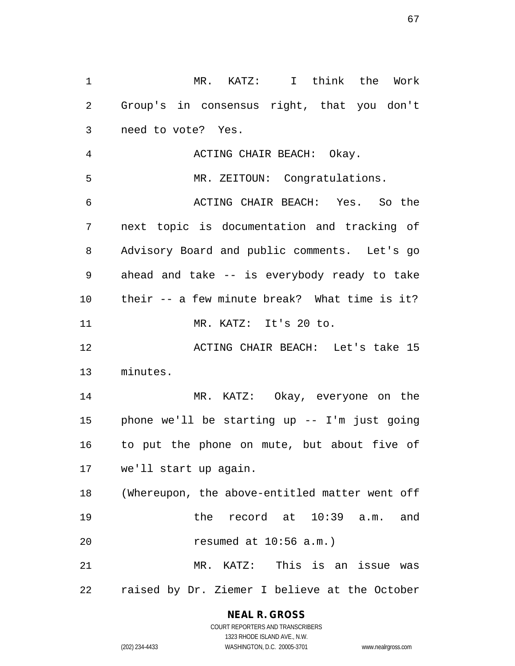MR. KATZ: I think the Work Group's in consensus right, that you don't need to vote? Yes.

 ACTING CHAIR BEACH: Okay. MR. ZEITOUN: Congratulations. ACTING CHAIR BEACH: Yes. So the next topic is documentation and tracking of Advisory Board and public comments. Let's go ahead and take -- is everybody ready to take their -- a few minute break? What time is it? 11 MR. KATZ: It's 20 to. ACTING CHAIR BEACH: Let's take 15 minutes. MR. KATZ: Okay, everyone on the phone we'll be starting up -- I'm just going to put the phone on mute, but about five of we'll start up again. (Whereupon, the above-entitled matter went off

 the record at 10:39 a.m. and resumed at 10:56 a.m.)

 MR. KATZ: This is an issue was raised by Dr. Ziemer I believe at the October

#### **NEAL R. GROSS**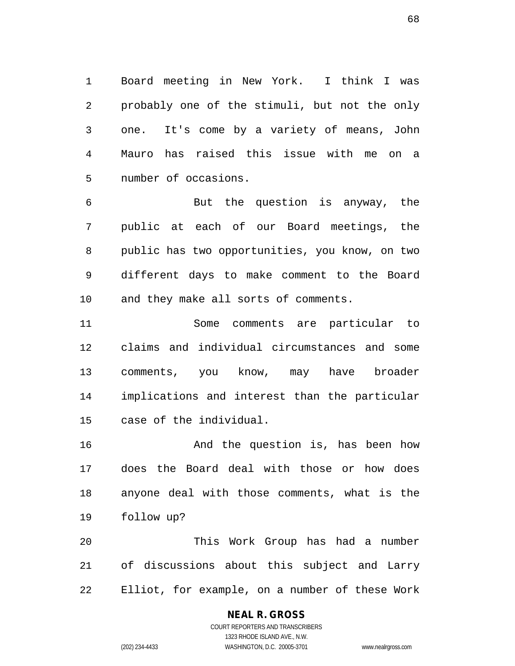Board meeting in New York. I think I was probably one of the stimuli, but not the only one. It's come by a variety of means, John Mauro has raised this issue with me on a number of occasions.

 But the question is anyway, the public at each of our Board meetings, the public has two opportunities, you know, on two different days to make comment to the Board and they make all sorts of comments.

 Some comments are particular to claims and individual circumstances and some comments, you know, may have broader implications and interest than the particular case of the individual.

 And the question is, has been how does the Board deal with those or how does anyone deal with those comments, what is the follow up?

 This Work Group has had a number of discussions about this subject and Larry Elliot, for example, on a number of these Work

#### **NEAL R. GROSS**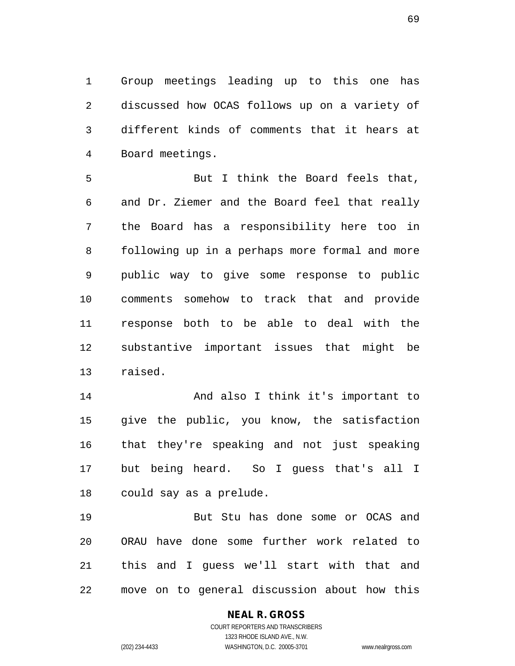Group meetings leading up to this one has discussed how OCAS follows up on a variety of different kinds of comments that it hears at Board meetings.

 But I think the Board feels that, and Dr. Ziemer and the Board feel that really the Board has a responsibility here too in following up in a perhaps more formal and more public way to give some response to public comments somehow to track that and provide response both to be able to deal with the substantive important issues that might be raised.

 And also I think it's important to give the public, you know, the satisfaction that they're speaking and not just speaking but being heard. So I guess that's all I could say as a prelude.

 But Stu has done some or OCAS and ORAU have done some further work related to this and I guess we'll start with that and move on to general discussion about how this

#### **NEAL R. GROSS**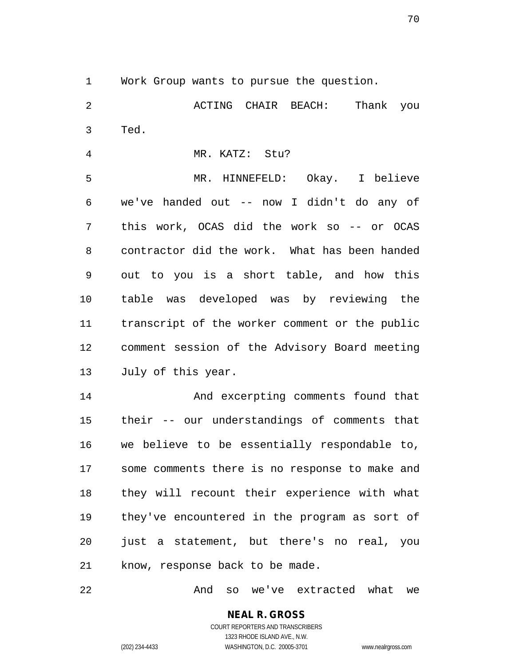Work Group wants to pursue the question.

 ACTING CHAIR BEACH: Thank you Ted.

MR. KATZ: Stu?

 MR. HINNEFELD: Okay. I believe we've handed out -- now I didn't do any of this work, OCAS did the work so -- or OCAS contractor did the work. What has been handed out to you is a short table, and how this table was developed was by reviewing the transcript of the worker comment or the public comment session of the Advisory Board meeting July of this year.

 And excerpting comments found that their -- our understandings of comments that we believe to be essentially respondable to, some comments there is no response to make and they will recount their experience with what they've encountered in the program as sort of just a statement, but there's no real, you know, response back to be made.

And so we've extracted what we

**NEAL R. GROSS** COURT REPORTERS AND TRANSCRIBERS 1323 RHODE ISLAND AVE., N.W.

(202) 234-4433 WASHINGTON, D.C. 20005-3701 www.nealrgross.com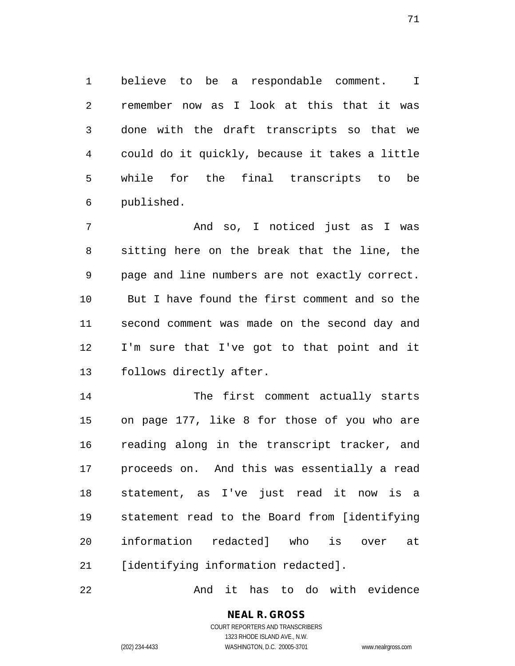believe to be a respondable comment. I remember now as I look at this that it was done with the draft transcripts so that we could do it quickly, because it takes a little while for the final transcripts to be published.

 And so, I noticed just as I was sitting here on the break that the line, the page and line numbers are not exactly correct. But I have found the first comment and so the second comment was made on the second day and I'm sure that I've got to that point and it follows directly after.

 The first comment actually starts on page 177, like 8 for those of you who are reading along in the transcript tracker, and proceeds on. And this was essentially a read statement, as I've just read it now is a statement read to the Board from [identifying information redacted] who is over at [identifying information redacted].

And it has to do with evidence

**NEAL R. GROSS** COURT REPORTERS AND TRANSCRIBERS 1323 RHODE ISLAND AVE., N.W.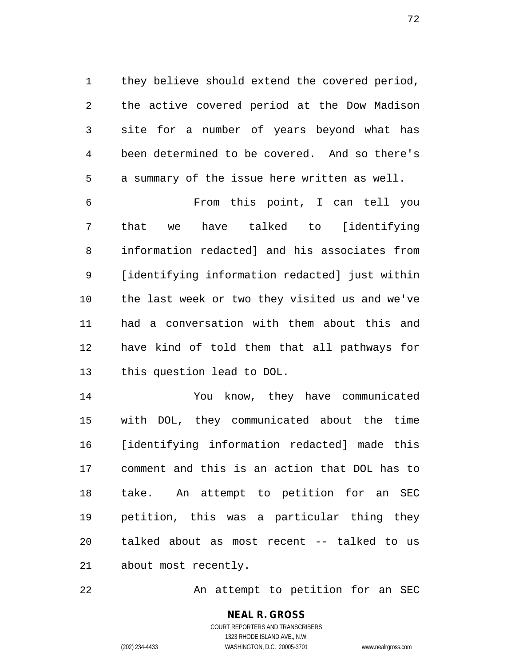they believe should extend the covered period, the active covered period at the Dow Madison site for a number of years beyond what has been determined to be covered. And so there's a summary of the issue here written as well.

 From this point, I can tell you that we have talked to [identifying information redacted] and his associates from [identifying information redacted] just within the last week or two they visited us and we've had a conversation with them about this and have kind of told them that all pathways for this question lead to DOL.

 You know, they have communicated with DOL, they communicated about the time [identifying information redacted] made this comment and this is an action that DOL has to take. An attempt to petition for an SEC petition, this was a particular thing they talked about as most recent -- talked to us about most recently.

22 An attempt to petition for an SEC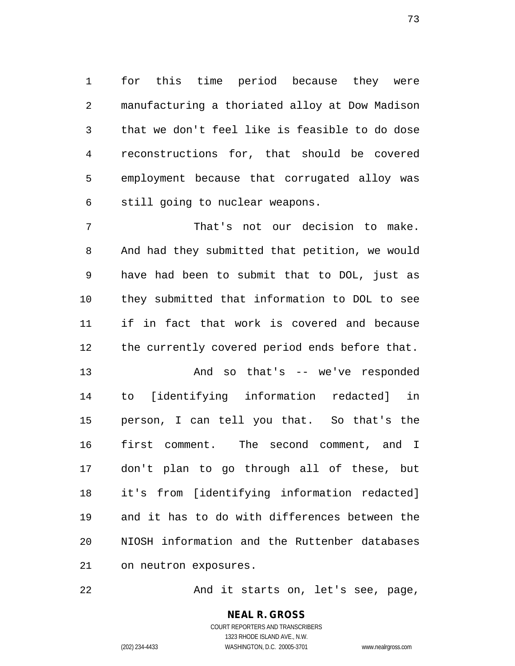for this time period because they were manufacturing a thoriated alloy at Dow Madison that we don't feel like is feasible to do dose reconstructions for, that should be covered employment because that corrugated alloy was still going to nuclear weapons.

 That's not our decision to make. And had they submitted that petition, we would have had been to submit that to DOL, just as they submitted that information to DOL to see if in fact that work is covered and because the currently covered period ends before that.

 And so that's -- we've responded to [identifying information redacted] in person, I can tell you that. So that's the first comment. The second comment, and I don't plan to go through all of these, but it's from [identifying information redacted] and it has to do with differences between the NIOSH information and the Ruttenber databases on neutron exposures.

22 And it starts on, let's see, page,

**NEAL R. GROSS** COURT REPORTERS AND TRANSCRIBERS 1323 RHODE ISLAND AVE., N.W. (202) 234-4433 WASHINGTON, D.C. 20005-3701 www.nealrgross.com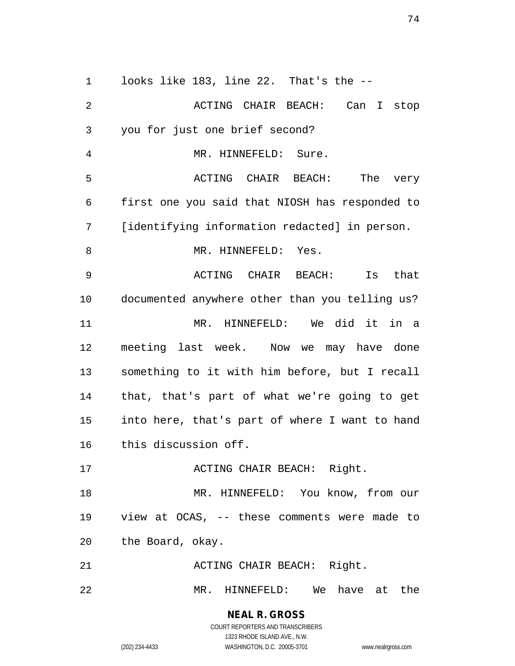looks like 183, line 22. That's the --

 ACTING CHAIR BEACH: Can I stop you for just one brief second? MR. HINNEFELD: Sure. ACTING CHAIR BEACH: The very first one you said that NIOSH has responded to [identifying information redacted] in person. 8 MR. HINNEFELD: Yes. ACTING CHAIR BEACH: Is that documented anywhere other than you telling us? MR. HINNEFELD: We did it in a meeting last week. Now we may have done something to it with him before, but I recall that, that's part of what we're going to get into here, that's part of where I want to hand this discussion off. 17 ACTING CHAIR BEACH: Right. 18 MR. HINNEFELD: You know, from our view at OCAS, -- these comments were made to the Board, okay. 21 ACTING CHAIR BEACH: Right. MR. HINNEFELD: We have at the

> **NEAL R. GROSS** COURT REPORTERS AND TRANSCRIBERS 1323 RHODE ISLAND AVE., N.W.

(202) 234-4433 WASHINGTON, D.C. 20005-3701 www.nealrgross.com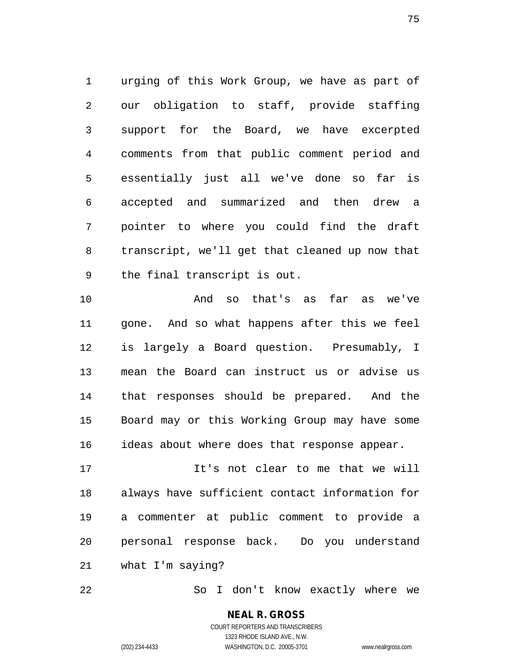urging of this Work Group, we have as part of our obligation to staff, provide staffing support for the Board, we have excerpted comments from that public comment period and essentially just all we've done so far is accepted and summarized and then drew a pointer to where you could find the draft transcript, we'll get that cleaned up now that the final transcript is out.

 And so that's as far as we've gone. And so what happens after this we feel is largely a Board question. Presumably, I mean the Board can instruct us or advise us that responses should be prepared. And the Board may or this Working Group may have some ideas about where does that response appear.

 It's not clear to me that we will always have sufficient contact information for a commenter at public comment to provide a personal response back. Do you understand what I'm saying?

So I don't know exactly where we

**NEAL R. GROSS** COURT REPORTERS AND TRANSCRIBERS 1323 RHODE ISLAND AVE., N.W. (202) 234-4433 WASHINGTON, D.C. 20005-3701 www.nealrgross.com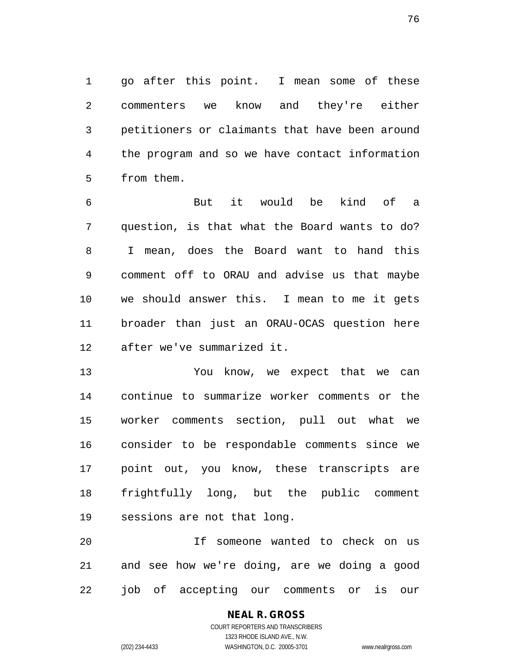go after this point. I mean some of these commenters we know and they're either petitioners or claimants that have been around the program and so we have contact information from them.

 But it would be kind of a question, is that what the Board wants to do? I mean, does the Board want to hand this comment off to ORAU and advise us that maybe we should answer this. I mean to me it gets broader than just an ORAU-OCAS question here after we've summarized it.

 You know, we expect that we can continue to summarize worker comments or the worker comments section, pull out what we consider to be respondable comments since we point out, you know, these transcripts are frightfully long, but the public comment sessions are not that long.

 If someone wanted to check on us and see how we're doing, are we doing a good job of accepting our comments or is our

> **NEAL R. GROSS** COURT REPORTERS AND TRANSCRIBERS 1323 RHODE ISLAND AVE., N.W. (202) 234-4433 WASHINGTON, D.C. 20005-3701 www.nealrgross.com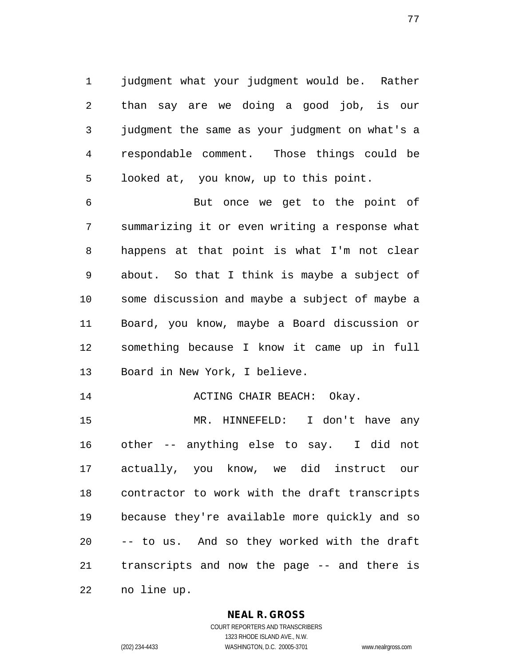judgment what your judgment would be. Rather than say are we doing a good job, is our judgment the same as your judgment on what's a respondable comment. Those things could be looked at, you know, up to this point.

 But once we get to the point of summarizing it or even writing a response what happens at that point is what I'm not clear about. So that I think is maybe a subject of some discussion and maybe a subject of maybe a Board, you know, maybe a Board discussion or something because I know it came up in full Board in New York, I believe.

14 ACTING CHAIR BEACH: Okay.

 MR. HINNEFELD: I don't have any other -- anything else to say. I did not actually, you know, we did instruct our contractor to work with the draft transcripts because they're available more quickly and so -- to us. And so they worked with the draft transcripts and now the page -- and there is no line up.

**NEAL R. GROSS**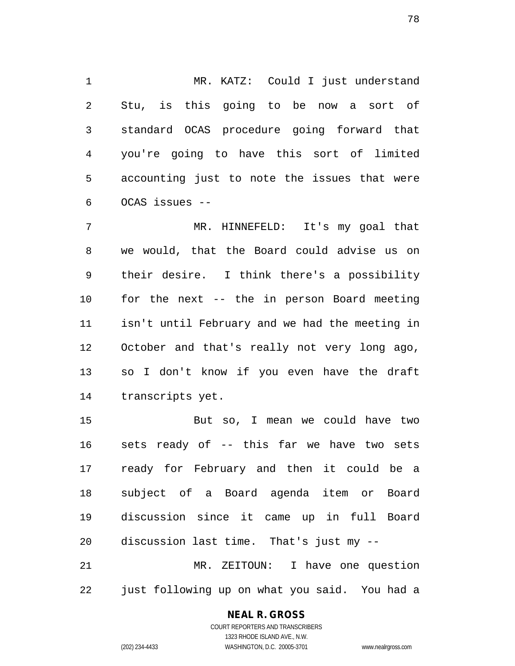MR. KATZ: Could I just understand Stu, is this going to be now a sort of standard OCAS procedure going forward that you're going to have this sort of limited accounting just to note the issues that were OCAS issues --

 MR. HINNEFELD: It's my goal that we would, that the Board could advise us on their desire. I think there's a possibility for the next -- the in person Board meeting isn't until February and we had the meeting in October and that's really not very long ago, so I don't know if you even have the draft transcripts yet.

 But so, I mean we could have two sets ready of -- this far we have two sets ready for February and then it could be a subject of a Board agenda item or Board discussion since it came up in full Board discussion last time. That's just my -- MR. ZEITOUN: I have one question just following up on what you said. You had a

#### **NEAL R. GROSS**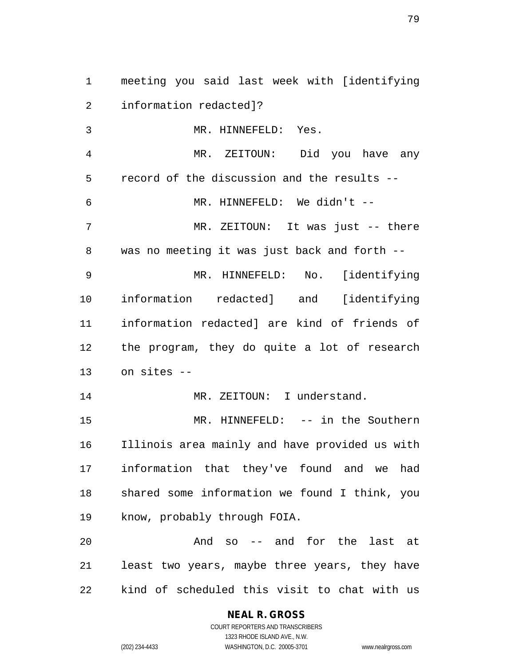meeting you said last week with [identifying information redacted]? MR. HINNEFELD: Yes. MR. ZEITOUN: Did you have any

record of the discussion and the results --

 MR. HINNEFELD: We didn't -- MR. ZEITOUN: It was just -- there was no meeting it was just back and forth --

 MR. HINNEFELD: No. [identifying information redacted] and [identifying information redacted] are kind of friends of the program, they do quite a lot of research on sites --

14 MR. ZEITOUN: I understand.

 MR. HINNEFELD: -- in the Southern Illinois area mainly and have provided us with information that they've found and we had shared some information we found I think, you know, probably through FOIA.

 And so -- and for the last at least two years, maybe three years, they have kind of scheduled this visit to chat with us

> **NEAL R. GROSS** COURT REPORTERS AND TRANSCRIBERS 1323 RHODE ISLAND AVE., N.W. (202) 234-4433 WASHINGTON, D.C. 20005-3701 www.nealrgross.com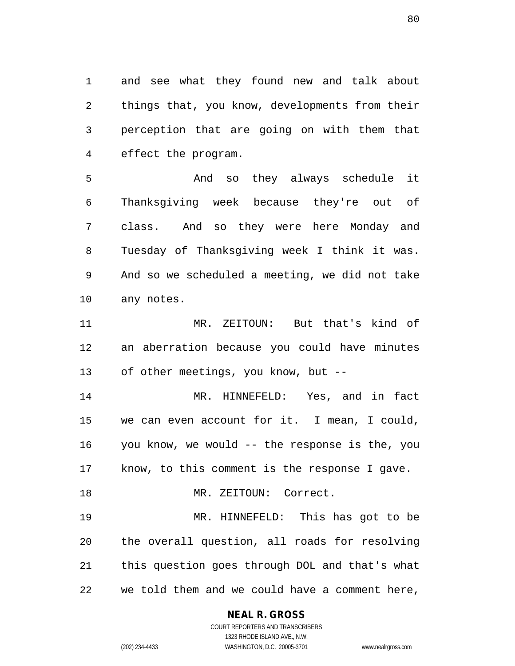and see what they found new and talk about things that, you know, developments from their perception that are going on with them that effect the program.

 And so they always schedule it Thanksgiving week because they're out of class. And so they were here Monday and Tuesday of Thanksgiving week I think it was. And so we scheduled a meeting, we did not take any notes.

 MR. ZEITOUN: But that's kind of an aberration because you could have minutes of other meetings, you know, but --

 MR. HINNEFELD: Yes, and in fact we can even account for it. I mean, I could, you know, we would -- the response is the, you know, to this comment is the response I gave.

18 MR. ZEITOUN: Correct.

 MR. HINNEFELD: This has got to be the overall question, all roads for resolving this question goes through DOL and that's what we told them and we could have a comment here,

#### **NEAL R. GROSS** COURT REPORTERS AND TRANSCRIBERS

1323 RHODE ISLAND AVE., N.W. (202) 234-4433 WASHINGTON, D.C. 20005-3701 www.nealrgross.com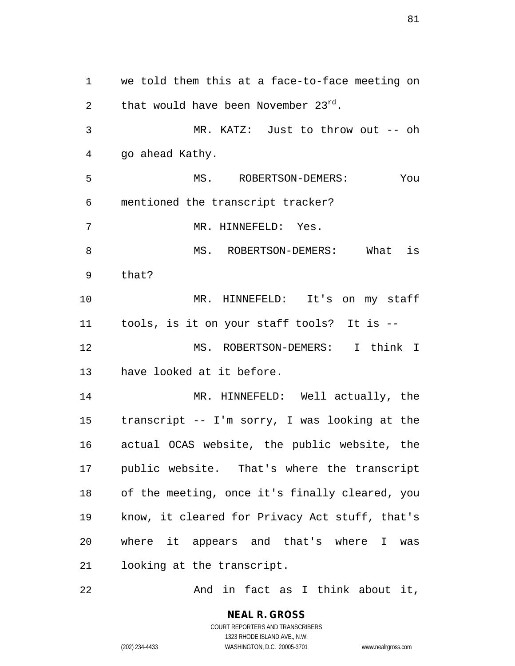we told them this at a face-to-face meeting on 2 that would have been November  $23^{rd}$ . MR. KATZ: Just to throw out -- oh go ahead Kathy. MS. ROBERTSON-DEMERS: You mentioned the transcript tracker? MR. HINNEFELD: Yes. MS. ROBERTSON-DEMERS: What is that? MR. HINNEFELD: It's on my staff tools, is it on your staff tools? It is -- MS. ROBERTSON-DEMERS: I think I have looked at it before. MR. HINNEFELD: Well actually, the transcript -- I'm sorry, I was looking at the actual OCAS website, the public website, the public website. That's where the transcript of the meeting, once it's finally cleared, you know, it cleared for Privacy Act stuff, that's where it appears and that's where I was looking at the transcript.

22 And in fact as I think about it,

**NEAL R. GROSS** COURT REPORTERS AND TRANSCRIBERS 1323 RHODE ISLAND AVE., N.W. (202) 234-4433 WASHINGTON, D.C. 20005-3701 www.nealrgross.com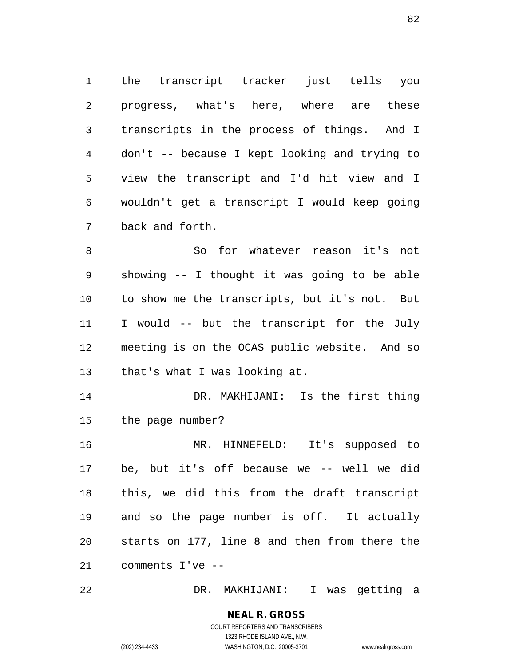the transcript tracker just tells you progress, what's here, where are these transcripts in the process of things. And I don't -- because I kept looking and trying to view the transcript and I'd hit view and I wouldn't get a transcript I would keep going back and forth.

 So for whatever reason it's not showing -- I thought it was going to be able to show me the transcripts, but it's not. But I would -- but the transcript for the July meeting is on the OCAS public website. And so that's what I was looking at.

 DR. MAKHIJANI: Is the first thing the page number?

 MR. HINNEFELD: It's supposed to be, but it's off because we -- well we did this, we did this from the draft transcript and so the page number is off. It actually starts on 177, line 8 and then from there the comments I've --

DR. MAKHIJANI: I was getting a

#### **NEAL R. GROSS** COURT REPORTERS AND TRANSCRIBERS 1323 RHODE ISLAND AVE., N.W.

(202) 234-4433 WASHINGTON, D.C. 20005-3701 www.nealrgross.com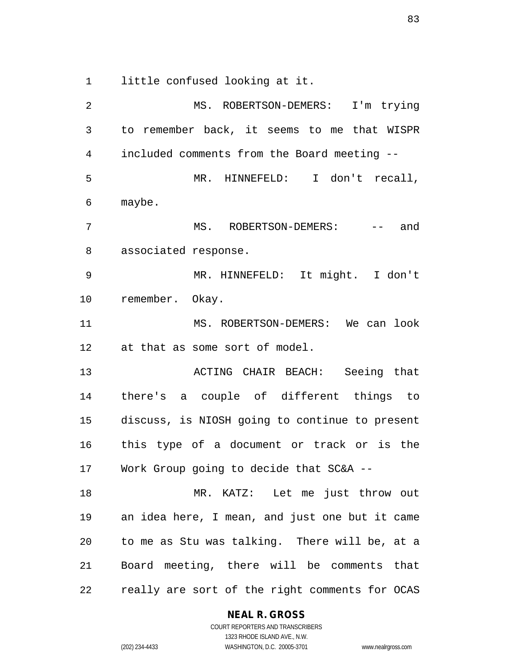little confused looking at it.

 MS. ROBERTSON-DEMERS: I'm trying to remember back, it seems to me that WISPR included comments from the Board meeting -- MR. HINNEFELD: I don't recall, maybe. 7 MS. ROBERTSON-DEMERS: -- and associated response. MR. HINNEFELD: It might. I don't remember. Okay. MS. ROBERTSON-DEMERS: We can look at that as some sort of model. ACTING CHAIR BEACH: Seeing that there's a couple of different things to discuss, is NIOSH going to continue to present this type of a document or track or is the Work Group going to decide that SC&A -- MR. KATZ: Let me just throw out an idea here, I mean, and just one but it came to me as Stu was talking. There will be, at a Board meeting, there will be comments that really are sort of the right comments for OCAS

#### **NEAL R. GROSS**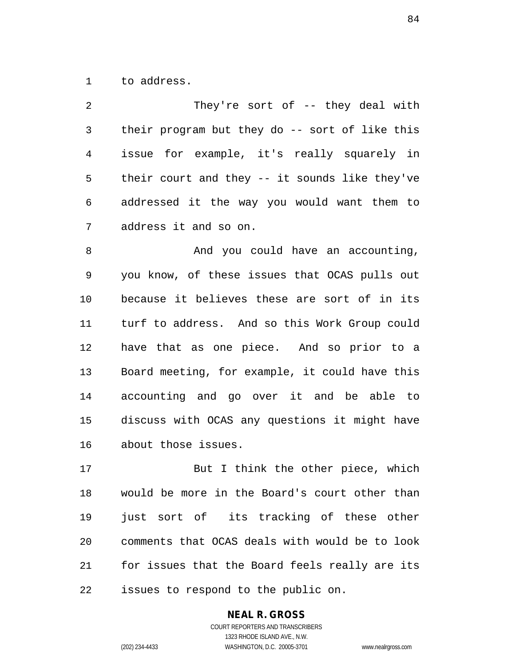to address.

| 2               | They're sort of $-$ they deal with             |
|-----------------|------------------------------------------------|
| 3               | their program but they do -- sort of like this |
| 4               | issue for example, it's really squarely in     |
| 5               | their court and they -- it sounds like they've |
| 6               | addressed it the way you would want them to    |
| 7               | address it and so on.                          |
| 8               | And you could have an accounting,              |
| 9               | you know, of these issues that OCAS pulls out  |
| 10              | because it believes these are sort of in its   |
| 11 <sub>1</sub> | turf to address. And so this Work Group could  |

 turf to address. And so this Work Group could have that as one piece. And so prior to a Board meeting, for example, it could have this accounting and go over it and be able to discuss with OCAS any questions it might have about those issues.

17 But I think the other piece, which would be more in the Board's court other than just sort of its tracking of these other comments that OCAS deals with would be to look for issues that the Board feels really are its issues to respond to the public on.

## **NEAL R. GROSS**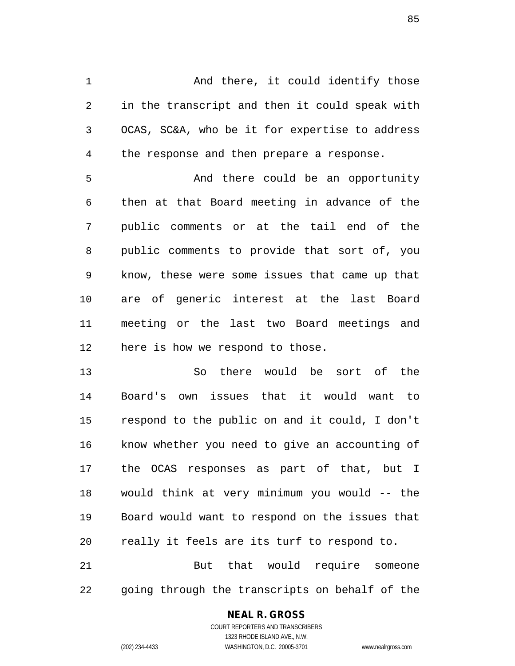1 And there, it could identify those in the transcript and then it could speak with OCAS, SC&A, who be it for expertise to address the response and then prepare a response.

 And there could be an opportunity then at that Board meeting in advance of the public comments or at the tail end of the public comments to provide that sort of, you know, these were some issues that came up that are of generic interest at the last Board meeting or the last two Board meetings and here is how we respond to those.

 So there would be sort of the Board's own issues that it would want to respond to the public on and it could, I don't know whether you need to give an accounting of the OCAS responses as part of that, but I would think at very minimum you would -- the Board would want to respond on the issues that really it feels are its turf to respond to. But that would require someone

going through the transcripts on behalf of the

#### **NEAL R. GROSS**

COURT REPORTERS AND TRANSCRIBERS 1323 RHODE ISLAND AVE., N.W. (202) 234-4433 WASHINGTON, D.C. 20005-3701 www.nealrgross.com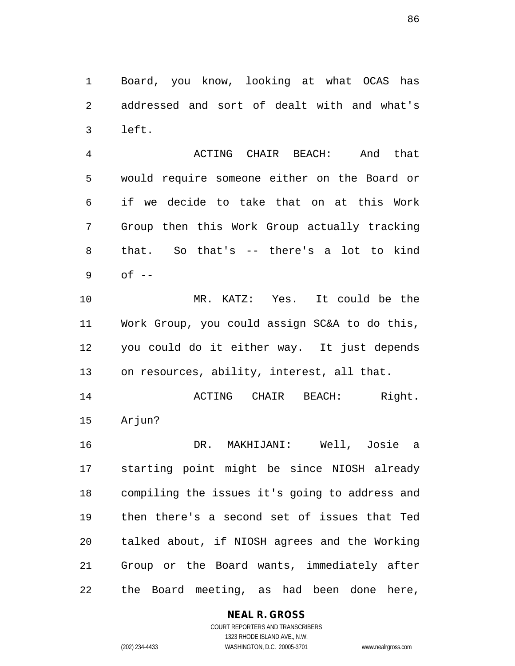Board, you know, looking at what OCAS has addressed and sort of dealt with and what's left.

 ACTING CHAIR BEACH: And that would require someone either on the Board or if we decide to take that on at this Work Group then this Work Group actually tracking that. So that's -- there's a lot to kind of  $-$ 

 MR. KATZ: Yes. It could be the Work Group, you could assign SC&A to do this, you could do it either way. It just depends on resources, ability, interest, all that.

 ACTING CHAIR BEACH: Right. Arjun?

 DR. MAKHIJANI: Well, Josie a starting point might be since NIOSH already compiling the issues it's going to address and then there's a second set of issues that Ted talked about, if NIOSH agrees and the Working Group or the Board wants, immediately after the Board meeting, as had been done here,

## **NEAL R. GROSS**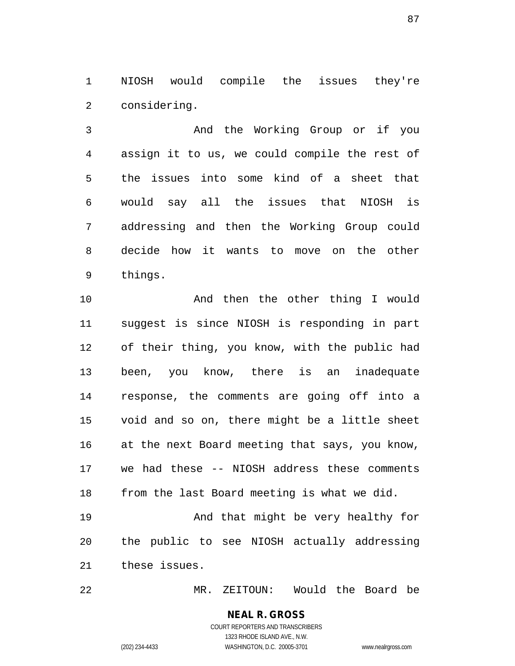NIOSH would compile the issues they're considering.

 And the Working Group or if you assign it to us, we could compile the rest of the issues into some kind of a sheet that would say all the issues that NIOSH is addressing and then the Working Group could decide how it wants to move on the other things.

 And then the other thing I would suggest is since NIOSH is responding in part of their thing, you know, with the public had been, you know, there is an inadequate response, the comments are going off into a void and so on, there might be a little sheet at the next Board meeting that says, you know, we had these -- NIOSH address these comments from the last Board meeting is what we did.

19 And that might be very healthy for the public to see NIOSH actually addressing these issues.

MR. ZEITOUN: Would the Board be

**NEAL R. GROSS** COURT REPORTERS AND TRANSCRIBERS 1323 RHODE ISLAND AVE., N.W.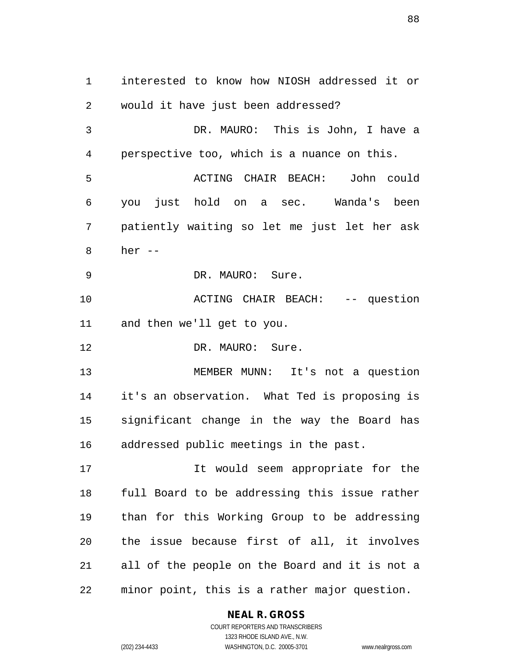interested to know how NIOSH addressed it or would it have just been addressed? DR. MAURO: This is John, I have a perspective too, which is a nuance on this. ACTING CHAIR BEACH: John could you just hold on a sec. Wanda's been patiently waiting so let me just let her ask her -- DR. MAURO: Sure. ACTING CHAIR BEACH: -- question and then we'll get to you. 12 DR. MAURO: Sure. MEMBER MUNN: It's not a question it's an observation. What Ted is proposing is significant change in the way the Board has addressed public meetings in the past. It would seem appropriate for the full Board to be addressing this issue rather than for this Working Group to be addressing the issue because first of all, it involves all of the people on the Board and it is not a minor point, this is a rather major question.

#### **NEAL R. GROSS**

COURT REPORTERS AND TRANSCRIBERS 1323 RHODE ISLAND AVE., N.W. (202) 234-4433 WASHINGTON, D.C. 20005-3701 www.nealrgross.com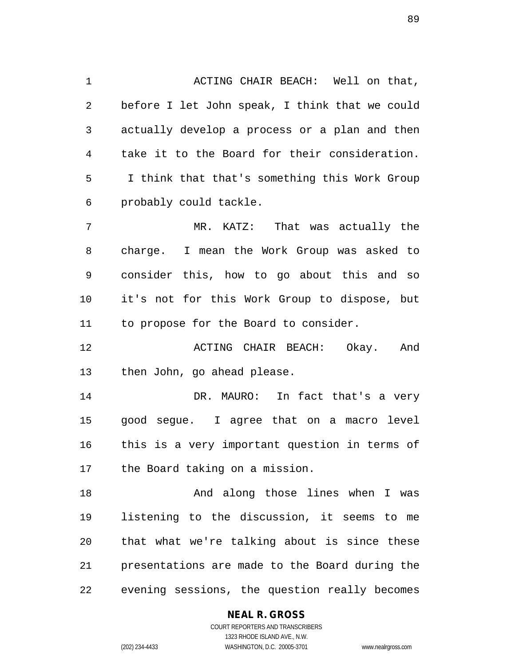ACTING CHAIR BEACH: Well on that, before I let John speak, I think that we could actually develop a process or a plan and then take it to the Board for their consideration. I think that that's something this Work Group probably could tackle.

 MR. KATZ: That was actually the charge. I mean the Work Group was asked to consider this, how to go about this and so it's not for this Work Group to dispose, but to propose for the Board to consider.

 ACTING CHAIR BEACH: Okay. And then John, go ahead please.

 DR. MAURO: In fact that's a very good segue. I agree that on a macro level this is a very important question in terms of the Board taking on a mission.

 And along those lines when I was listening to the discussion, it seems to me that what we're talking about is since these presentations are made to the Board during the evening sessions, the question really becomes

#### **NEAL R. GROSS**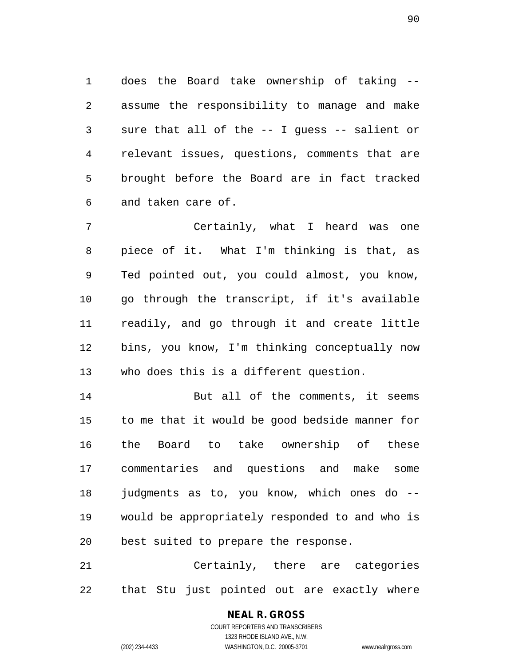does the Board take ownership of taking -- assume the responsibility to manage and make sure that all of the -- I guess -- salient or relevant issues, questions, comments that are brought before the Board are in fact tracked and taken care of.

 Certainly, what I heard was one piece of it. What I'm thinking is that, as Ted pointed out, you could almost, you know, go through the transcript, if it's available readily, and go through it and create little bins, you know, I'm thinking conceptually now who does this is a different question.

14 But all of the comments, it seems to me that it would be good bedside manner for the Board to take ownership of these commentaries and questions and make some judgments as to, you know, which ones do -- would be appropriately responded to and who is best suited to prepare the response.

 Certainly, there are categories that Stu just pointed out are exactly where

# **NEAL R. GROSS**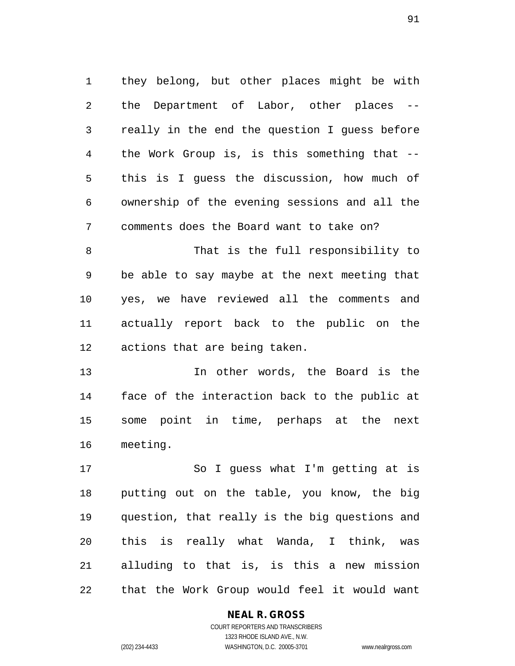they belong, but other places might be with the Department of Labor, other places -- really in the end the question I guess before the Work Group is, is this something that -- this is I guess the discussion, how much of ownership of the evening sessions and all the comments does the Board want to take on? That is the full responsibility to be able to say maybe at the next meeting that

 yes, we have reviewed all the comments and actually report back to the public on the actions that are being taken.

 In other words, the Board is the face of the interaction back to the public at some point in time, perhaps at the next meeting.

 So I guess what I'm getting at is putting out on the table, you know, the big question, that really is the big questions and this is really what Wanda, I think, was alluding to that is, is this a new mission that the Work Group would feel it would want

#### **NEAL R. GROSS**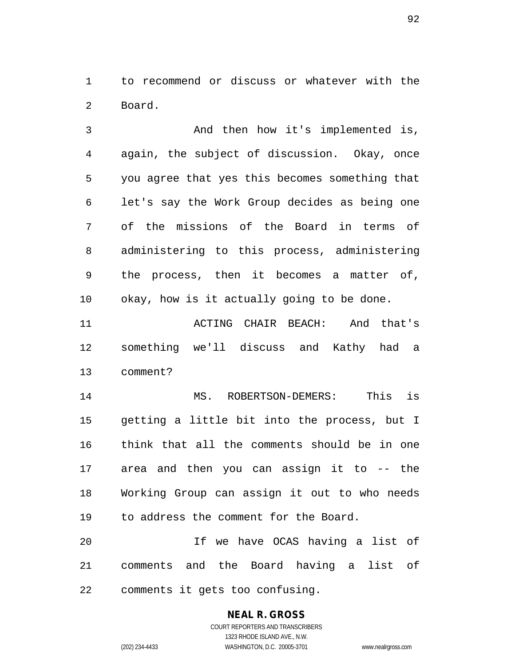to recommend or discuss or whatever with the Board.

 And then how it's implemented is, again, the subject of discussion. Okay, once you agree that yes this becomes something that let's say the Work Group decides as being one of the missions of the Board in terms of administering to this process, administering the process, then it becomes a matter of, okay, how is it actually going to be done.

 ACTING CHAIR BEACH: And that's something we'll discuss and Kathy had a comment?

 MS. ROBERTSON-DEMERS: This is getting a little bit into the process, but I think that all the comments should be in one area and then you can assign it to -- the Working Group can assign it out to who needs to address the comment for the Board.

 If we have OCAS having a list of comments and the Board having a list of comments it gets too confusing.

## **NEAL R. GROSS**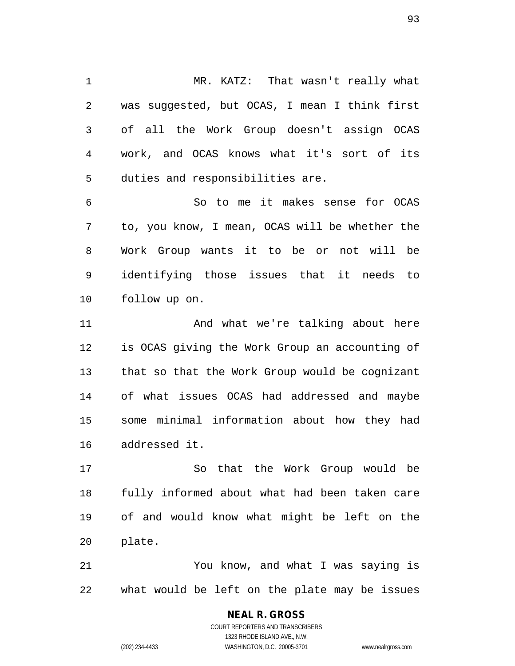MR. KATZ: That wasn't really what was suggested, but OCAS, I mean I think first of all the Work Group doesn't assign OCAS work, and OCAS knows what it's sort of its duties and responsibilities are.

 So to me it makes sense for OCAS to, you know, I mean, OCAS will be whether the Work Group wants it to be or not will be identifying those issues that it needs to follow up on.

11 And what we're talking about here is OCAS giving the Work Group an accounting of that so that the Work Group would be cognizant of what issues OCAS had addressed and maybe some minimal information about how they had addressed it.

 So that the Work Group would be fully informed about what had been taken care of and would know what might be left on the plate.

 You know, and what I was saying is what would be left on the plate may be issues

# **NEAL R. GROSS**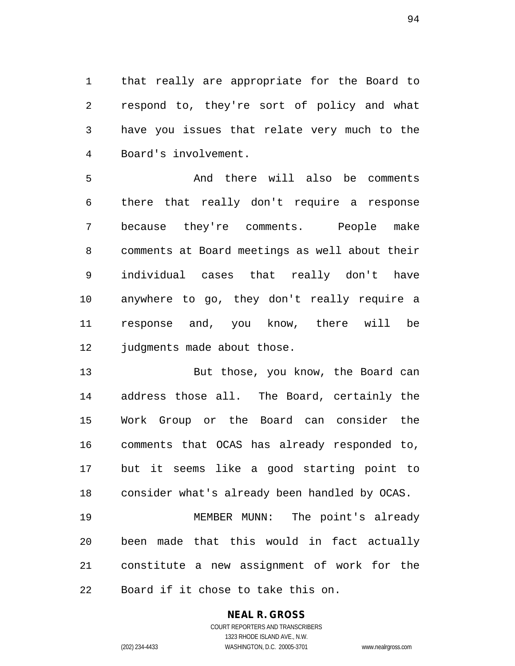that really are appropriate for the Board to respond to, they're sort of policy and what have you issues that relate very much to the Board's involvement.

 And there will also be comments there that really don't require a response because they're comments. People make comments at Board meetings as well about their individual cases that really don't have anywhere to go, they don't really require a response and, you know, there will be 12 judgments made about those.

 But those, you know, the Board can address those all. The Board, certainly the Work Group or the Board can consider the comments that OCAS has already responded to, but it seems like a good starting point to consider what's already been handled by OCAS.

 MEMBER MUNN: The point's already been made that this would in fact actually constitute a new assignment of work for the Board if it chose to take this on.

## **NEAL R. GROSS**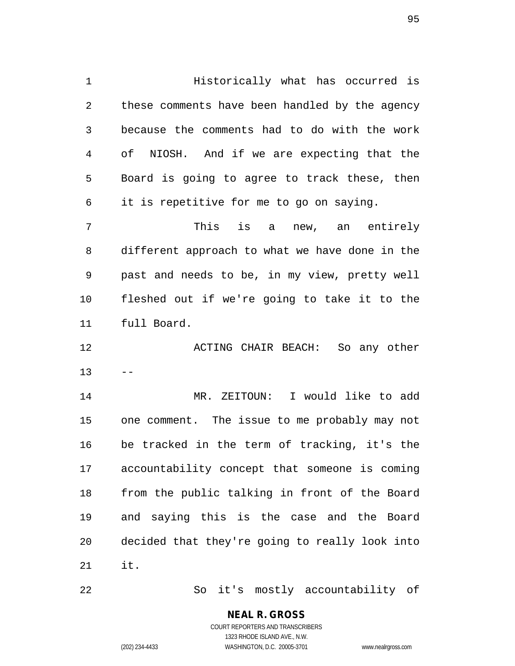Historically what has occurred is these comments have been handled by the agency because the comments had to do with the work of NIOSH. And if we are expecting that the Board is going to agree to track these, then it is repetitive for me to go on saying. This is a new, an entirely different approach to what we have done in the past and needs to be, in my view, pretty well fleshed out if we're going to take it to the full Board. ACTING CHAIR BEACH: So any other

 $13 - -$ 

 MR. ZEITOUN: I would like to add one comment. The issue to me probably may not be tracked in the term of tracking, it's the accountability concept that someone is coming from the public talking in front of the Board and saying this is the case and the Board decided that they're going to really look into it.

So it's mostly accountability of

**NEAL R. GROSS** COURT REPORTERS AND TRANSCRIBERS

1323 RHODE ISLAND AVE., N.W.

(202) 234-4433 WASHINGTON, D.C. 20005-3701 www.nealrgross.com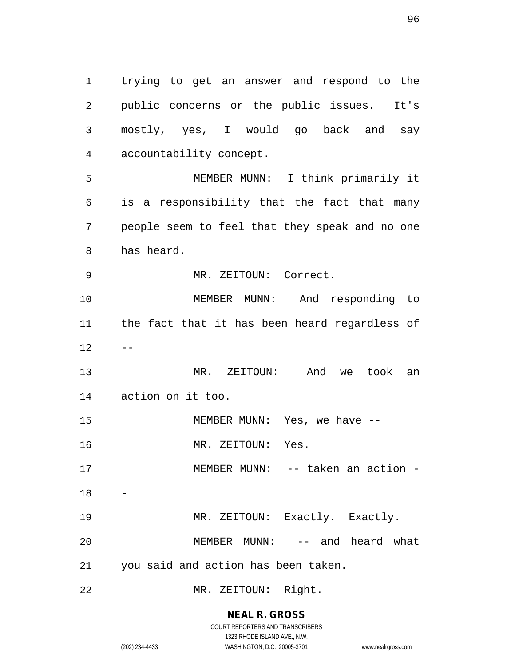trying to get an answer and respond to the public concerns or the public issues. It's mostly, yes, I would go back and say accountability concept. MEMBER MUNN: I think primarily it is a responsibility that the fact that many people seem to feel that they speak and no one has heard. MR. ZEITOUN: Correct. MEMBER MUNN: And responding to the fact that it has been heard regardless of  $12 - -$  MR. ZEITOUN: And we took an action on it too. 15 MEMBER MUNN: Yes, we have --16 MR. ZEITOUN: Yes. MEMBER MUNN: -- taken an action - 

 MR. ZEITOUN: Exactly. Exactly. MEMBER MUNN: -- and heard what you said and action has been taken.

MR. ZEITOUN: Right.

**NEAL R. GROSS** COURT REPORTERS AND TRANSCRIBERS

1323 RHODE ISLAND AVE., N.W. (202) 234-4433 WASHINGTON, D.C. 20005-3701 www.nealrgross.com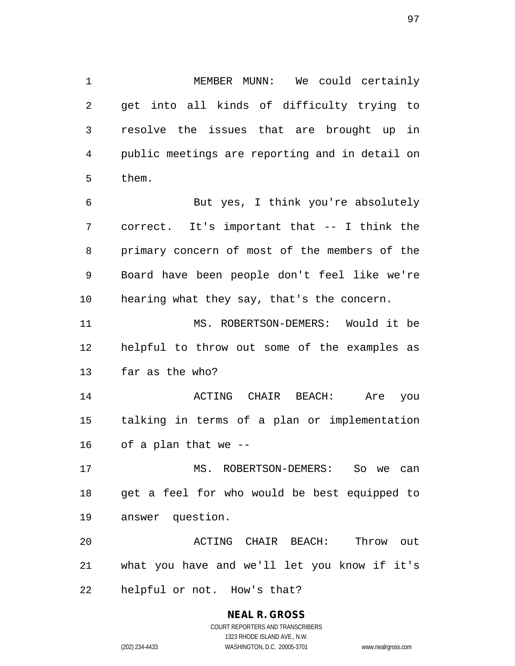MEMBER MUNN: We could certainly get into all kinds of difficulty trying to resolve the issues that are brought up in public meetings are reporting and in detail on them.

 But yes, I think you're absolutely correct. It's important that -- I think the primary concern of most of the members of the Board have been people don't feel like we're hearing what they say, that's the concern.

 MS. ROBERTSON-DEMERS: Would it be helpful to throw out some of the examples as far as the who?

 ACTING CHAIR BEACH: Are you talking in terms of a plan or implementation of a plan that we --

 MS. ROBERTSON-DEMERS: So we can get a feel for who would be best equipped to answer question.

 ACTING CHAIR BEACH: Throw out what you have and we'll let you know if it's helpful or not. How's that?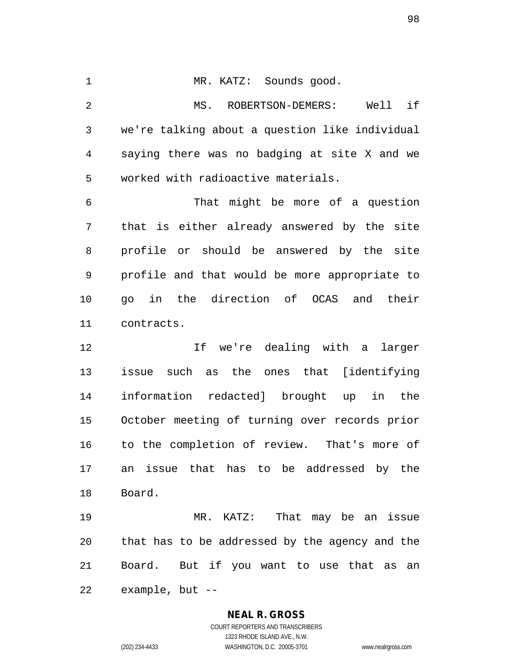MR. KATZ: Sounds good. MS. ROBERTSON-DEMERS: Well if we're talking about a question like individual saying there was no badging at site X and we worked with radioactive materials. That might be more of a question that is either already answered by the site profile or should be answered by the site profile and that would be more appropriate to go in the direction of OCAS and their contracts. If we're dealing with a larger issue such as the ones that [identifying information redacted] brought up in the October meeting of turning over records prior

 to the completion of review. That's more of an issue that has to be addressed by the Board.

 MR. KATZ: That may be an issue that has to be addressed by the agency and the Board. But if you want to use that as an example, but --

#### **NEAL R. GROSS**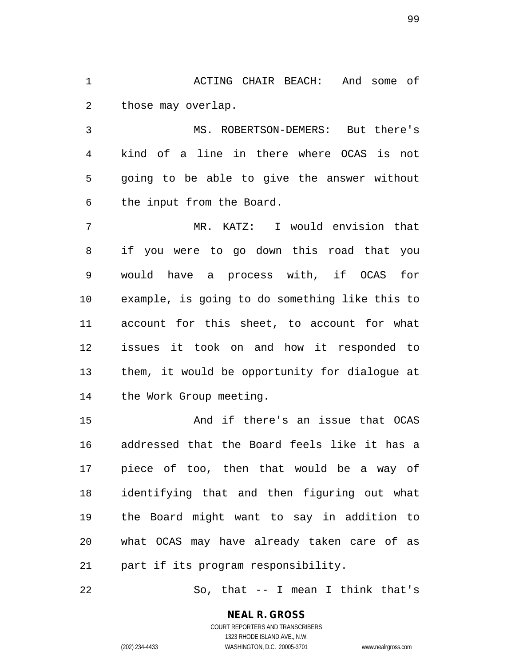1 ACTING CHAIR BEACH: And some of those may overlap.

 MS. ROBERTSON-DEMERS: But there's kind of a line in there where OCAS is not going to be able to give the answer without the input from the Board.

 MR. KATZ: I would envision that if you were to go down this road that you would have a process with, if OCAS for example, is going to do something like this to account for this sheet, to account for what issues it took on and how it responded to them, it would be opportunity for dialogue at the Work Group meeting.

 And if there's an issue that OCAS addressed that the Board feels like it has a piece of too, then that would be a way of identifying that and then figuring out what the Board might want to say in addition to what OCAS may have already taken care of as part if its program responsibility.

So, that -- I mean I think that's

# **NEAL R. GROSS**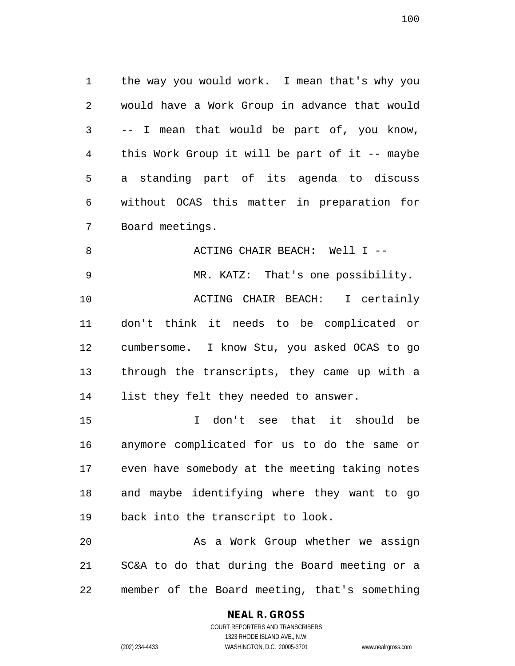the way you would work. I mean that's why you would have a Work Group in advance that would -- I mean that would be part of, you know, this Work Group it will be part of it -- maybe a standing part of its agenda to discuss without OCAS this matter in preparation for Board meetings.

 ACTING CHAIR BEACH: Well I -- MR. KATZ: That's one possibility. ACTING CHAIR BEACH: I certainly don't think it needs to be complicated or cumbersome. I know Stu, you asked OCAS to go through the transcripts, they came up with a list they felt they needed to answer.

 I don't see that it should be anymore complicated for us to do the same or even have somebody at the meeting taking notes and maybe identifying where they want to go back into the transcript to look.

 As a Work Group whether we assign SC&A to do that during the Board meeting or a member of the Board meeting, that's something

#### **NEAL R. GROSS** COURT REPORTERS AND TRANSCRIBERS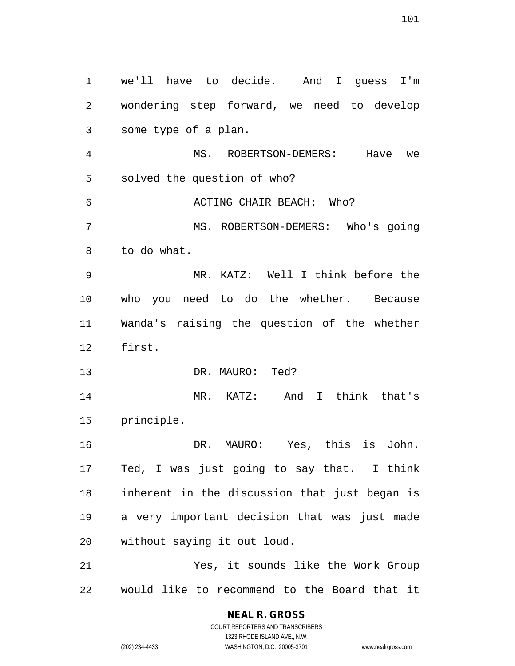we'll have to decide. And I guess I'm wondering step forward, we need to develop some type of a plan. MS. ROBERTSON-DEMERS: Have we solved the question of who? ACTING CHAIR BEACH: Who? MS. ROBERTSON-DEMERS: Who's going to do what. MR. KATZ: Well I think before the who you need to do the whether. Because Wanda's raising the question of the whether first. DR. MAURO: Ted? MR. KATZ: And I think that's principle. DR. MAURO: Yes, this is John. Ted, I was just going to say that. I think inherent in the discussion that just began is a very important decision that was just made without saying it out loud. Yes, it sounds like the Work Group would like to recommend to the Board that it

(202) 234-4433 WASHINGTON, D.C. 20005-3701 www.nealrgross.com

COURT REPORTERS AND TRANSCRIBERS 1323 RHODE ISLAND AVE., N.W.

**NEAL R. GROSS**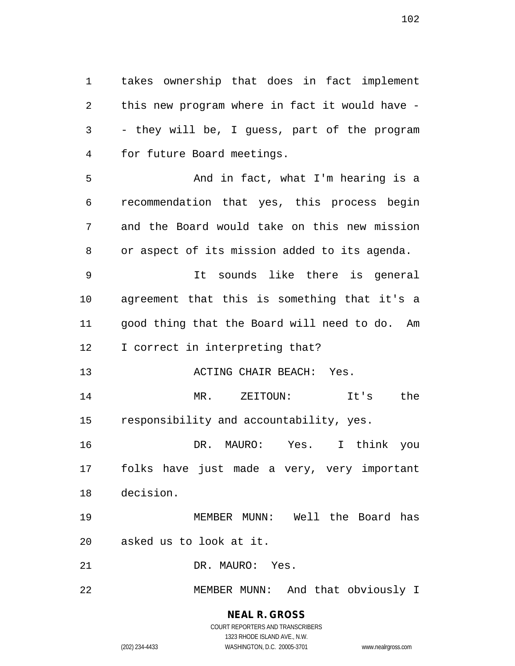takes ownership that does in fact implement this new program where in fact it would have - - they will be, I guess, part of the program for future Board meetings.

 And in fact, what I'm hearing is a recommendation that yes, this process begin and the Board would take on this new mission or aspect of its mission added to its agenda.

 It sounds like there is general agreement that this is something that it's a good thing that the Board will need to do. Am 12 I correct in interpreting that?

ACTING CHAIR BEACH: Yes.

 MR. ZEITOUN: It's the responsibility and accountability, yes.

 DR. MAURO: Yes. I think you folks have just made a very, very important decision.

 MEMBER MUNN: Well the Board has asked us to look at it.

DR. MAURO: Yes.

MEMBER MUNN: And that obviously I

**NEAL R. GROSS** COURT REPORTERS AND TRANSCRIBERS 1323 RHODE ISLAND AVE., N.W.

(202) 234-4433 WASHINGTON, D.C. 20005-3701 www.nealrgross.com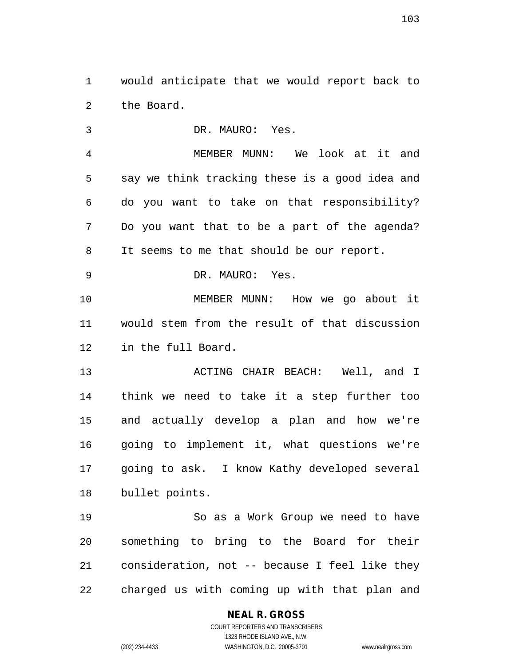would anticipate that we would report back to the Board.

 DR. MAURO: Yes. MEMBER MUNN: We look at it and say we think tracking these is a good idea and do you want to take on that responsibility? Do you want that to be a part of the agenda? It seems to me that should be our report. DR. MAURO: Yes. MEMBER MUNN: How we go about it would stem from the result of that discussion in the full Board. ACTING CHAIR BEACH: Well, and I think we need to take it a step further too and actually develop a plan and how we're going to implement it, what questions we're going to ask. I know Kathy developed several bullet points. So as a Work Group we need to have something to bring to the Board for their consideration, not -- because I feel like they

charged us with coming up with that plan and

**NEAL R. GROSS**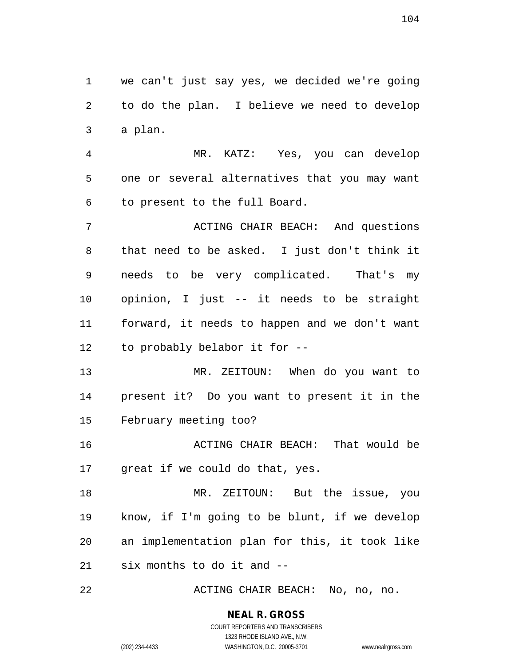we can't just say yes, we decided we're going to do the plan. I believe we need to develop a plan.

 MR. KATZ: Yes, you can develop one or several alternatives that you may want to present to the full Board.

 ACTING CHAIR BEACH: And questions that need to be asked. I just don't think it needs to be very complicated. That's my opinion, I just -- it needs to be straight forward, it needs to happen and we don't want to probably belabor it for --

 MR. ZEITOUN: When do you want to present it? Do you want to present it in the February meeting too?

 ACTING CHAIR BEACH: That would be great if we could do that, yes.

 MR. ZEITOUN: But the issue, you know, if I'm going to be blunt, if we develop an implementation plan for this, it took like six months to do it and --

ACTING CHAIR BEACH: No, no, no.

## **NEAL R. GROSS**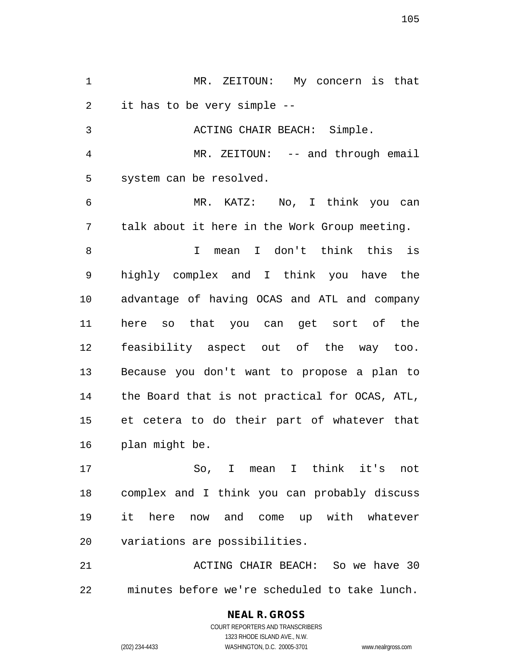MR. ZEITOUN: My concern is that it has to be very simple -- ACTING CHAIR BEACH: Simple. MR. ZEITOUN: -- and through email system can be resolved. MR. KATZ: No, I think you can talk about it here in the Work Group meeting. I mean I don't think this is highly complex and I think you have the advantage of having OCAS and ATL and company here so that you can get sort of the feasibility aspect out of the way too. Because you don't want to propose a plan to the Board that is not practical for OCAS, ATL, et cetera to do their part of whatever that plan might be. So, I mean I think it's not

 complex and I think you can probably discuss it here now and come up with whatever variations are possibilities.

21 ACTING CHAIR BEACH: So we have 30 minutes before we're scheduled to take lunch.

> **NEAL R. GROSS** COURT REPORTERS AND TRANSCRIBERS 1323 RHODE ISLAND AVE., N.W.

(202) 234-4433 WASHINGTON, D.C. 20005-3701 www.nealrgross.com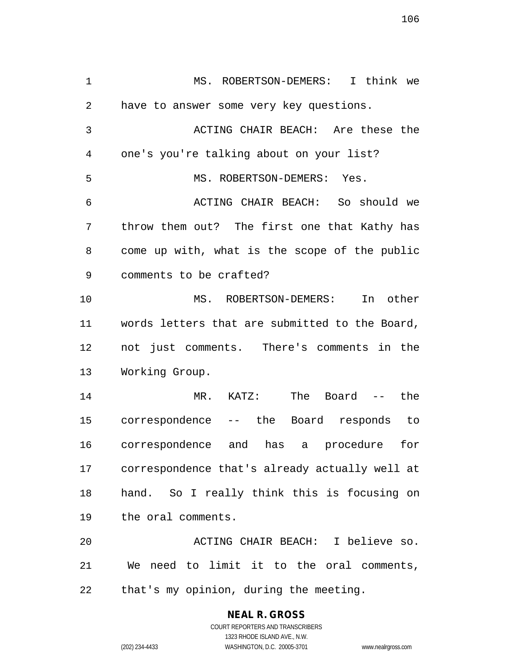MS. ROBERTSON-DEMERS: I think we have to answer some very key questions. ACTING CHAIR BEACH: Are these the one's you're talking about on your list? MS. ROBERTSON-DEMERS: Yes. ACTING CHAIR BEACH: So should we throw them out? The first one that Kathy has come up with, what is the scope of the public comments to be crafted? MS. ROBERTSON-DEMERS: In other words letters that are submitted to the Board, not just comments. There's comments in the Working Group. MR. KATZ: The Board -- the correspondence -- the Board responds to correspondence and has a procedure for correspondence that's already actually well at hand. So I really think this is focusing on the oral comments. ACTING CHAIR BEACH: I believe so. We need to limit it to the oral comments,

that's my opinion, during the meeting.

# **NEAL R. GROSS**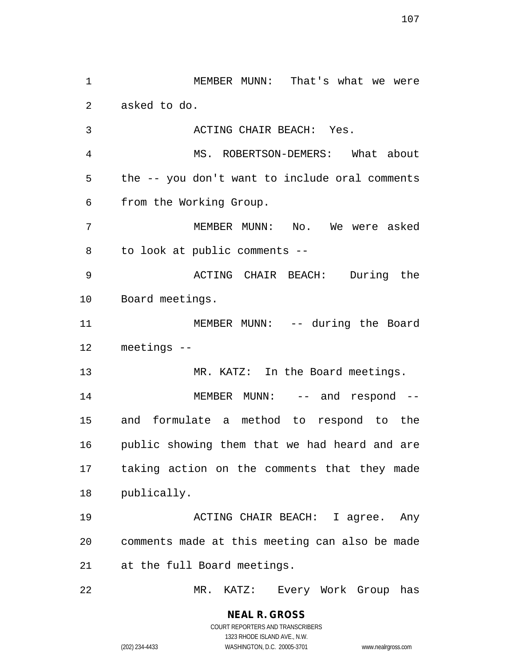MEMBER MUNN: That's what we were asked to do. ACTING CHAIR BEACH: Yes. MS. ROBERTSON-DEMERS: What about the -- you don't want to include oral comments from the Working Group. MEMBER MUNN: No. We were asked to look at public comments -- ACTING CHAIR BEACH: During the Board meetings. 11 MEMBER MUNN: -- during the Board meetings -- 13 MR. KATZ: In the Board meetings. 14 MEMBER MUNN: -- and respond -- and formulate a method to respond to the public showing them that we had heard and are taking action on the comments that they made publically. ACTING CHAIR BEACH: I agree. Any comments made at this meeting can also be made at the full Board meetings. MR. KATZ: Every Work Group has

> **NEAL R. GROSS** COURT REPORTERS AND TRANSCRIBERS

> > 1323 RHODE ISLAND AVE., N.W.

(202) 234-4433 WASHINGTON, D.C. 20005-3701 www.nealrgross.com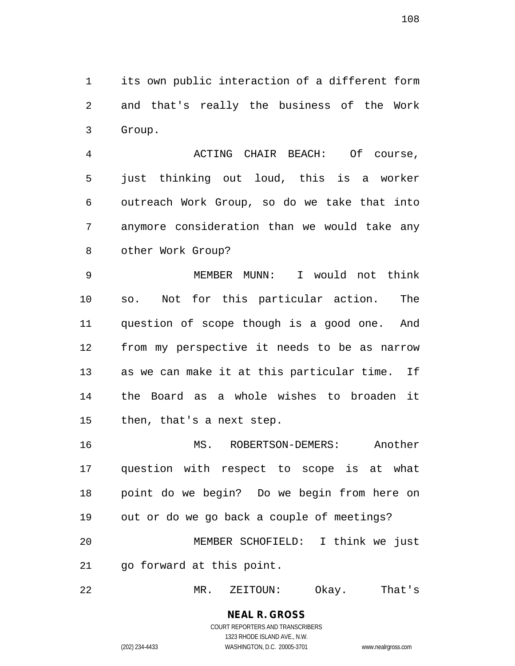its own public interaction of a different form and that's really the business of the Work Group.

 ACTING CHAIR BEACH: Of course, just thinking out loud, this is a worker outreach Work Group, so do we take that into anymore consideration than we would take any other Work Group?

 MEMBER MUNN: I would not think so. Not for this particular action. The question of scope though is a good one. And from my perspective it needs to be as narrow as we can make it at this particular time. If the Board as a whole wishes to broaden it then, that's a next step.

 MS. ROBERTSON-DEMERS: Another question with respect to scope is at what point do we begin? Do we begin from here on out or do we go back a couple of meetings? MEMBER SCHOFIELD: I think we just go forward at this point.

MR. ZEITOUN: Okay. That's

**NEAL R. GROSS** COURT REPORTERS AND TRANSCRIBERS 1323 RHODE ISLAND AVE., N.W.

(202) 234-4433 WASHINGTON, D.C. 20005-3701 www.nealrgross.com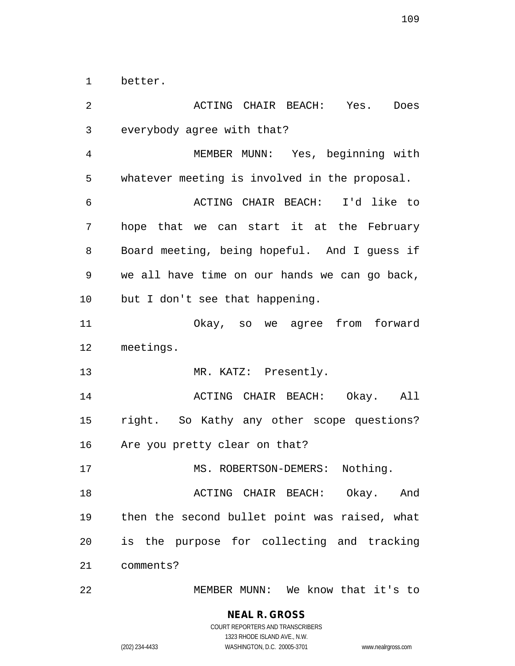better.

 ACTING CHAIR BEACH: Yes. Does everybody agree with that? MEMBER MUNN: Yes, beginning with whatever meeting is involved in the proposal. ACTING CHAIR BEACH: I'd like to hope that we can start it at the February Board meeting, being hopeful. And I guess if we all have time on our hands we can go back, but I don't see that happening. Okay, so we agree from forward meetings. 13 MR. KATZ: Presently. ACTING CHAIR BEACH: Okay. All right. So Kathy any other scope questions? Are you pretty clear on that? 17 MS. ROBERTSON-DEMERS: Nothing. **18 ACTING CHAIR BEACH:** Okay. And then the second bullet point was raised, what is the purpose for collecting and tracking comments? MEMBER MUNN: We know that it's to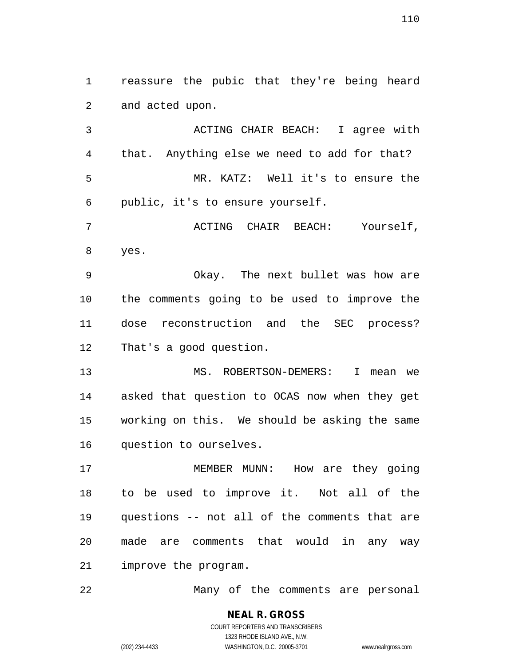reassure the pubic that they're being heard and acted upon.

 ACTING CHAIR BEACH: I agree with that. Anything else we need to add for that? MR. KATZ: Well it's to ensure the public, it's to ensure yourself.

 ACTING CHAIR BEACH: Yourself, yes.

 Okay. The next bullet was how are the comments going to be used to improve the dose reconstruction and the SEC process? That's a good question.

13 MS. ROBERTSON-DEMERS: I mean we asked that question to OCAS now when they get working on this. We should be asking the same question to ourselves.

 MEMBER MUNN: How are they going to be used to improve it. Not all of the questions -- not all of the comments that are made are comments that would in any way improve the program.

Many of the comments are personal

**NEAL R. GROSS** COURT REPORTERS AND TRANSCRIBERS 1323 RHODE ISLAND AVE., N.W. (202) 234-4433 WASHINGTON, D.C. 20005-3701 www.nealrgross.com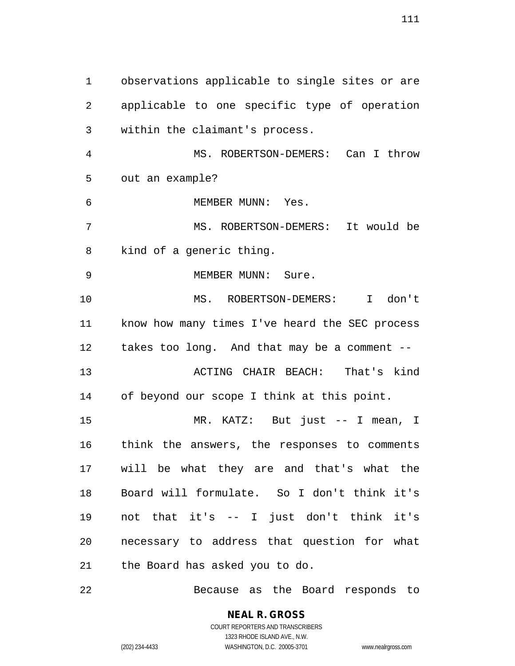observations applicable to single sites or are applicable to one specific type of operation within the claimant's process. MS. ROBERTSON-DEMERS: Can I throw out an example? MEMBER MUNN: Yes. MS. ROBERTSON-DEMERS: It would be kind of a generic thing. 9 MEMBER MUNN: Sure. MS. ROBERTSON-DEMERS: I don't know how many times I've heard the SEC process takes too long. And that may be a comment -- ACTING CHAIR BEACH: That's kind of beyond our scope I think at this point. MR. KATZ: But just -- I mean, I think the answers, the responses to comments will be what they are and that's what the Board will formulate. So I don't think it's not that it's -- I just don't think it's necessary to address that question for what the Board has asked you to do.

Because as the Board responds to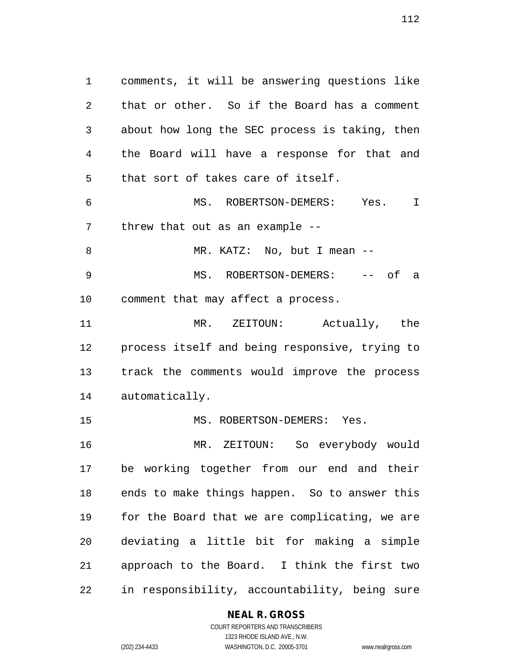comments, it will be answering questions like that or other. So if the Board has a comment about how long the SEC process is taking, then the Board will have a response for that and that sort of takes care of itself. MS. ROBERTSON-DEMERS: Yes. I threw that out as an example -- 8 MR. KATZ: No, but I mean -- MS. ROBERTSON-DEMERS: -- of a comment that may affect a process. MR. ZEITOUN: Actually, the process itself and being responsive, trying to track the comments would improve the process automatically. 15 MS. ROBERTSON-DEMERS: Yes. MR. ZEITOUN: So everybody would

 be working together from our end and their ends to make things happen. So to answer this for the Board that we are complicating, we are deviating a little bit for making a simple approach to the Board. I think the first two in responsibility, accountability, being sure

### **NEAL R. GROSS**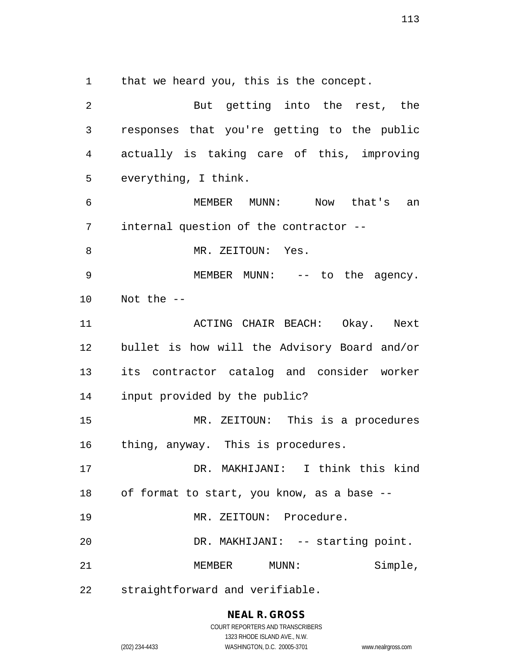that we heard you, this is the concept.

| 2  | But getting into the rest, the                |
|----|-----------------------------------------------|
| 3  | responses that you're getting to the public   |
| 4  | actually is taking care of this, improving    |
| 5  | everything, I think.                          |
| 6  | MEMBER MUNN: Now that's an                    |
| 7  | internal question of the contractor --        |
| 8  | MR. ZEITOUN: Yes.                             |
| 9  | MEMBER MUNN: -- to the agency.                |
| 10 | Not the $-$                                   |
| 11 | ACTING CHAIR BEACH: Okay. Next                |
| 12 | bullet is how will the Advisory Board and/or  |
| 13 | its contractor catalog and consider worker    |
| 14 | input provided by the public?                 |
| 15 | MR. ZEITOUN: This is a procedures             |
| 16 | thing, anyway. This is procedures.            |
| 17 | DR. MAKHIJANI: I think this kind              |
|    | 18 of format to start, you know, as a base -- |
| 19 | MR. ZEITOUN: Procedure.                       |
| 20 | DR. MAKHIJANI: -- starting point.             |
| 21 | Simple,<br>MEMBER MUNN:                       |
| 22 | straightforward and verifiable.               |

**NEAL R. GROSS** COURT REPORTERS AND TRANSCRIBERS

1323 RHODE ISLAND AVE., N.W. (202) 234-4433 WASHINGTON, D.C. 20005-3701 www.nealrgross.com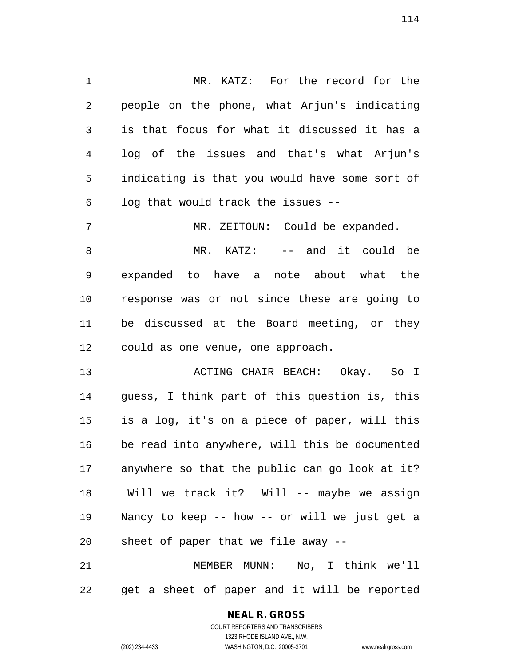MR. KATZ: For the record for the people on the phone, what Arjun's indicating is that focus for what it discussed it has a log of the issues and that's what Arjun's indicating is that you would have some sort of log that would track the issues --

 MR. KATZ: -- and it could be expanded to have a note about what the response was or not since these are going to be discussed at the Board meeting, or they could as one venue, one approach.

7 MR. ZEITOUN: Could be expanded.

 ACTING CHAIR BEACH: Okay. So I guess, I think part of this question is, this is a log, it's on a piece of paper, will this be read into anywhere, will this be documented anywhere so that the public can go look at it? Will we track it? Will -- maybe we assign Nancy to keep -- how -- or will we just get a sheet of paper that we file away --

 MEMBER MUNN: No, I think we'll get a sheet of paper and it will be reported

## **NEAL R. GROSS**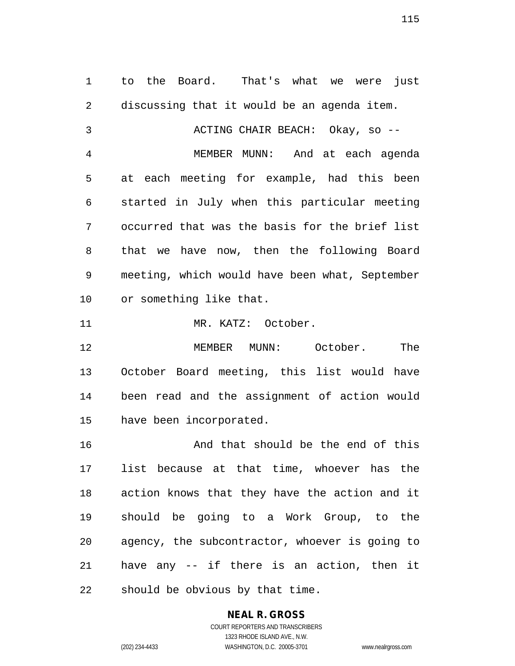to the Board. That's what we were just discussing that it would be an agenda item. ACTING CHAIR BEACH: Okay, so -- MEMBER MUNN: And at each agenda at each meeting for example, had this been started in July when this particular meeting occurred that was the basis for the brief list that we have now, then the following Board meeting, which would have been what, September or something like that. 11 MR. KATZ: October. MEMBER MUNN: October. The

 October Board meeting, this list would have been read and the assignment of action would have been incorporated.

16 And that should be the end of this list because at that time, whoever has the action knows that they have the action and it should be going to a Work Group, to the agency, the subcontractor, whoever is going to have any -- if there is an action, then it should be obvious by that time.

# **NEAL R. GROSS**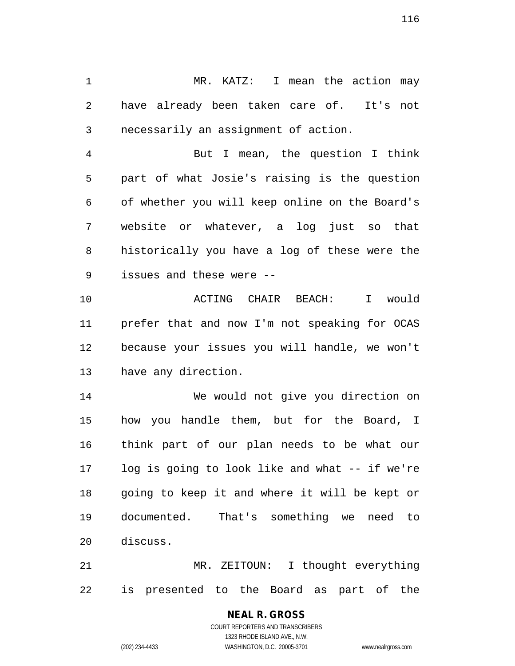MR. KATZ: I mean the action may have already been taken care of. It's not necessarily an assignment of action.

 But I mean, the question I think part of what Josie's raising is the question of whether you will keep online on the Board's website or whatever, a log just so that historically you have a log of these were the issues and these were --

 ACTING CHAIR BEACH: I would prefer that and now I'm not speaking for OCAS because your issues you will handle, we won't have any direction.

 We would not give you direction on how you handle them, but for the Board, I think part of our plan needs to be what our log is going to look like and what -- if we're going to keep it and where it will be kept or documented. That's something we need to discuss.

 MR. ZEITOUN: I thought everything is presented to the Board as part of the

> COURT REPORTERS AND TRANSCRIBERS 1323 RHODE ISLAND AVE., N.W. (202) 234-4433 WASHINGTON, D.C. 20005-3701 www.nealrgross.com

**NEAL R. GROSS**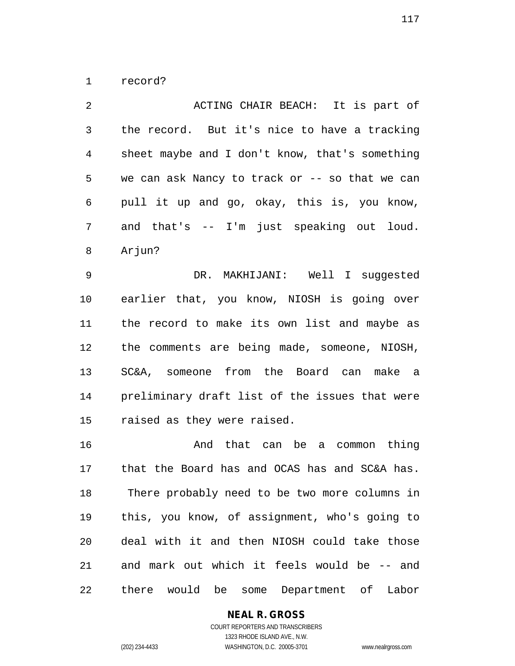record?

 ACTING CHAIR BEACH: It is part of the record. But it's nice to have a tracking sheet maybe and I don't know, that's something we can ask Nancy to track or -- so that we can pull it up and go, okay, this is, you know, and that's -- I'm just speaking out loud. Arjun? DR. MAKHIJANI: Well I suggested

 earlier that, you know, NIOSH is going over the record to make its own list and maybe as the comments are being made, someone, NIOSH, SC&A, someone from the Board can make a preliminary draft list of the issues that were raised as they were raised.

 And that can be a common thing that the Board has and OCAS has and SC&A has. There probably need to be two more columns in this, you know, of assignment, who's going to deal with it and then NIOSH could take those and mark out which it feels would be -- and there would be some Department of Labor

**NEAL R. GROSS**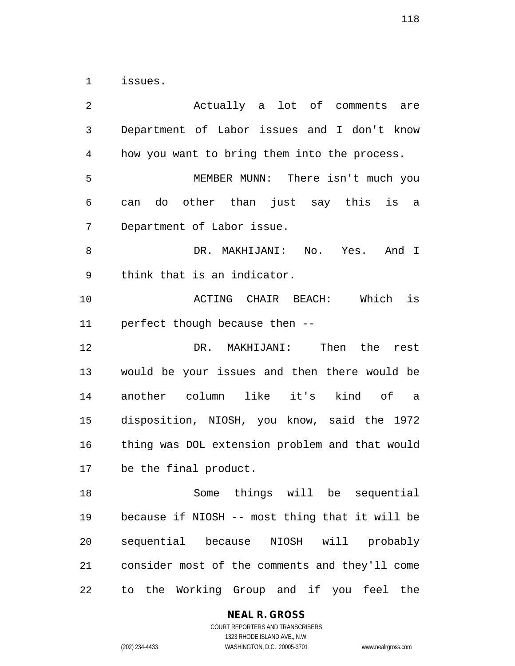issues.

 Actually a lot of comments are Department of Labor issues and I don't know how you want to bring them into the process. MEMBER MUNN: There isn't much you can do other than just say this is a Department of Labor issue. DR. MAKHIJANI: No. Yes. And I think that is an indicator. ACTING CHAIR BEACH: Which is perfect though because then -- DR. MAKHIJANI: Then the rest would be your issues and then there would be another column like it's kind of a disposition, NIOSH, you know, said the 1972 thing was DOL extension problem and that would be the final product. Some things will be sequential because if NIOSH -- most thing that it will be sequential because NIOSH will probably consider most of the comments and they'll come to the Working Group and if you feel the

**NEAL R. GROSS**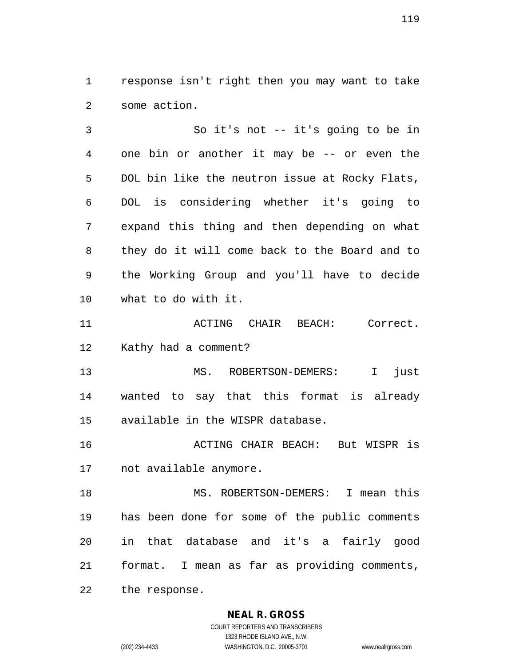response isn't right then you may want to take some action.

 So it's not -- it's going to be in one bin or another it may be -- or even the DOL bin like the neutron issue at Rocky Flats, DOL is considering whether it's going to expand this thing and then depending on what they do it will come back to the Board and to the Working Group and you'll have to decide what to do with it.

**ACTING CHAIR BEACH:** Correct. Kathy had a comment?

 MS. ROBERTSON-DEMERS: I just wanted to say that this format is already available in the WISPR database.

 ACTING CHAIR BEACH: But WISPR is not available anymore.

 MS. ROBERTSON-DEMERS: I mean this has been done for some of the public comments in that database and it's a fairly good format. I mean as far as providing comments,

**NEAL R. GROSS**

the response.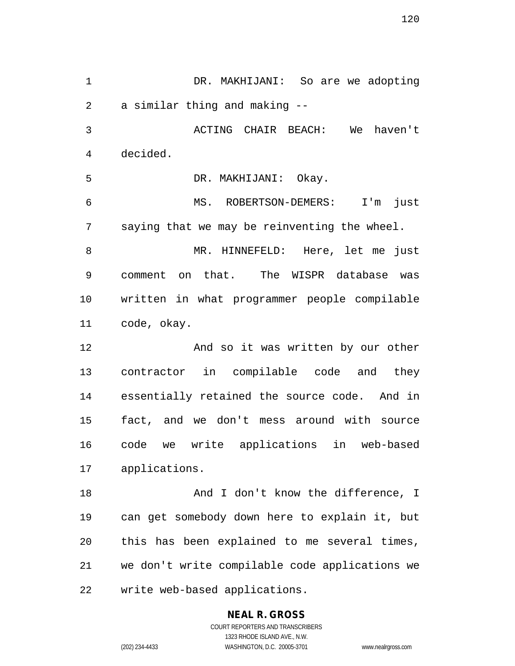DR. MAKHIJANI: So are we adopting a similar thing and making -- ACTING CHAIR BEACH: We haven't decided. DR. MAKHIJANI: Okay. MS. ROBERTSON-DEMERS: I'm just saying that we may be reinventing the wheel. MR. HINNEFELD: Here, let me just comment on that. The WISPR database was written in what programmer people compilable code, okay. And so it was written by our other contractor in compilable code and they essentially retained the source code. And in fact, and we don't mess around with source code we write applications in web-based applications. **And I don't know the difference, I**  can get somebody down here to explain it, but this has been explained to me several times, we don't write compilable code applications we write web-based applications.

## **NEAL R. GROSS**

COURT REPORTERS AND TRANSCRIBERS 1323 RHODE ISLAND AVE., N.W. (202) 234-4433 WASHINGTON, D.C. 20005-3701 www.nealrgross.com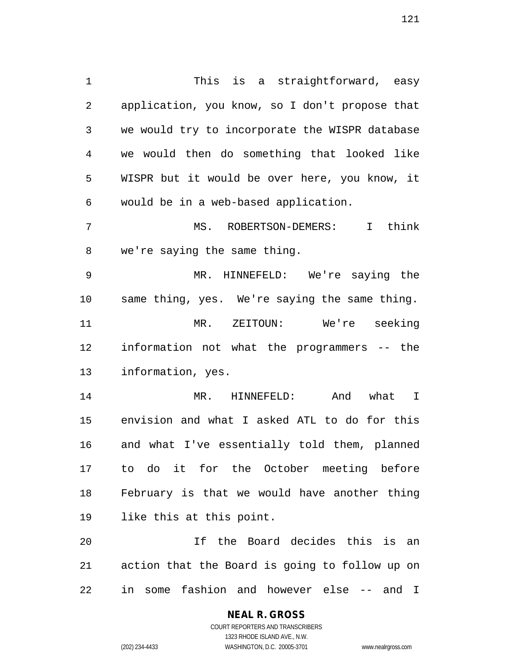This is a straightforward, easy application, you know, so I don't propose that we would try to incorporate the WISPR database we would then do something that looked like WISPR but it would be over here, you know, it would be in a web-based application. MS. ROBERTSON-DEMERS: I think we're saying the same thing. MR. HINNEFELD: We're saying the same thing, yes. We're saying the same thing. MR. ZEITOUN: We're seeking information not what the programmers -- the information, yes.

 MR. HINNEFELD: And what I envision and what I asked ATL to do for this and what I've essentially told them, planned to do it for the October meeting before February is that we would have another thing like this at this point.

 If the Board decides this is an action that the Board is going to follow up on in some fashion and however else -- and I

1323 RHODE ISLAND AVE., N.W.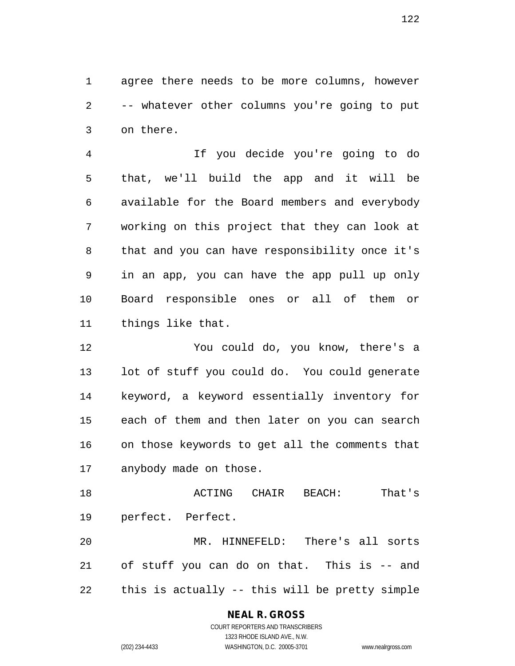agree there needs to be more columns, however -- whatever other columns you're going to put on there.

 If you decide you're going to do that, we'll build the app and it will be available for the Board members and everybody working on this project that they can look at that and you can have responsibility once it's in an app, you can have the app pull up only Board responsible ones or all of them or things like that.

 You could do, you know, there's a lot of stuff you could do. You could generate keyword, a keyword essentially inventory for each of them and then later on you can search on those keywords to get all the comments that anybody made on those.

 ACTING CHAIR BEACH: That's perfect. Perfect.

 MR. HINNEFELD: There's all sorts of stuff you can do on that. This is -- and this is actually -- this will be pretty simple

## **NEAL R. GROSS**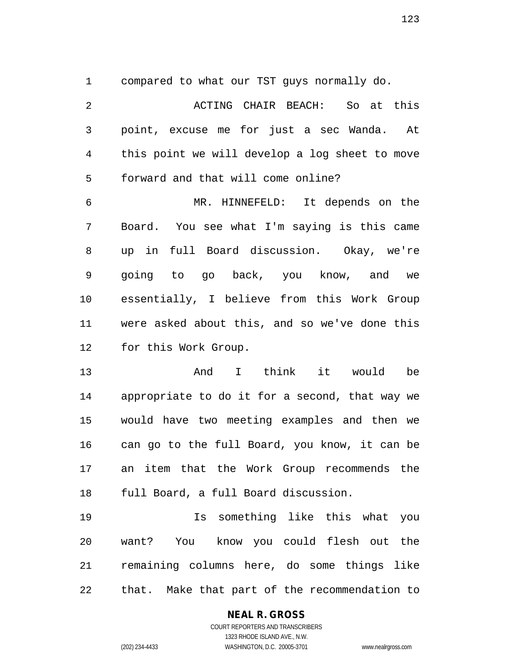compared to what our TST guys normally do.

 ACTING CHAIR BEACH: So at this point, excuse me for just a sec Wanda. At this point we will develop a log sheet to move forward and that will come online? MR. HINNEFELD: It depends on the Board. You see what I'm saying is this came up in full Board discussion. Okay, we're going to go back, you know, and we essentially, I believe from this Work Group were asked about this, and so we've done this for this Work Group. And I think it would be appropriate to do it for a second, that way we would have two meeting examples and then we can go to the full Board, you know, it can be an item that the Work Group recommends the full Board, a full Board discussion.

 Is something like this what you want? You know you could flesh out the remaining columns here, do some things like that. Make that part of the recommendation to

### **NEAL R. GROSS** COURT REPORTERS AND TRANSCRIBERS 1323 RHODE ISLAND AVE., N.W.

(202) 234-4433 WASHINGTON, D.C. 20005-3701 www.nealrgross.com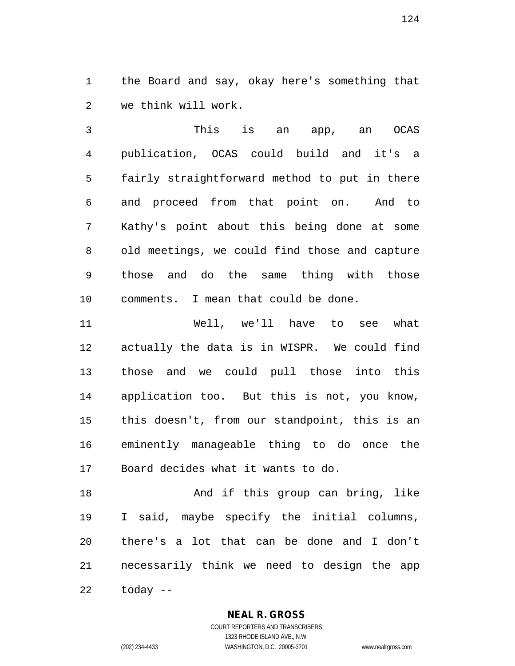the Board and say, okay here's something that we think will work.

 This is an app, an OCAS publication, OCAS could build and it's a fairly straightforward method to put in there and proceed from that point on. And to Kathy's point about this being done at some old meetings, we could find those and capture those and do the same thing with those comments. I mean that could be done.

 Well, we'll have to see what actually the data is in WISPR. We could find those and we could pull those into this application too. But this is not, you know, this doesn't, from our standpoint, this is an eminently manageable thing to do once the Board decides what it wants to do.

18 And if this group can bring, like I said, maybe specify the initial columns, there's a lot that can be done and I don't necessarily think we need to design the app today --

**NEAL R. GROSS**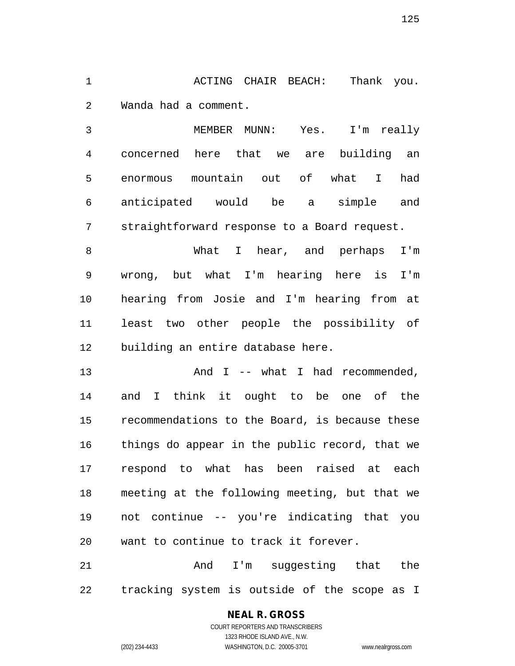1 ACTING CHAIR BEACH: Thank you. Wanda had a comment.

 MEMBER MUNN: Yes. I'm really concerned here that we are building an enormous mountain out of what I had anticipated would be a simple and straightforward response to a Board request.

 What I hear, and perhaps I'm wrong, but what I'm hearing here is I'm hearing from Josie and I'm hearing from at least two other people the possibility of building an entire database here.

13 And I -- what I had recommended, and I think it ought to be one of the recommendations to the Board, is because these things do appear in the public record, that we respond to what has been raised at each meeting at the following meeting, but that we not continue -- you're indicating that you want to continue to track it forever.

21 and I'm suggesting that the tracking system is outside of the scope as I

### **NEAL R. GROSS**

COURT REPORTERS AND TRANSCRIBERS 1323 RHODE ISLAND AVE., N.W. (202) 234-4433 WASHINGTON, D.C. 20005-3701 www.nealrgross.com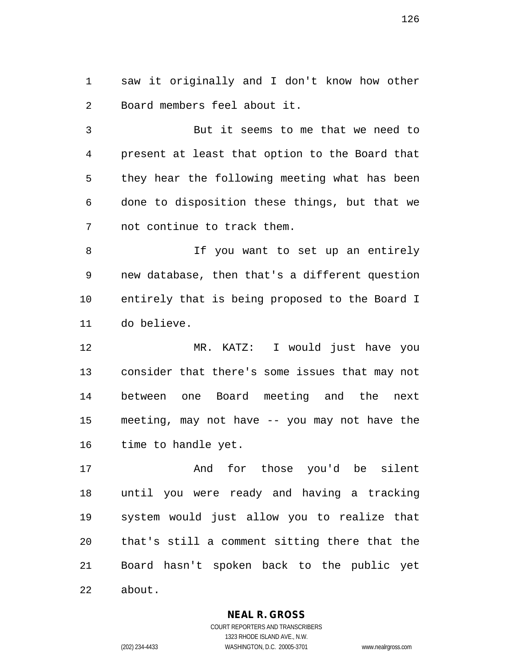saw it originally and I don't know how other Board members feel about it.

 But it seems to me that we need to present at least that option to the Board that they hear the following meeting what has been done to disposition these things, but that we not continue to track them.

8 1f you want to set up an entirely new database, then that's a different question entirely that is being proposed to the Board I do believe.

 MR. KATZ: I would just have you consider that there's some issues that may not between one Board meeting and the next meeting, may not have -- you may not have the time to handle yet.

 And for those you'd be silent until you were ready and having a tracking system would just allow you to realize that that's still a comment sitting there that the Board hasn't spoken back to the public yet about.

**NEAL R. GROSS**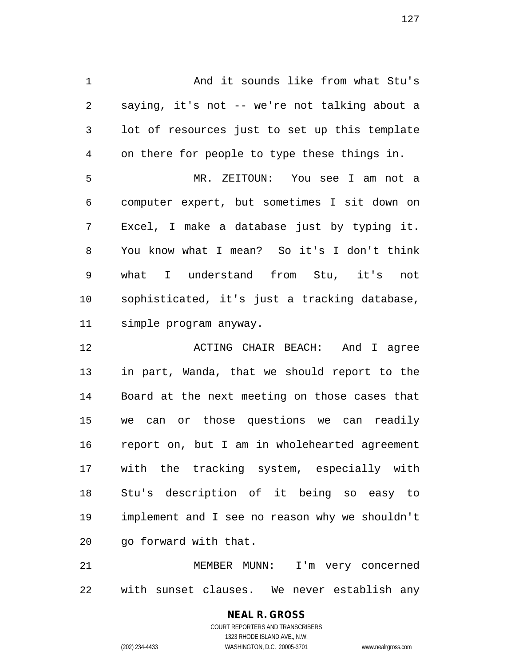And it sounds like from what Stu's saying, it's not -- we're not talking about a lot of resources just to set up this template on there for people to type these things in. MR. ZEITOUN: You see I am not a computer expert, but sometimes I sit down on Excel, I make a database just by typing it. You know what I mean? So it's I don't think what I understand from Stu, it's not sophisticated, it's just a tracking database, simple program anyway.

**ACTING CHAIR BEACH:** And I agree in part, Wanda, that we should report to the Board at the next meeting on those cases that we can or those questions we can readily report on, but I am in wholehearted agreement with the tracking system, especially with Stu's description of it being so easy to implement and I see no reason why we shouldn't go forward with that.

 MEMBER MUNN: I'm very concerned with sunset clauses. We never establish any

## **NEAL R. GROSS**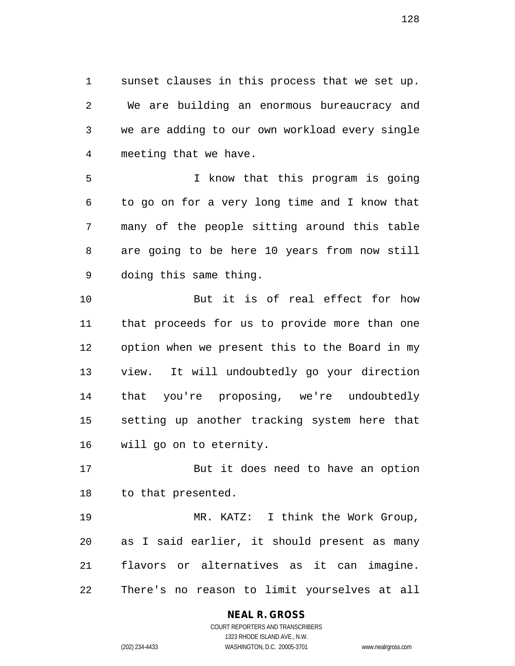sunset clauses in this process that we set up. We are building an enormous bureaucracy and we are adding to our own workload every single meeting that we have.

 I know that this program is going to go on for a very long time and I know that many of the people sitting around this table are going to be here 10 years from now still doing this same thing.

 But it is of real effect for how that proceeds for us to provide more than one option when we present this to the Board in my view. It will undoubtedly go your direction that you're proposing, we're undoubtedly setting up another tracking system here that will go on to eternity.

 But it does need to have an option to that presented.

 MR. KATZ: I think the Work Group, as I said earlier, it should present as many flavors or alternatives as it can imagine. There's no reason to limit yourselves at all

## **NEAL R. GROSS**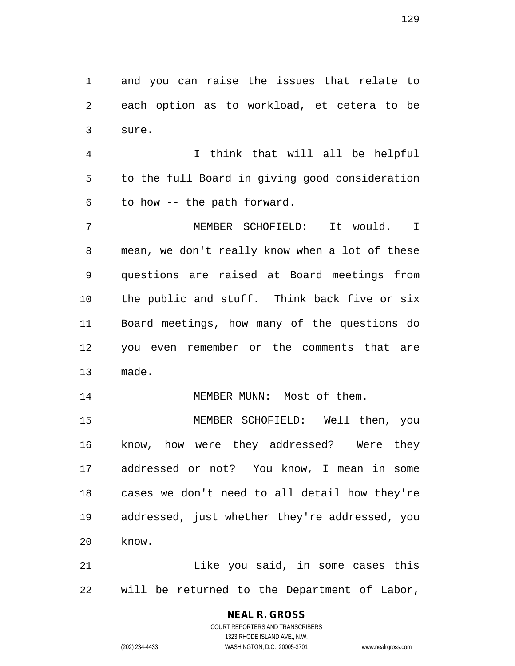and you can raise the issues that relate to each option as to workload, et cetera to be sure.

 I think that will all be helpful to the full Board in giving good consideration to how -- the path forward.

 MEMBER SCHOFIELD: It would. I mean, we don't really know when a lot of these questions are raised at Board meetings from the public and stuff. Think back five or six Board meetings, how many of the questions do you even remember or the comments that are made.

14 MEMBER MUNN: Most of them.

 MEMBER SCHOFIELD: Well then, you know, how were they addressed? Were they addressed or not? You know, I mean in some cases we don't need to all detail how they're addressed, just whether they're addressed, you know.

**Like you said, in some cases this** will be returned to the Department of Labor,

## **NEAL R. GROSS**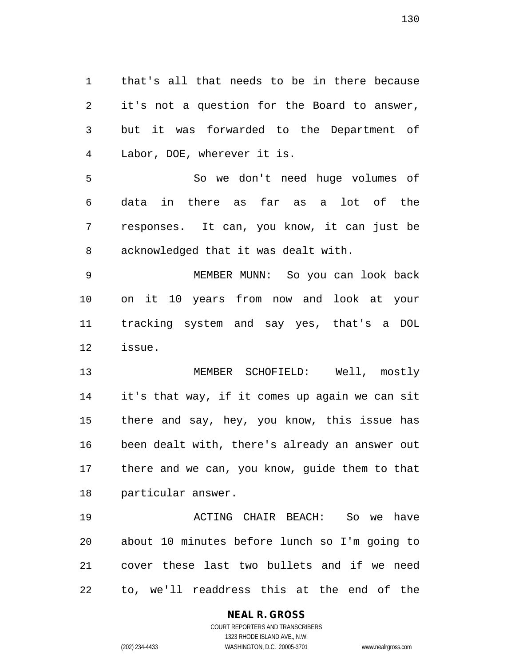that's all that needs to be in there because it's not a question for the Board to answer, but it was forwarded to the Department of Labor, DOE, wherever it is.

 So we don't need huge volumes of data in there as far as a lot of the responses. It can, you know, it can just be acknowledged that it was dealt with.

 MEMBER MUNN: So you can look back on it 10 years from now and look at your tracking system and say yes, that's a DOL issue.

 MEMBER SCHOFIELD: Well, mostly it's that way, if it comes up again we can sit there and say, hey, you know, this issue has been dealt with, there's already an answer out there and we can, you know, guide them to that particular answer.

 ACTING CHAIR BEACH: So we have about 10 minutes before lunch so I'm going to cover these last two bullets and if we need to, we'll readdress this at the end of the

### **NEAL R. GROSS**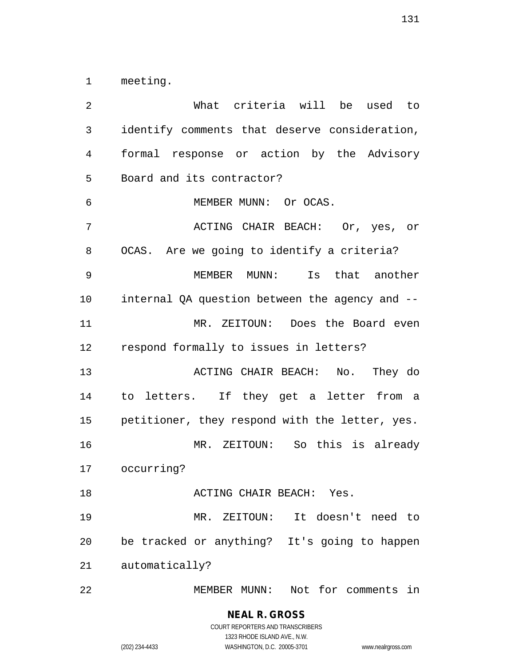meeting.

 What criteria will be used to identify comments that deserve consideration, formal response or action by the Advisory Board and its contractor? MEMBER MUNN: Or OCAS. ACTING CHAIR BEACH: Or, yes, or OCAS. Are we going to identify a criteria? MEMBER MUNN: Is that another internal QA question between the agency and -- MR. ZEITOUN: Does the Board even respond formally to issues in letters? ACTING CHAIR BEACH: No. They do to letters. If they get a letter from a petitioner, they respond with the letter, yes. MR. ZEITOUN: So this is already occurring? **ACTING CHAIR BEACH:** Yes. MR. ZEITOUN: It doesn't need to be tracked or anything? It's going to happen automatically? MEMBER MUNN: Not for comments in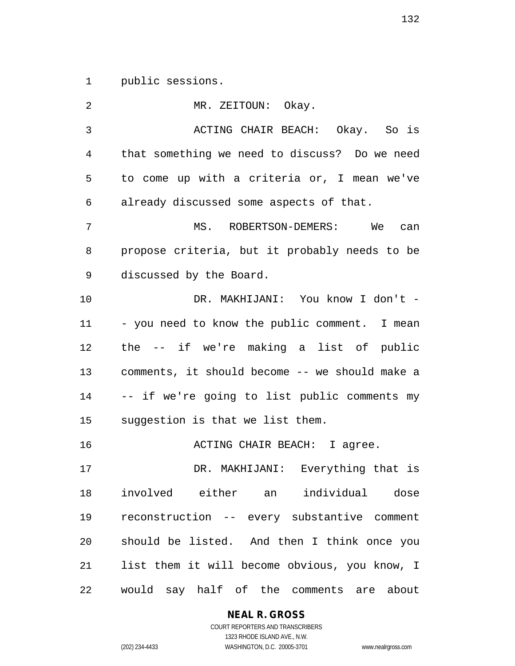public sessions.

| 2  | MR. ZEITOUN: Okay.                             |
|----|------------------------------------------------|
| 3  | ACTING CHAIR BEACH: Okay. So is                |
| 4  | that something we need to discuss? Do we need  |
| 5  | to come up with a criteria or, I mean we've    |
| 6  | already discussed some aspects of that.        |
| 7  | MS. ROBERTSON-DEMERS: We can                   |
| 8  | propose criteria, but it probably needs to be  |
| 9  | discussed by the Board.                        |
| 10 | DR. MAKHIJANI: You know I don't -              |
| 11 | - you need to know the public comment. I mean  |
| 12 | the -- if we're making a list of public        |
| 13 | comments, it should become -- we should make a |
| 14 | -- if we're going to list public comments my   |
| 15 | suggestion is that we list them.               |
| 16 | ACTING CHAIR BEACH: I agree.                   |
| 17 | DR. MAKHIJANI: Everything that is              |
| 18 | involved either an individual dose             |
| 19 | reconstruction -- every substantive comment    |
| 20 | should be listed. And then I think once you    |
| 21 | list them it will become obvious, you know, I  |
| 22 | would say half of the comments are about       |

**NEAL R. GROSS**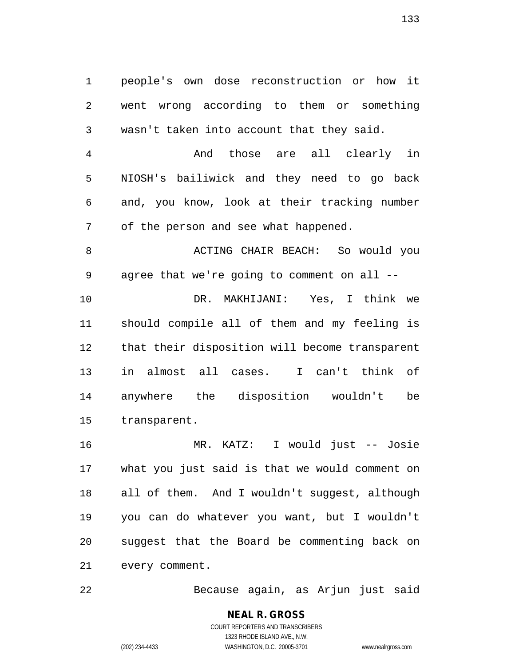people's own dose reconstruction or how it went wrong according to them or something wasn't taken into account that they said.

 And those are all clearly in NIOSH's bailiwick and they need to go back and, you know, look at their tracking number of the person and see what happened.

8 ACTING CHAIR BEACH: So would you agree that we're going to comment on all -- DR. MAKHIJANI: Yes, I think we should compile all of them and my feeling is that their disposition will become transparent in almost all cases. I can't think of anywhere the disposition wouldn't be transparent.

 MR. KATZ: I would just -- Josie what you just said is that we would comment on all of them. And I wouldn't suggest, although you can do whatever you want, but I wouldn't suggest that the Board be commenting back on every comment.

Because again, as Arjun just said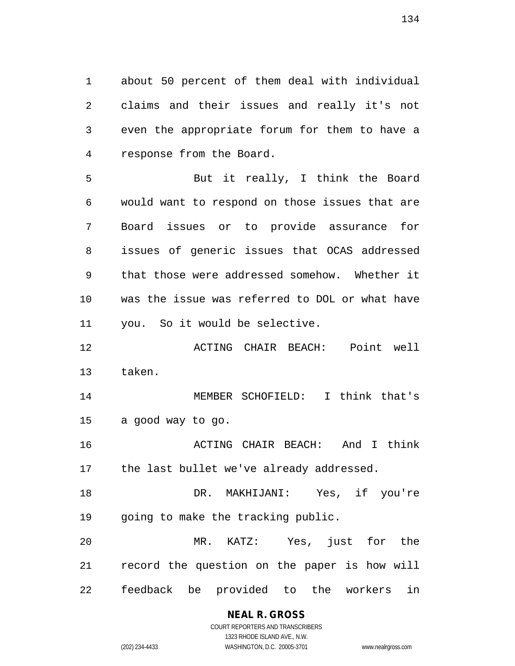about 50 percent of them deal with individual claims and their issues and really it's not even the appropriate forum for them to have a response from the Board.

 But it really, I think the Board would want to respond on those issues that are Board issues or to provide assurance for issues of generic issues that OCAS addressed that those were addressed somehow. Whether it was the issue was referred to DOL or what have you. So it would be selective.

 ACTING CHAIR BEACH: Point well taken.

 MEMBER SCHOFIELD: I think that's a good way to go.

 ACTING CHAIR BEACH: And I think 17 the last bullet we've already addressed.

 DR. MAKHIJANI: Yes, if you're going to make the tracking public.

 MR. KATZ: Yes, just for the record the question on the paper is how will feedback be provided to the workers in

> **NEAL R. GROSS** COURT REPORTERS AND TRANSCRIBERS 1323 RHODE ISLAND AVE., N.W.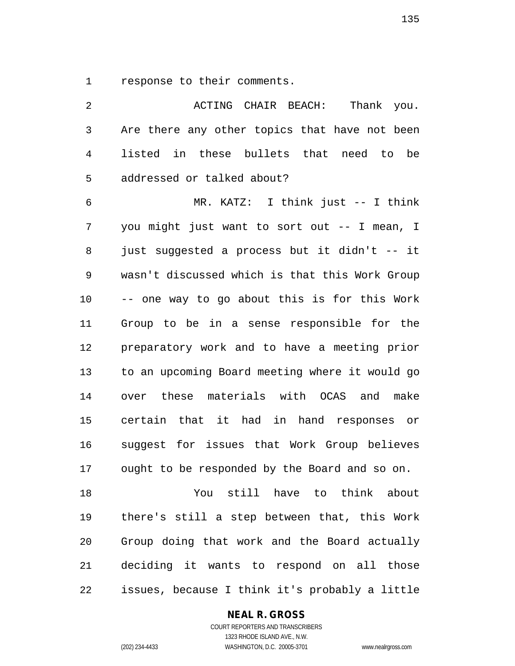response to their comments.

| $\overline{2}$ | ACTING CHAIR BEACH:<br>Thank you.              |
|----------------|------------------------------------------------|
| $\mathfrak{Z}$ | Are there any other topics that have not been  |
| 4              | listed in these bullets that need to be        |
| 5              | addressed or talked about?                     |
| 6              | MR. KATZ: I think just -- I think              |
| 7              | you might just want to sort out -- I mean, I   |
| 8              | just suggested a process but it didn't -- it   |
| 9              | wasn't discussed which is that this Work Group |
| 10             | -- one way to go about this is for this Work   |
| 11             | Group to be in a sense responsible for the     |
| 12             | preparatory work and to have a meeting prior   |
| 13             | to an upcoming Board meeting where it would go |
| 14             | over these materials with OCAS and<br>make     |
| 15             | certain that it had in hand responses or       |
| 16             | suggest for issues that Work Group believes    |
| 17             | ought to be responded by the Board and so on.  |
| 18             | You still have to think about                  |
| 19             | there's still a step between that, this Work   |
| 20             | Group doing that work and the Board actually   |
| 21             | deciding it wants to respond on all those      |
| 22             | issues, because I think it's probably a little |

**NEAL R. GROSS**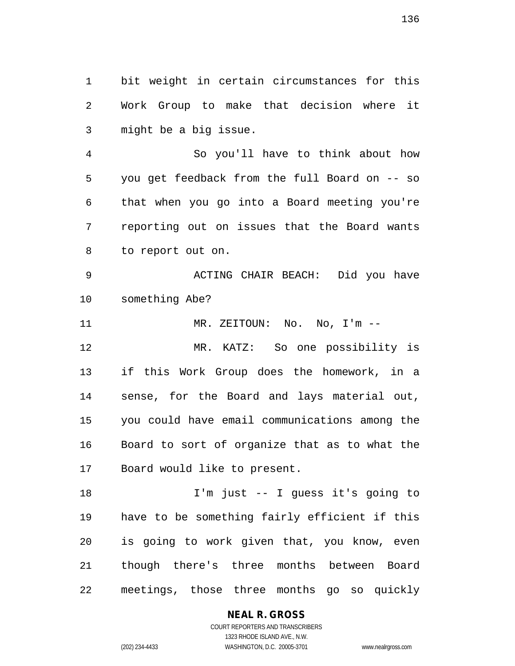bit weight in certain circumstances for this Work Group to make that decision where it might be a big issue.

 So you'll have to think about how you get feedback from the full Board on -- so that when you go into a Board meeting you're reporting out on issues that the Board wants to report out on.

 ACTING CHAIR BEACH: Did you have something Abe?

11 MR. ZEITOUN: No. No, I'm --

 MR. KATZ: So one possibility is if this Work Group does the homework, in a sense, for the Board and lays material out, you could have email communications among the Board to sort of organize that as to what the Board would like to present.

 I'm just -- I guess it's going to have to be something fairly efficient if this is going to work given that, you know, even though there's three months between Board meetings, those three months go so quickly

### **NEAL R. GROSS**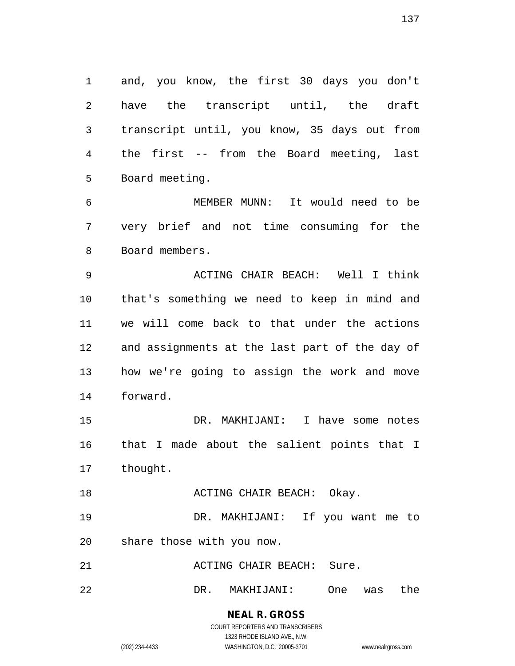and, you know, the first 30 days you don't have the transcript until, the draft transcript until, you know, 35 days out from the first -- from the Board meeting, last Board meeting.

 MEMBER MUNN: It would need to be very brief and not time consuming for the Board members.

 ACTING CHAIR BEACH: Well I think that's something we need to keep in mind and we will come back to that under the actions and assignments at the last part of the day of how we're going to assign the work and move forward.

 DR. MAKHIJANI: I have some notes that I made about the salient points that I thought.

**ACTING CHAIR BEACH:** Okay.

 DR. MAKHIJANI: If you want me to share those with you now.

21 ACTING CHAIR BEACH: Sure.

DR. MAKHIJANI: One was the

**NEAL R. GROSS** COURT REPORTERS AND TRANSCRIBERS

1323 RHODE ISLAND AVE., N.W.

(202) 234-4433 WASHINGTON, D.C. 20005-3701 www.nealrgross.com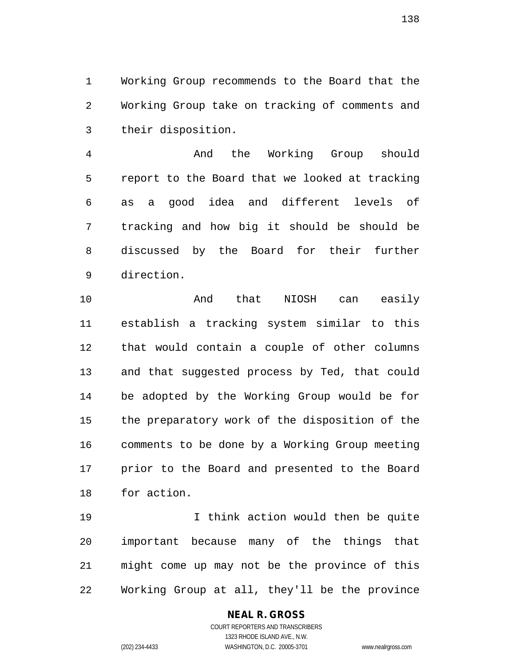Working Group recommends to the Board that the Working Group take on tracking of comments and their disposition.

 And the Working Group should report to the Board that we looked at tracking as a good idea and different levels of tracking and how big it should be should be discussed by the Board for their further direction.

 And that NIOSH can easily establish a tracking system similar to this that would contain a couple of other columns and that suggested process by Ted, that could be adopted by the Working Group would be for the preparatory work of the disposition of the comments to be done by a Working Group meeting prior to the Board and presented to the Board for action.

 I think action would then be quite important because many of the things that might come up may not be the province of this Working Group at all, they'll be the province

#### **NEAL R. GROSS** COURT REPORTERS AND TRANSCRIBERS

1323 RHODE ISLAND AVE., N.W. (202) 234-4433 WASHINGTON, D.C. 20005-3701 www.nealrgross.com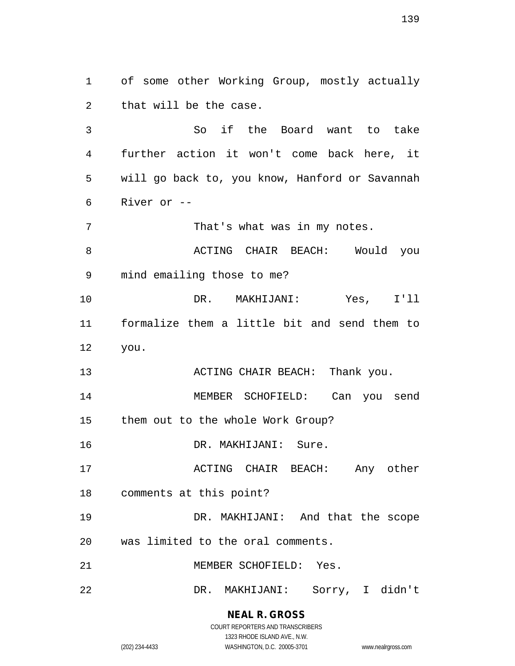of some other Working Group, mostly actually that will be the case. So if the Board want to take further action it won't come back here, it will go back to, you know, Hanford or Savannah River or -- 7 That's what was in my notes. 8 ACTING CHAIR BEACH: Would you mind emailing those to me? DR. MAKHIJANI: Yes, I'll formalize them a little bit and send them to you. 13 ACTING CHAIR BEACH: Thank you. MEMBER SCHOFIELD: Can you send them out to the whole Work Group? DR. MAKHIJANI: Sure. 17 ACTING CHAIR BEACH: Any other comments at this point? DR. MAKHIJANI: And that the scope was limited to the oral comments. MEMBER SCHOFIELD: Yes. DR. MAKHIJANI: Sorry, I didn't

> **NEAL R. GROSS** COURT REPORTERS AND TRANSCRIBERS

> > 1323 RHODE ISLAND AVE., N.W.

(202) 234-4433 WASHINGTON, D.C. 20005-3701 www.nealrgross.com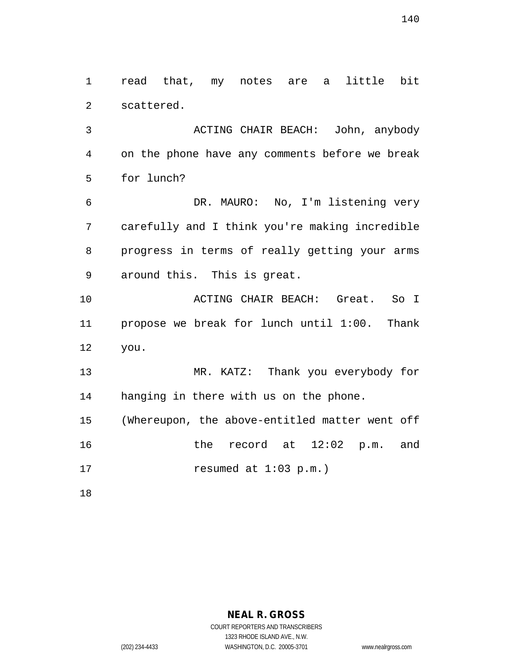read that, my notes are a little bit scattered.

 ACTING CHAIR BEACH: John, anybody on the phone have any comments before we break for lunch?

 DR. MAURO: No, I'm listening very carefully and I think you're making incredible progress in terms of really getting your arms around this. This is great.

 ACTING CHAIR BEACH: Great. So I propose we break for lunch until 1:00. Thank you.

 MR. KATZ: Thank you everybody for hanging in there with us on the phone.

 (Whereupon, the above-entitled matter went off the record at 12:02 p.m. and resumed at 1:03 p.m.)

**NEAL R. GROSS**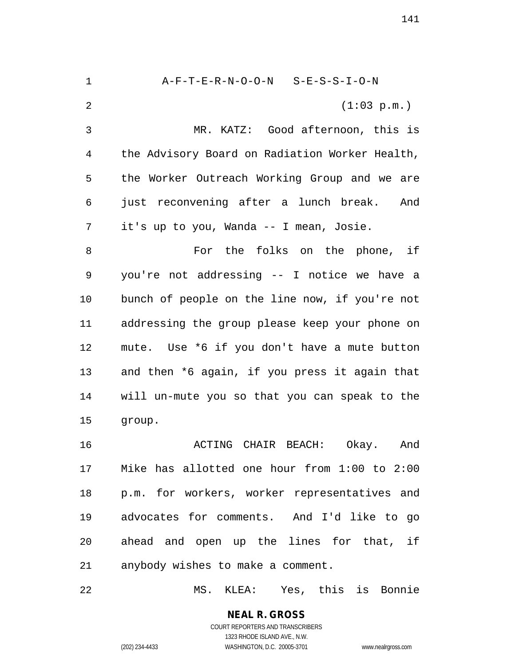A-F-T-E-R-N-O-O-N S-E-S-S-I-O-N (1:03 p.m.) MR. KATZ: Good afternoon, this is the Advisory Board on Radiation Worker Health, the Worker Outreach Working Group and we are just reconvening after a lunch break. And it's up to you, Wanda -- I mean, Josie. For the folks on the phone, if you're not addressing -- I notice we have a bunch of people on the line now, if you're not addressing the group please keep your phone on mute. Use \*6 if you don't have a mute button and then \*6 again, if you press it again that will un-mute you so that you can speak to the group. ACTING CHAIR BEACH: Okay. And Mike has allotted one hour from 1:00 to 2:00 p.m. for workers, worker representatives and advocates for comments. And I'd like to go ahead and open up the lines for that, if anybody wishes to make a comment. MS. KLEA: Yes, this is Bonnie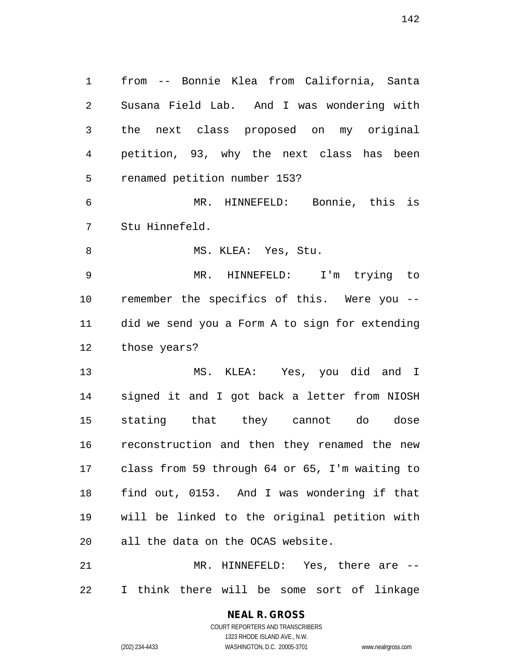from -- Bonnie Klea from California, Santa Susana Field Lab. And I was wondering with the next class proposed on my original petition, 93, why the next class has been renamed petition number 153? MR. HINNEFELD: Bonnie, this is Stu Hinnefeld. 8 MS. KLEA: Yes, Stu. MR. HINNEFELD: I'm trying to remember the specifics of this. Were you -- did we send you a Form A to sign for extending those years?

 MS. KLEA: Yes, you did and I signed it and I got back a letter from NIOSH stating that they cannot do dose reconstruction and then they renamed the new class from 59 through 64 or 65, I'm waiting to find out, 0153. And I was wondering if that will be linked to the original petition with all the data on the OCAS website.

 MR. HINNEFELD: Yes, there are -- I think there will be some sort of linkage

> **NEAL R. GROSS** COURT REPORTERS AND TRANSCRIBERS 1323 RHODE ISLAND AVE., N.W.

(202) 234-4433 WASHINGTON, D.C. 20005-3701 www.nealrgross.com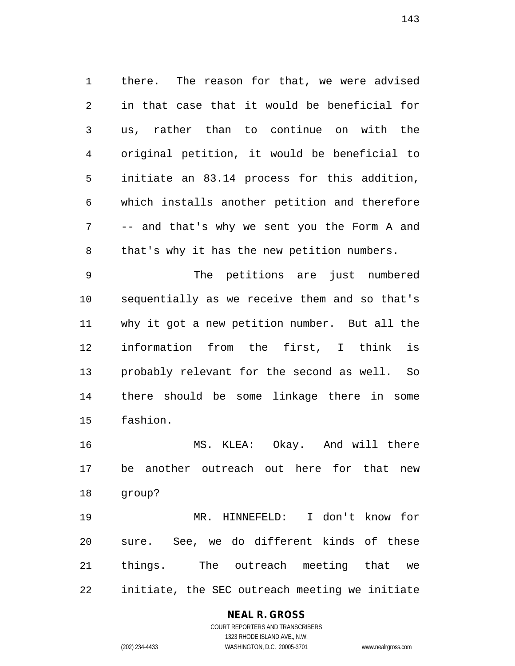there. The reason for that, we were advised in that case that it would be beneficial for us, rather than to continue on with the original petition, it would be beneficial to initiate an 83.14 process for this addition, which installs another petition and therefore -- and that's why we sent you the Form A and that's why it has the new petition numbers.

 The petitions are just numbered sequentially as we receive them and so that's why it got a new petition number. But all the information from the first, I think is probably relevant for the second as well. So there should be some linkage there in some fashion.

 MS. KLEA: Okay. And will there be another outreach out here for that new group?

 MR. HINNEFELD: I don't know for sure. See, we do different kinds of these things. The outreach meeting that we initiate, the SEC outreach meeting we initiate

### **NEAL R. GROSS** COURT REPORTERS AND TRANSCRIBERS

1323 RHODE ISLAND AVE., N.W. (202) 234-4433 WASHINGTON, D.C. 20005-3701 www.nealrgross.com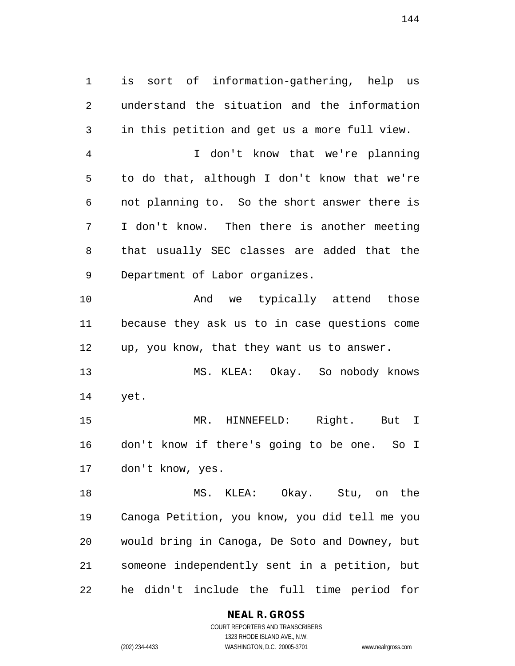is sort of information-gathering, help us understand the situation and the information in this petition and get us a more full view. I don't know that we're planning to do that, although I don't know that we're not planning to. So the short answer there is I don't know. Then there is another meeting that usually SEC classes are added that the Department of Labor organizes. 10 And we typically attend those

 because they ask us to in case questions come up, you know, that they want us to answer.

 MS. KLEA: Okay. So nobody knows yet.

 MR. HINNEFELD: Right. But I don't know if there's going to be one. So I don't know, yes.

 MS. KLEA: Okay. Stu, on the Canoga Petition, you know, you did tell me you would bring in Canoga, De Soto and Downey, but someone independently sent in a petition, but he didn't include the full time period for

**NEAL R. GROSS**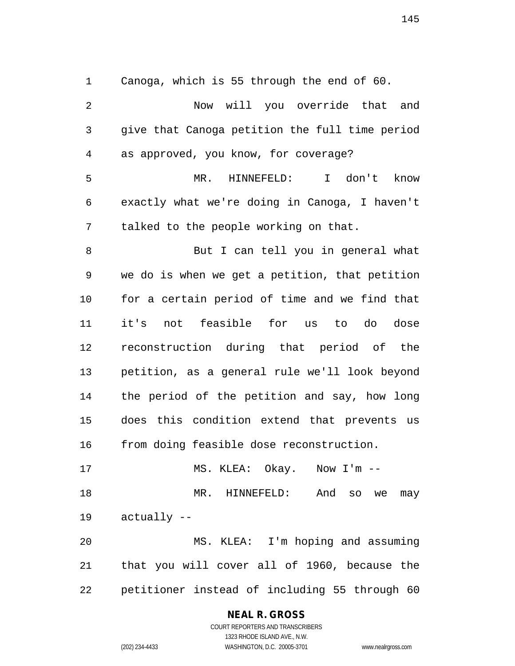Canoga, which is 55 through the end of 60. Now will you override that and give that Canoga petition the full time period as approved, you know, for coverage? MR. HINNEFELD: I don't know exactly what we're doing in Canoga, I haven't talked to the people working on that. But I can tell you in general what we do is when we get a petition, that petition for a certain period of time and we find that it's not feasible for us to do dose reconstruction during that period of the petition, as a general rule we'll look beyond the period of the petition and say, how long does this condition extend that prevents us from doing feasible dose reconstruction. 17 MS. KLEA: Okay. Now I'm --MR. HINNEFELD: And so we may

actually --

 MS. KLEA: I'm hoping and assuming that you will cover all of 1960, because the petitioner instead of including 55 through 60

#### **NEAL R. GROSS** COURT REPORTERS AND TRANSCRIBERS

1323 RHODE ISLAND AVE., N.W.

(202) 234-4433 WASHINGTON, D.C. 20005-3701 www.nealrgross.com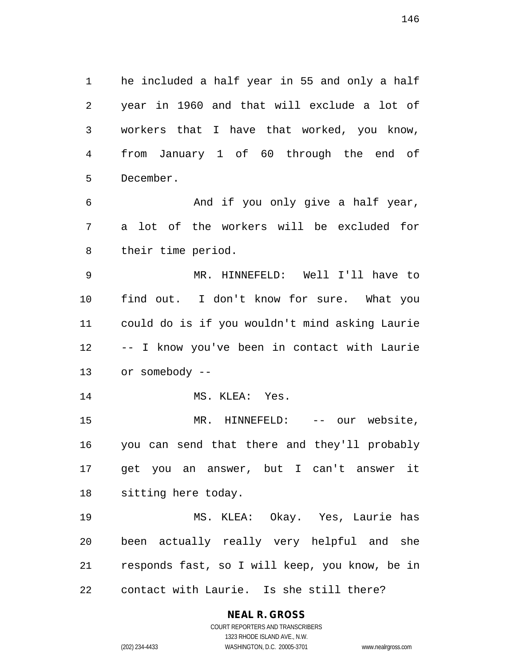he included a half year in 55 and only a half year in 1960 and that will exclude a lot of workers that I have that worked, you know, from January 1 of 60 through the end of December.

 And if you only give a half year, a lot of the workers will be excluded for their time period.

 MR. HINNEFELD: Well I'll have to find out. I don't know for sure. What you could do is if you wouldn't mind asking Laurie -- I know you've been in contact with Laurie or somebody --

14 MS. KLEA: Yes.

 MR. HINNEFELD: -- our website, you can send that there and they'll probably get you an answer, but I can't answer it sitting here today.

 MS. KLEA: Okay. Yes, Laurie has been actually really very helpful and she responds fast, so I will keep, you know, be in contact with Laurie. Is she still there?

# **NEAL R. GROSS**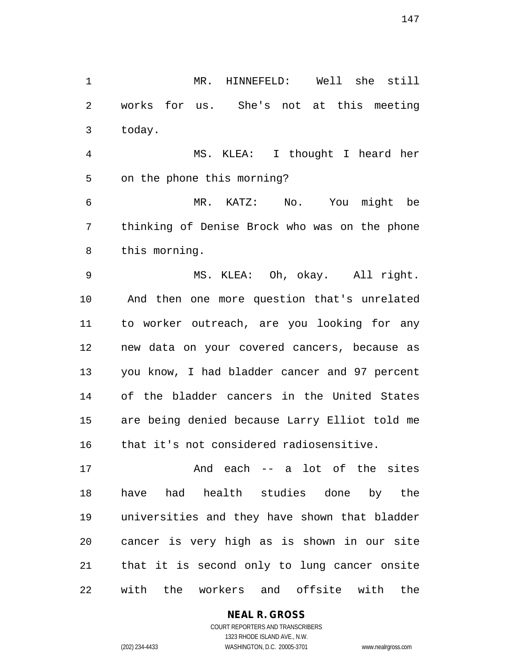MR. HINNEFELD: Well she still works for us. She's not at this meeting today.

 MS. KLEA: I thought I heard her on the phone this morning?

 MR. KATZ: No. You might be thinking of Denise Brock who was on the phone this morning.

 MS. KLEA: Oh, okay. All right. And then one more question that's unrelated to worker outreach, are you looking for any new data on your covered cancers, because as you know, I had bladder cancer and 97 percent of the bladder cancers in the United States are being denied because Larry Elliot told me that it's not considered radiosensitive.

 And each -- a lot of the sites have had health studies done by the universities and they have shown that bladder cancer is very high as is shown in our site that it is second only to lung cancer onsite with the workers and offsite with the

#### **NEAL R. GROSS**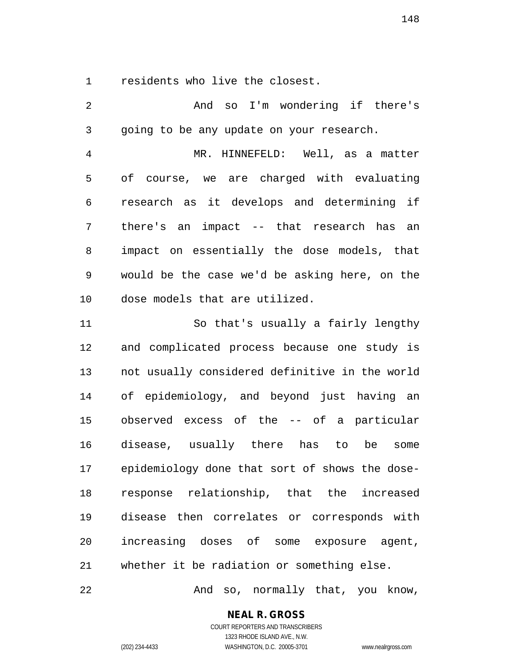residents who live the closest.

 And so I'm wondering if there's going to be any update on your research. MR. HINNEFELD: Well, as a matter of course, we are charged with evaluating research as it develops and determining if there's an impact -- that research has an impact on essentially the dose models, that would be the case we'd be asking here, on the dose models that are utilized. So that's usually a fairly lengthy and complicated process because one study is not usually considered definitive in the world of epidemiology, and beyond just having an observed excess of the -- of a particular disease, usually there has to be some epidemiology done that sort of shows the dose- response relationship, that the increased disease then correlates or corresponds with increasing doses of some exposure agent, whether it be radiation or something else.

And so, normally that, you know,

**NEAL R. GROSS**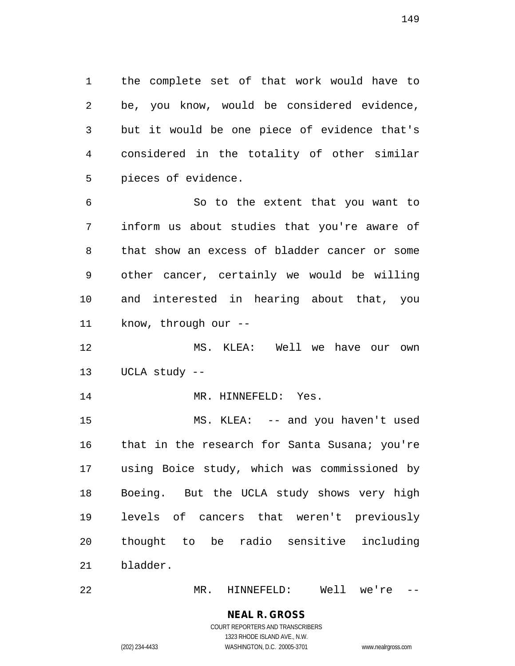the complete set of that work would have to be, you know, would be considered evidence, but it would be one piece of evidence that's considered in the totality of other similar pieces of evidence.

 So to the extent that you want to inform us about studies that you're aware of that show an excess of bladder cancer or some other cancer, certainly we would be willing and interested in hearing about that, you know, through our --

 MS. KLEA: Well we have our own UCLA study --

14 MR. HINNEFELD: Yes.

 MS. KLEA: -- and you haven't used 16 that in the research for Santa Susana; you're using Boice study, which was commissioned by Boeing. But the UCLA study shows very high levels of cancers that weren't previously thought to be radio sensitive including bladder.

MR. HINNEFELD: Well we're --

**NEAL R. GROSS** COURT REPORTERS AND TRANSCRIBERS

1323 RHODE ISLAND AVE., N.W. (202) 234-4433 WASHINGTON, D.C. 20005-3701 www.nealrgross.com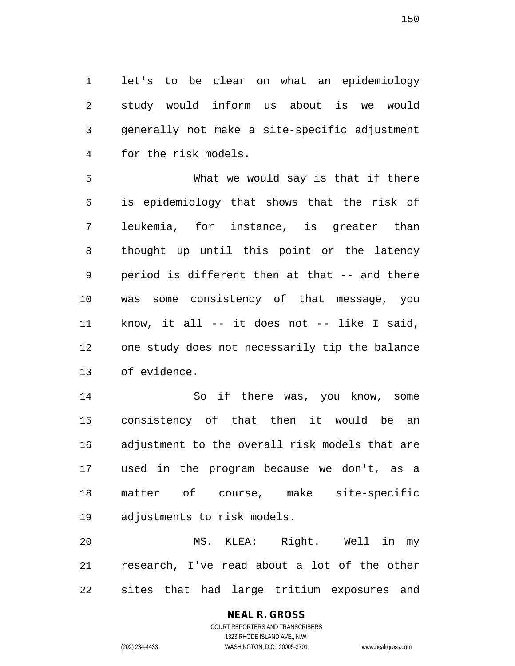let's to be clear on what an epidemiology study would inform us about is we would generally not make a site-specific adjustment for the risk models.

 What we would say is that if there is epidemiology that shows that the risk of leukemia, for instance, is greater than thought up until this point or the latency period is different then at that -- and there was some consistency of that message, you know, it all -- it does not -- like I said, one study does not necessarily tip the balance of evidence.

 So if there was, you know, some consistency of that then it would be an adjustment to the overall risk models that are used in the program because we don't, as a matter of course, make site-specific adjustments to risk models.

 MS. KLEA: Right. Well in my research, I've read about a lot of the other sites that had large tritium exposures and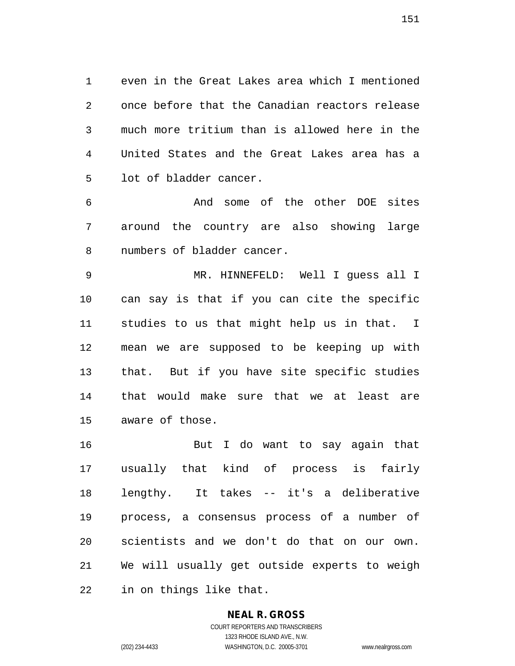even in the Great Lakes area which I mentioned once before that the Canadian reactors release much more tritium than is allowed here in the United States and the Great Lakes area has a lot of bladder cancer.

 And some of the other DOE sites around the country are also showing large numbers of bladder cancer.

 MR. HINNEFELD: Well I guess all I can say is that if you can cite the specific studies to us that might help us in that. I mean we are supposed to be keeping up with that. But if you have site specific studies that would make sure that we at least are aware of those.

 But I do want to say again that usually that kind of process is fairly lengthy. It takes -- it's a deliberative process, a consensus process of a number of scientists and we don't do that on our own. We will usually get outside experts to weigh in on things like that.

#### **NEAL R. GROSS**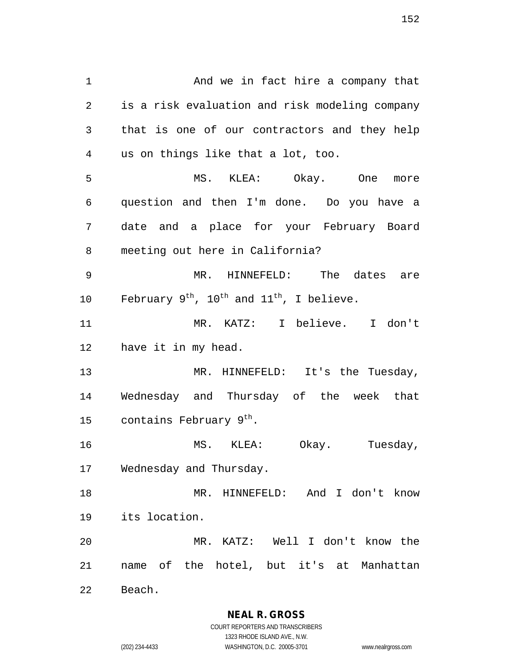And we in fact hire a company that is a risk evaluation and risk modeling company that is one of our contractors and they help us on things like that a lot, too. MS. KLEA: Okay. One more question and then I'm done. Do you have a date and a place for your February Board meeting out here in California? MR. HINNEFELD: The dates are 10 February  $9^{th}$ , 10<sup>th</sup> and 11<sup>th</sup>, I believe. MR. KATZ: I believe. I don't have it in my head. 13 MR. HINNEFELD: It's the Tuesday, Wednesday and Thursday of the week that 15 contains February  $9<sup>tn</sup>$ . MS. KLEA: Okay. Tuesday, Wednesday and Thursday. MR. HINNEFELD: And I don't know its location. MR. KATZ: Well I don't know the name of the hotel, but it's at Manhattan

Beach.

**NEAL R. GROSS** COURT REPORTERS AND TRANSCRIBERS

1323 RHODE ISLAND AVE., N.W. (202) 234-4433 WASHINGTON, D.C. 20005-3701 www.nealrgross.com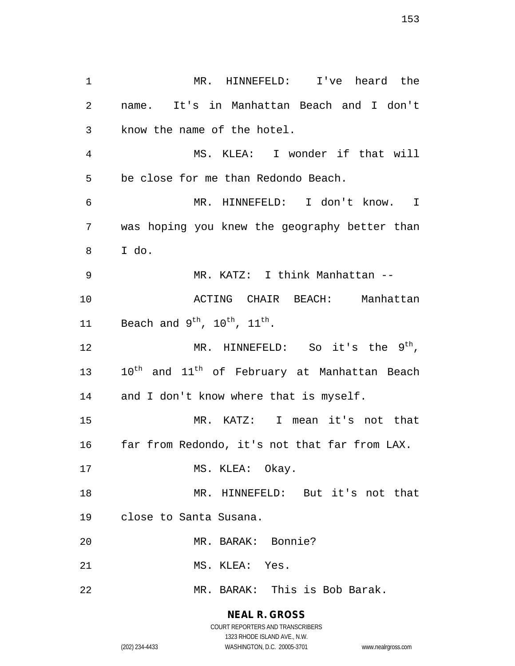MR. HINNEFELD: I've heard the name. It's in Manhattan Beach and I don't know the name of the hotel. MS. KLEA: I wonder if that will be close for me than Redondo Beach. MR. HINNEFELD: I don't know. I was hoping you knew the geography better than I do. MR. KATZ: I think Manhattan -- ACTING CHAIR BEACH: Manhattan 11 Beach and  $9^{\text{th}}$ ,  $10^{\text{th}}$ ,  $11^{\text{th}}$ . 12 MR. HINNEFELD: So it's the  $9^{\text{th}}$ , 13 10<sup>th</sup> and 11<sup>th</sup> of February at Manhattan Beach 14 and I don't know where that is myself. MR. KATZ: I mean it's not that far from Redondo, it's not that far from LAX. 17 MS. KLEA: Okay. MR. HINNEFELD: But it's not that close to Santa Susana. MR. BARAK: Bonnie? MS. KLEA: Yes. MR. BARAK: This is Bob Barak.

# **NEAL R. GROSS**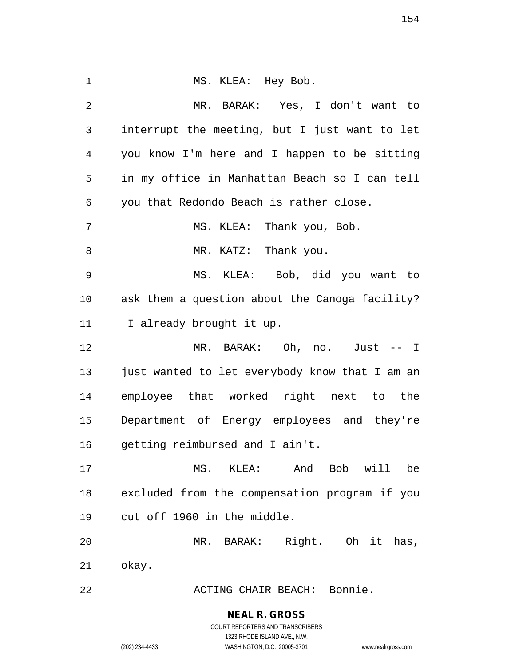| $\mathbf 1$    | MS. KLEA: Hey Bob.                             |
|----------------|------------------------------------------------|
| $\overline{2}$ | MR. BARAK: Yes, I don't want to                |
| 3              | interrupt the meeting, but I just want to let  |
| 4              | you know I'm here and I happen to be sitting   |
| 5              | in my office in Manhattan Beach so I can tell  |
| 6              | you that Redondo Beach is rather close.        |
| 7              | MS. KLEA: Thank you, Bob.                      |
| 8              | MR. KATZ: Thank you.                           |
| $\mathsf 9$    | MS. KLEA: Bob, did you want to                 |
| $10 \,$        | ask them a question about the Canoga facility? |
| 11             | I already brought it up.                       |
| 12             | MR. BARAK: Oh, no. Just -- I                   |
| 13             | just wanted to let everybody know that I am an |
| 14             | employee that worked right next to the         |
| 15             | Department of Energy employees and they're     |
| 16             | getting reimbursed and I ain't.                |
| 17             | MS. KLEA: And Bob will<br>be                   |
| 18             | excluded from the compensation program if you  |
| 19             | cut off 1960 in the middle.                    |
|                |                                                |
| 20             | MR. BARAK: Right. Oh it has,                   |
| 21             | okay.                                          |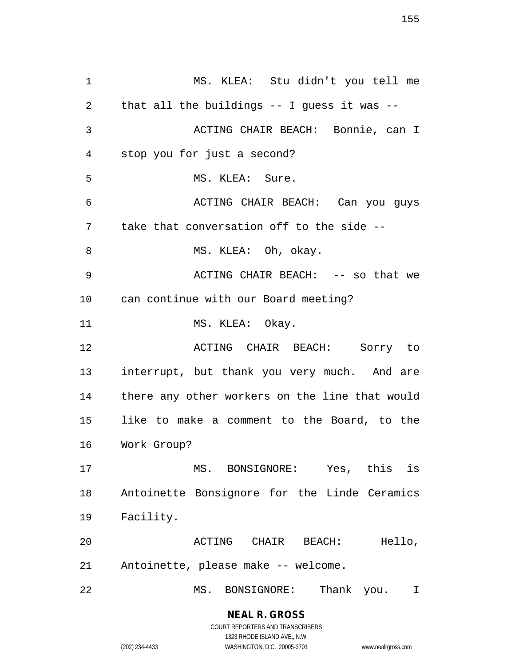MS. KLEA: Stu didn't you tell me that all the buildings -- I guess it was -- ACTING CHAIR BEACH: Bonnie, can I stop you for just a second? MS. KLEA: Sure. ACTING CHAIR BEACH: Can you guys take that conversation off to the side -- 8 MS. KLEA: Oh, okay. ACTING CHAIR BEACH: -- so that we can continue with our Board meeting? 11 MS. KLEA: Okay. ACTING CHAIR BEACH: Sorry to interrupt, but thank you very much. And are there any other workers on the line that would like to make a comment to the Board, to the Work Group? MS. BONSIGNORE: Yes, this is Antoinette Bonsignore for the Linde Ceramics Facility. ACTING CHAIR BEACH: Hello, Antoinette, please make -- welcome. MS. BONSIGNORE: Thank you. I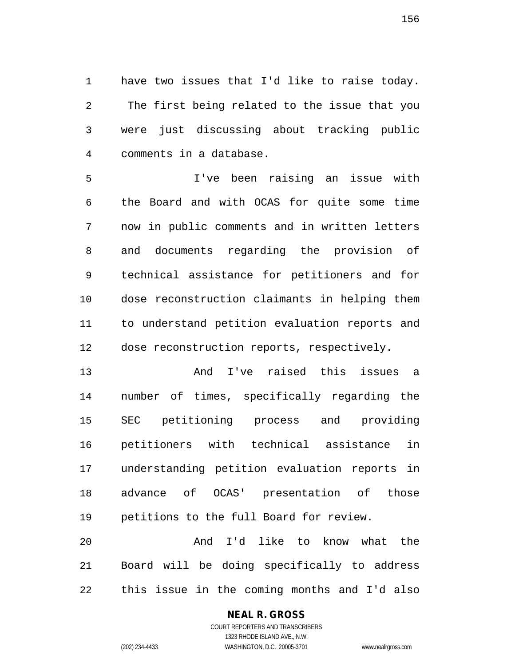have two issues that I'd like to raise today. The first being related to the issue that you were just discussing about tracking public comments in a database.

 I've been raising an issue with the Board and with OCAS for quite some time now in public comments and in written letters and documents regarding the provision of technical assistance for petitioners and for dose reconstruction claimants in helping them to understand petition evaluation reports and dose reconstruction reports, respectively.

 And I've raised this issues a number of times, specifically regarding the SEC petitioning process and providing petitioners with technical assistance in understanding petition evaluation reports in advance of OCAS' presentation of those petitions to the full Board for review.

 And I'd like to know what the Board will be doing specifically to address this issue in the coming months and I'd also

#### **NEAL R. GROSS**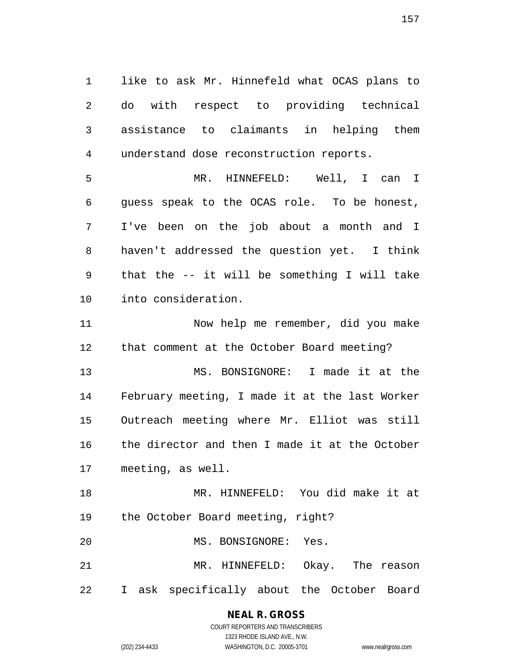like to ask Mr. Hinnefeld what OCAS plans to do with respect to providing technical assistance to claimants in helping them understand dose reconstruction reports.

 MR. HINNEFELD: Well, I can I guess speak to the OCAS role. To be honest, I've been on the job about a month and I haven't addressed the question yet. I think that the -- it will be something I will take into consideration.

 Now help me remember, did you make that comment at the October Board meeting?

 MS. BONSIGNORE: I made it at the February meeting, I made it at the last Worker Outreach meeting where Mr. Elliot was still the director and then I made it at the October meeting, as well.

 MR. HINNEFELD: You did make it at the October Board meeting, right?

MS. BONSIGNORE: Yes.

 MR. HINNEFELD: Okay. The reason I ask specifically about the October Board

### **NEAL R. GROSS** COURT REPORTERS AND TRANSCRIBERS

1323 RHODE ISLAND AVE., N.W.

(202) 234-4433 WASHINGTON, D.C. 20005-3701 www.nealrgross.com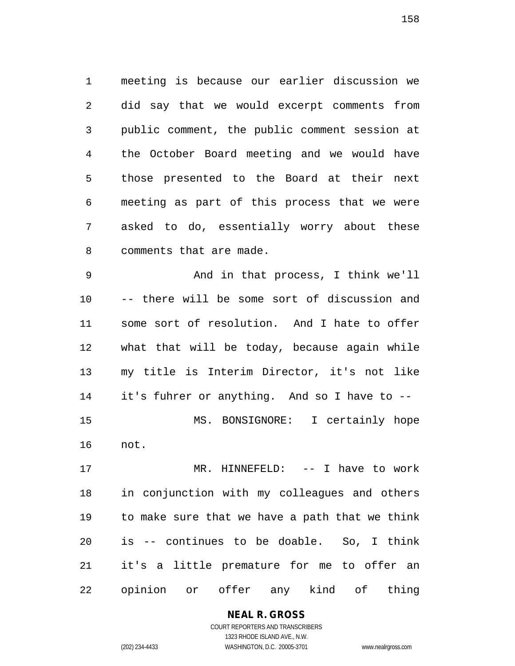meeting is because our earlier discussion we did say that we would excerpt comments from public comment, the public comment session at the October Board meeting and we would have those presented to the Board at their next meeting as part of this process that we were asked to do, essentially worry about these comments that are made.

 And in that process, I think we'll -- there will be some sort of discussion and some sort of resolution. And I hate to offer what that will be today, because again while my title is Interim Director, it's not like it's fuhrer or anything. And so I have to -- MS. BONSIGNORE: I certainly hope not.

 MR. HINNEFELD: -- I have to work in conjunction with my colleagues and others to make sure that we have a path that we think is -- continues to be doable. So, I think it's a little premature for me to offer an opinion or offer any kind of thing

#### **NEAL R. GROSS**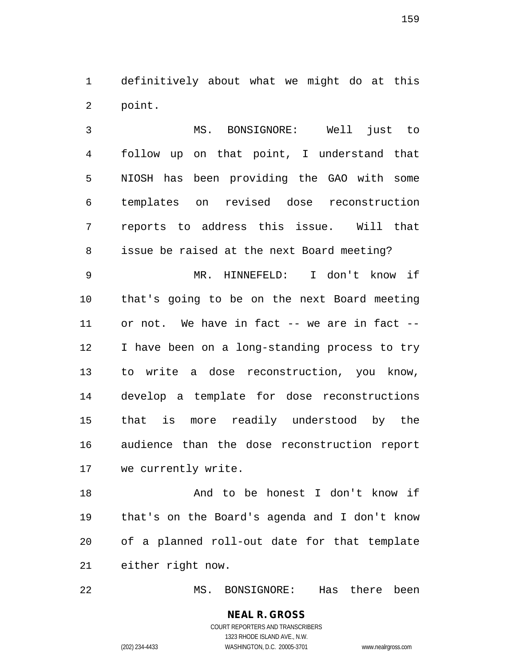definitively about what we might do at this point.

 MS. BONSIGNORE: Well just to follow up on that point, I understand that NIOSH has been providing the GAO with some templates on revised dose reconstruction reports to address this issue. Will that issue be raised at the next Board meeting?

 MR. HINNEFELD: I don't know if that's going to be on the next Board meeting or not. We have in fact -- we are in fact -- I have been on a long-standing process to try to write a dose reconstruction, you know, develop a template for dose reconstructions that is more readily understood by the audience than the dose reconstruction report we currently write.

 And to be honest I don't know if that's on the Board's agenda and I don't know of a planned roll-out date for that template either right now.

MS. BONSIGNORE: Has there been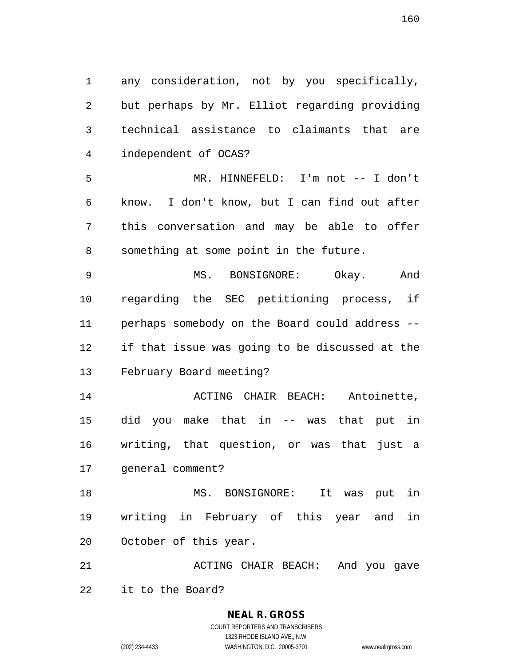any consideration, not by you specifically, but perhaps by Mr. Elliot regarding providing technical assistance to claimants that are independent of OCAS?

 MR. HINNEFELD: I'm not -- I don't know. I don't know, but I can find out after this conversation and may be able to offer something at some point in the future.

 MS. BONSIGNORE: Okay. And regarding the SEC petitioning process, if perhaps somebody on the Board could address -- if that issue was going to be discussed at the February Board meeting?

 ACTING CHAIR BEACH: Antoinette, did you make that in -- was that put in writing, that question, or was that just a general comment?

 MS. BONSIGNORE: It was put in writing in February of this year and in October of this year.

 ACTING CHAIR BEACH: And you gave it to the Board?

# **NEAL R. GROSS**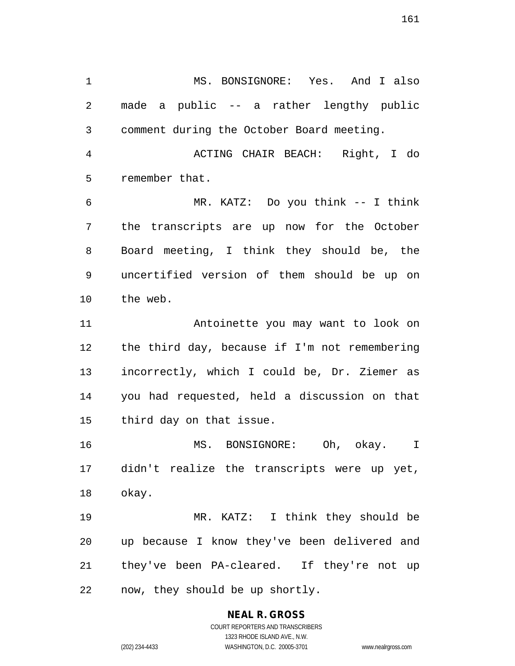MS. BONSIGNORE: Yes. And I also made a public -- a rather lengthy public comment during the October Board meeting.

 ACTING CHAIR BEACH: Right, I do remember that.

 MR. KATZ: Do you think -- I think the transcripts are up now for the October Board meeting, I think they should be, the uncertified version of them should be up on the web.

 Antoinette you may want to look on the third day, because if I'm not remembering incorrectly, which I could be, Dr. Ziemer as you had requested, held a discussion on that third day on that issue.

 MS. BONSIGNORE: Oh, okay. I didn't realize the transcripts were up yet, okay.

 MR. KATZ: I think they should be up because I know they've been delivered and they've been PA-cleared. If they're not up now, they should be up shortly.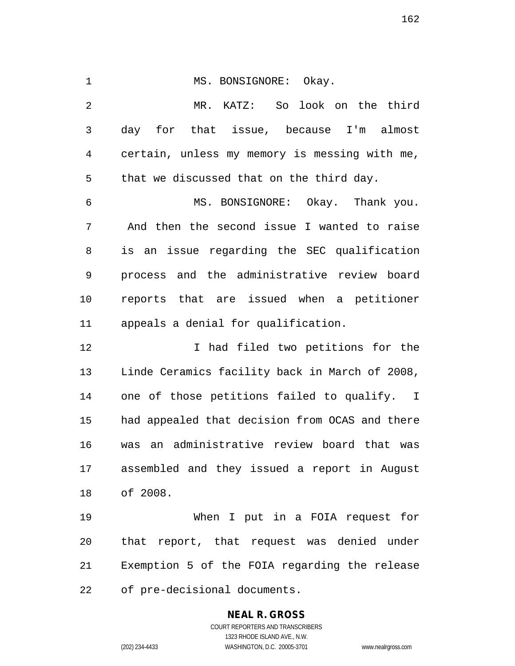1 MS. BONSIGNORE: Okay. MR. KATZ: So look on the third day for that issue, because I'm almost certain, unless my memory is messing with me, that we discussed that on the third day. MS. BONSIGNORE: Okay. Thank you. And then the second issue I wanted to raise is an issue regarding the SEC qualification process and the administrative review board reports that are issued when a petitioner appeals a denial for qualification. 12 12 I had filed two petitions for the Linde Ceramics facility back in March of 2008, one of those petitions failed to qualify. I had appealed that decision from OCAS and there was an administrative review board that was assembled and they issued a report in August of 2008. When I put in a FOIA request for that report, that request was denied under

Exemption 5 of the FOIA regarding the release

of pre-decisional documents.

# **NEAL R. GROSS**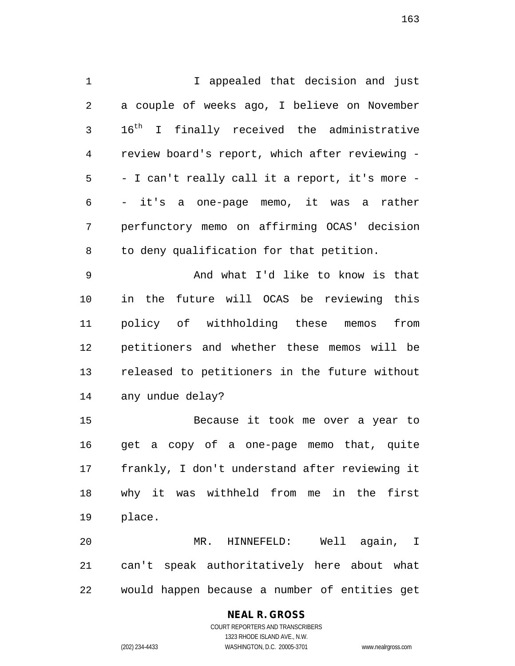I appealed that decision and just a couple of weeks ago, I believe on November 3 16<sup>th</sup> I finally received the administrative review board's report, which after reviewing - - I can't really call it a report, it's more - - it's a one-page memo, it was a rather perfunctory memo on affirming OCAS' decision to deny qualification for that petition. And what I'd like to know is that in the future will OCAS be reviewing this policy of withholding these memos from petitioners and whether these memos will be released to petitioners in the future without any undue delay? Because it took me over a year to get a copy of a one-page memo that, quite

 frankly, I don't understand after reviewing it why it was withheld from me in the first place.

 MR. HINNEFELD: Well again, I can't speak authoritatively here about what would happen because a number of entities get

#### **NEAL R. GROSS**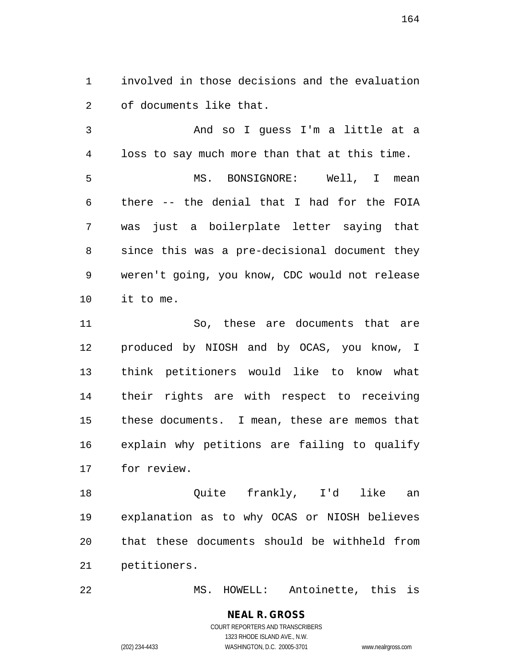involved in those decisions and the evaluation of documents like that.

 And so I guess I'm a little at a loss to say much more than that at this time. MS. BONSIGNORE: Well, I mean there -- the denial that I had for the FOIA was just a boilerplate letter saying that since this was a pre-decisional document they weren't going, you know, CDC would not release it to me.

 So, these are documents that are produced by NIOSH and by OCAS, you know, I think petitioners would like to know what their rights are with respect to receiving these documents. I mean, these are memos that explain why petitions are failing to qualify for review.

 Quite frankly, I'd like an explanation as to why OCAS or NIOSH believes that these documents should be withheld from petitioners.

MS. HOWELL: Antoinette, this is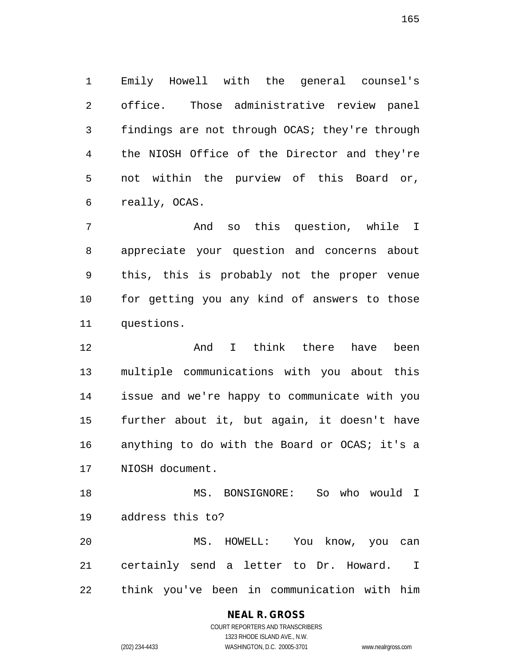Emily Howell with the general counsel's office. Those administrative review panel findings are not through OCAS; they're through the NIOSH Office of the Director and they're not within the purview of this Board or, really, OCAS.

 And so this question, while I appreciate your question and concerns about this, this is probably not the proper venue for getting you any kind of answers to those questions.

 And I think there have been multiple communications with you about this issue and we're happy to communicate with you further about it, but again, it doesn't have 16 anything to do with the Board or OCAS; it's a NIOSH document.

 MS. BONSIGNORE: So who would I address this to? MS. HOWELL: You know, you can

 certainly send a letter to Dr. Howard. I think you've been in communication with him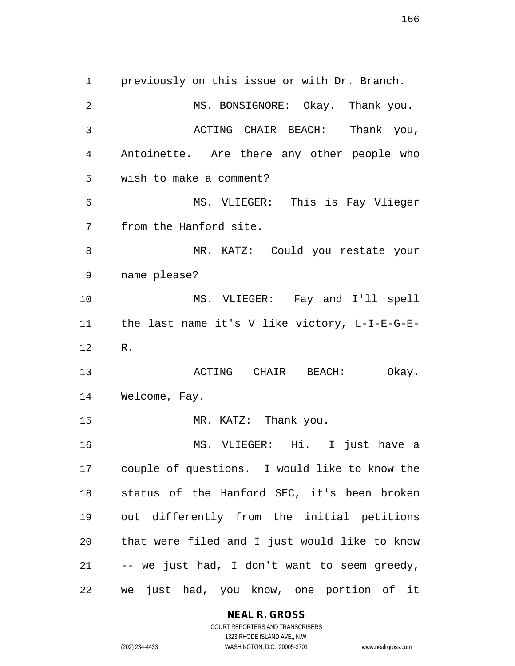previously on this issue or with Dr. Branch. 2 MS. BONSIGNORE: Okay. Thank you. ACTING CHAIR BEACH: Thank you, Antoinette. Are there any other people who wish to make a comment? MS. VLIEGER: This is Fay Vlieger from the Hanford site. MR. KATZ: Could you restate your name please? MS. VLIEGER: Fay and I'll spell the last name it's V like victory, L-I-E-G-E- R. **ACTING** CHAIR BEACH: Okay. Welcome, Fay. 15 MR. KATZ: Thank you. MS. VLIEGER: Hi. I just have a couple of questions. I would like to know the status of the Hanford SEC, it's been broken out differently from the initial petitions that were filed and I just would like to know -- we just had, I don't want to seem greedy, we just had, you know, one portion of it

**NEAL R. GROSS**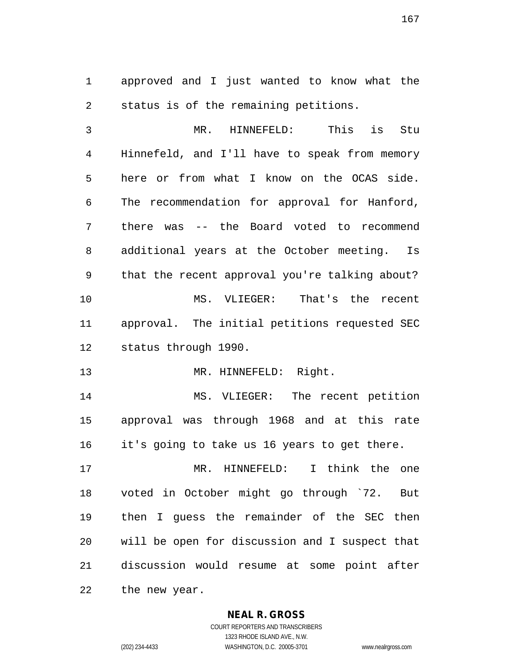approved and I just wanted to know what the status is of the remaining petitions.

 MR. HINNEFELD: This is Stu Hinnefeld, and I'll have to speak from memory here or from what I know on the OCAS side. The recommendation for approval for Hanford, there was -- the Board voted to recommend additional years at the October meeting. Is that the recent approval you're talking about? MS. VLIEGER: That's the recent approval. The initial petitions requested SEC status through 1990.

13 MR. HINNEFELD: Right.

 MS. VLIEGER: The recent petition approval was through 1968 and at this rate it's going to take us 16 years to get there.

 MR. HINNEFELD: I think the one voted in October might go through `72. But then I guess the remainder of the SEC then will be open for discussion and I suspect that discussion would resume at some point after the new year.

**NEAL R. GROSS**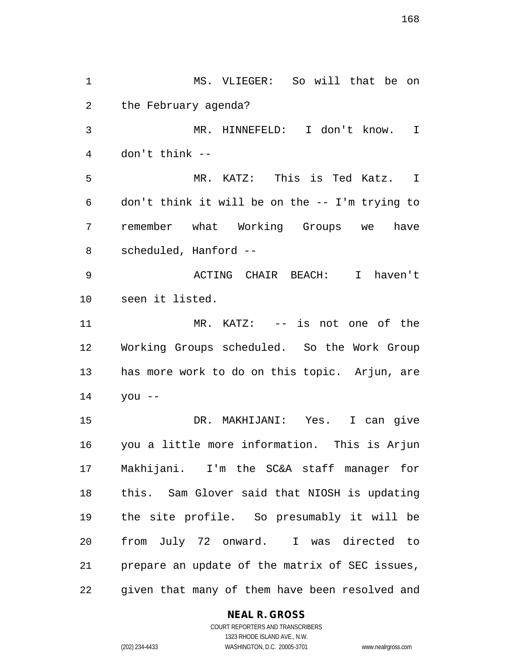MS. VLIEGER: So will that be on the February agenda? MR. HINNEFELD: I don't know. I don't think -- MR. KATZ: This is Ted Katz. I don't think it will be on the -- I'm trying to remember what Working Groups we have scheduled, Hanford -- ACTING CHAIR BEACH: I haven't seen it listed. MR. KATZ: -- is not one of the Working Groups scheduled. So the Work Group has more work to do on this topic. Arjun, are you -- DR. MAKHIJANI: Yes. I can give you a little more information. This is Arjun Makhijani. I'm the SC&A staff manager for this. Sam Glover said that NIOSH is updating the site profile. So presumably it will be from July 72 onward. I was directed to prepare an update of the matrix of SEC issues, given that many of them have been resolved and

#### **NEAL R. GROSS**

COURT REPORTERS AND TRANSCRIBERS 1323 RHODE ISLAND AVE., N.W. (202) 234-4433 WASHINGTON, D.C. 20005-3701 www.nealrgross.com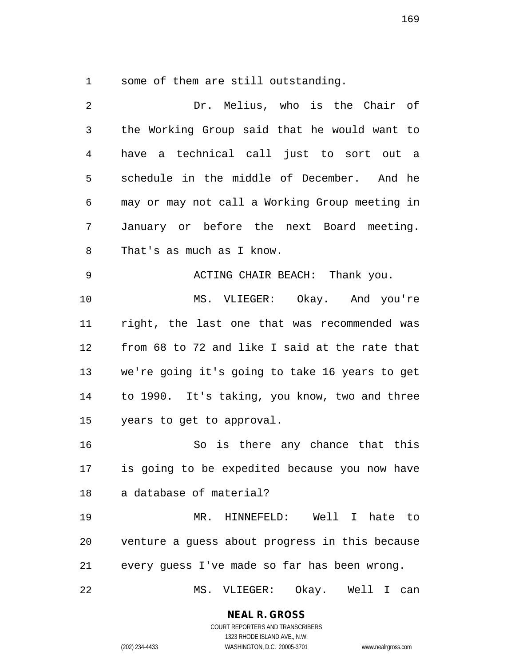some of them are still outstanding.

| 2  | Dr. Melius, who is the Chair of                |
|----|------------------------------------------------|
| 3  | the Working Group said that he would want to   |
| 4  | have a technical call just to sort out a       |
| 5  | schedule in the middle of December. And he     |
| 6  | may or may not call a Working Group meeting in |
| 7  | January or before the next Board meeting.      |
| 8  | That's as much as I know.                      |
| 9  | ACTING CHAIR BEACH: Thank you.                 |
| 10 | MS. VLIEGER: Okay. And you're                  |
| 11 | right, the last one that was recommended was   |
| 12 | from 68 to 72 and like I said at the rate that |
| 13 | we're going it's going to take 16 years to get |
| 14 | to 1990. It's taking, you know, two and three  |
| 15 | years to get to approval.                      |
| 16 | So is there any chance that this               |
| 17 | is going to be expedited because you now have  |
|    | 18 a database of material?                     |
| 19 | MR. HINNEFELD: Well I hate to                  |
| 20 | venture a quess about progress in this because |
| 21 | every guess I've made so far has been wrong.   |
| 22 | MS. VLIEGER: Okay. Well<br>$\mathbf I$<br>can  |

**NEAL R. GROSS** COURT REPORTERS AND TRANSCRIBERS

1323 RHODE ISLAND AVE., N.W.

(202) 234-4433 WASHINGTON, D.C. 20005-3701 www.nealrgross.com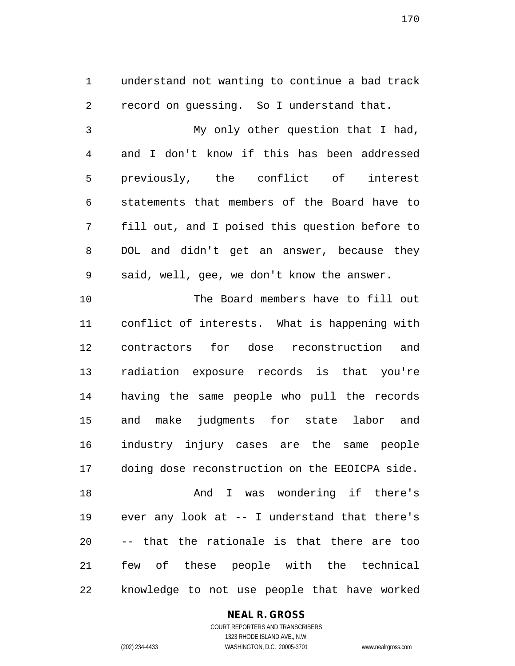understand not wanting to continue a bad track record on guessing. So I understand that.

 My only other question that I had, and I don't know if this has been addressed previously, the conflict of interest statements that members of the Board have to fill out, and I poised this question before to DOL and didn't get an answer, because they said, well, gee, we don't know the answer.

 The Board members have to fill out conflict of interests. What is happening with contractors for dose reconstruction and radiation exposure records is that you're having the same people who pull the records and make judgments for state labor and industry injury cases are the same people doing dose reconstruction on the EEOICPA side. And I was wondering if there's ever any look at -- I understand that there's -- that the rationale is that there are too few of these people with the technical knowledge to not use people that have worked

#### **NEAL R. GROSS**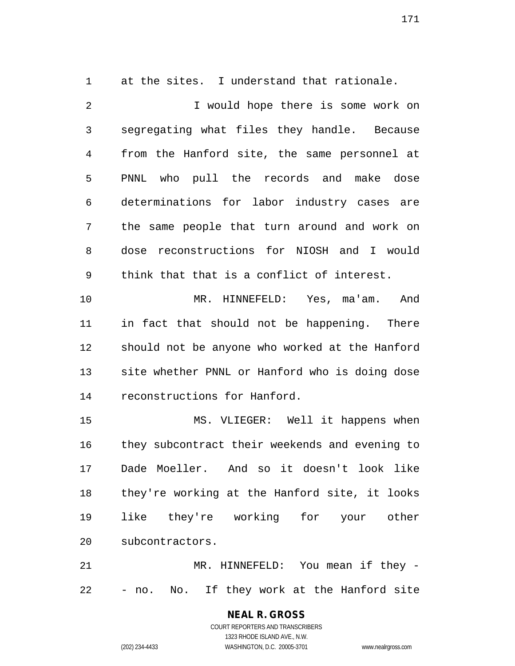at the sites. I understand that rationale.

2 1 Vould hope there is some work on segregating what files they handle. Because from the Hanford site, the same personnel at PNNL who pull the records and make dose determinations for labor industry cases are the same people that turn around and work on dose reconstructions for NIOSH and I would think that that is a conflict of interest. MR. HINNEFELD: Yes, ma'am. And

 in fact that should not be happening. There should not be anyone who worked at the Hanford site whether PNNL or Hanford who is doing dose reconstructions for Hanford.

 MS. VLIEGER: Well it happens when they subcontract their weekends and evening to Dade Moeller. And so it doesn't look like they're working at the Hanford site, it looks like they're working for your other subcontractors.

 MR. HINNEFELD: You mean if they - - no. No. If they work at the Hanford site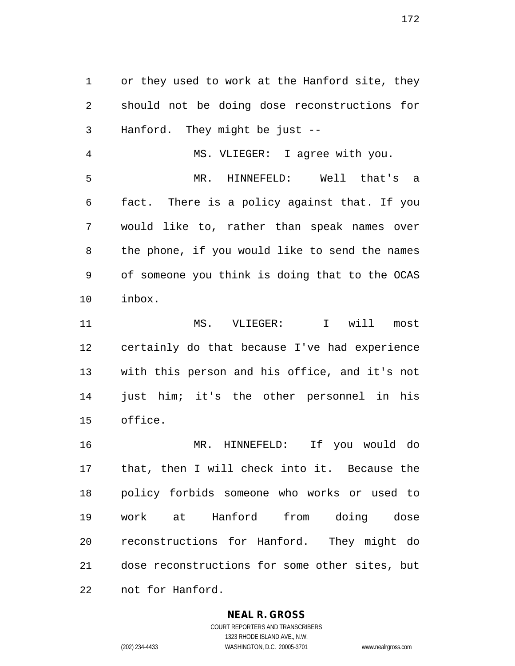or they used to work at the Hanford site, they should not be doing dose reconstructions for Hanford. They might be just --

 MS. VLIEGER: I agree with you. MR. HINNEFELD: Well that's a fact. There is a policy against that. If you would like to, rather than speak names over the phone, if you would like to send the names of someone you think is doing that to the OCAS inbox.

 MS. VLIEGER: I will most certainly do that because I've had experience with this person and his office, and it's not just him; it's the other personnel in his office.

 MR. HINNEFELD: If you would do that, then I will check into it. Because the policy forbids someone who works or used to work at Hanford from doing dose reconstructions for Hanford. They might do dose reconstructions for some other sites, but not for Hanford.

#### **NEAL R. GROSS**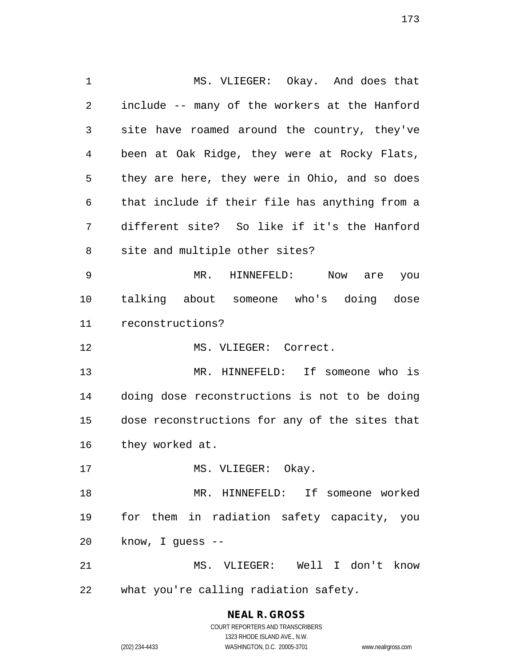MS. VLIEGER: Okay. And does that include -- many of the workers at the Hanford site have roamed around the country, they've been at Oak Ridge, they were at Rocky Flats, they are here, they were in Ohio, and so does that include if their file has anything from a different site? So like if it's the Hanford site and multiple other sites? MR. HINNEFELD: Now are you talking about someone who's doing dose reconstructions? 12 MS. VLIEGER: Correct. MR. HINNEFELD: If someone who is doing dose reconstructions is not to be doing dose reconstructions for any of the sites that they worked at. 17 MS. VLIEGER: Okay. MR. HINNEFELD: If someone worked for them in radiation safety capacity, you know, I guess -- MS. VLIEGER: Well I don't know what you're calling radiation safety.

> COURT REPORTERS AND TRANSCRIBERS 1323 RHODE ISLAND AVE., N.W. (202) 234-4433 WASHINGTON, D.C. 20005-3701 www.nealrgross.com

**NEAL R. GROSS**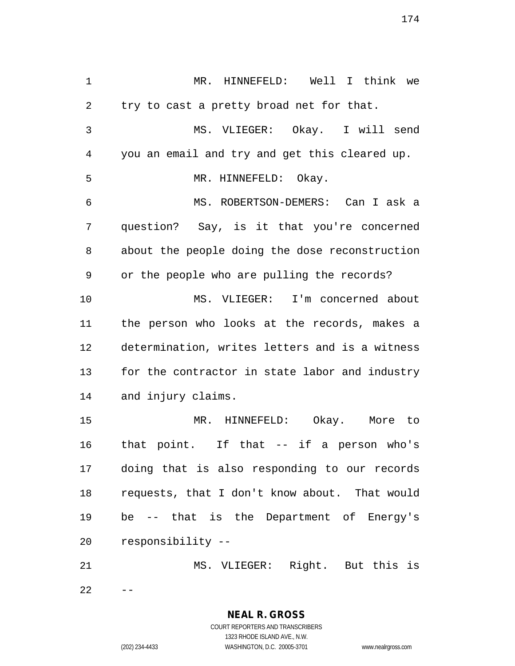MR. HINNEFELD: Well I think we try to cast a pretty broad net for that. MS. VLIEGER: Okay. I will send you an email and try and get this cleared up. MR. HINNEFELD: Okay. MS. ROBERTSON-DEMERS: Can I ask a question? Say, is it that you're concerned about the people doing the dose reconstruction or the people who are pulling the records? MS. VLIEGER: I'm concerned about the person who looks at the records, makes a determination, writes letters and is a witness for the contractor in state labor and industry and injury claims. MR. HINNEFELD: Okay. More to that point. If that -- if a person who's doing that is also responding to our records requests, that I don't know about. That would be -- that is the Department of Energy's responsibility -- MS. VLIEGER: Right. But this is

 $22 - -$ 

**NEAL R. GROSS** COURT REPORTERS AND TRANSCRIBERS

1323 RHODE ISLAND AVE., N.W. (202) 234-4433 WASHINGTON, D.C. 20005-3701 www.nealrgross.com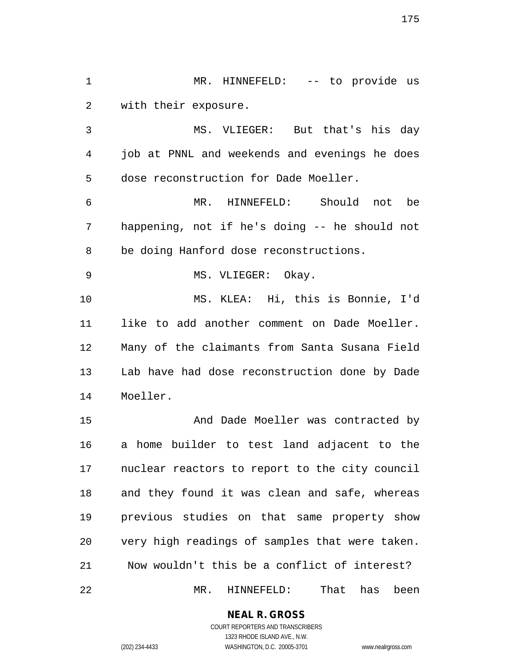MR. HINNEFELD: -- to provide us with their exposure.

 MS. VLIEGER: But that's his day job at PNNL and weekends and evenings he does dose reconstruction for Dade Moeller.

 MR. HINNEFELD: Should not be happening, not if he's doing -- he should not be doing Hanford dose reconstructions.

9 MS. VLIEGER: Okay.

 MS. KLEA: Hi, this is Bonnie, I'd like to add another comment on Dade Moeller. Many of the claimants from Santa Susana Field Lab have had dose reconstruction done by Dade Moeller.

 And Dade Moeller was contracted by a home builder to test land adjacent to the nuclear reactors to report to the city council and they found it was clean and safe, whereas previous studies on that same property show very high readings of samples that were taken. Now wouldn't this be a conflict of interest? MR. HINNEFELD: That has been

**NEAL R. GROSS**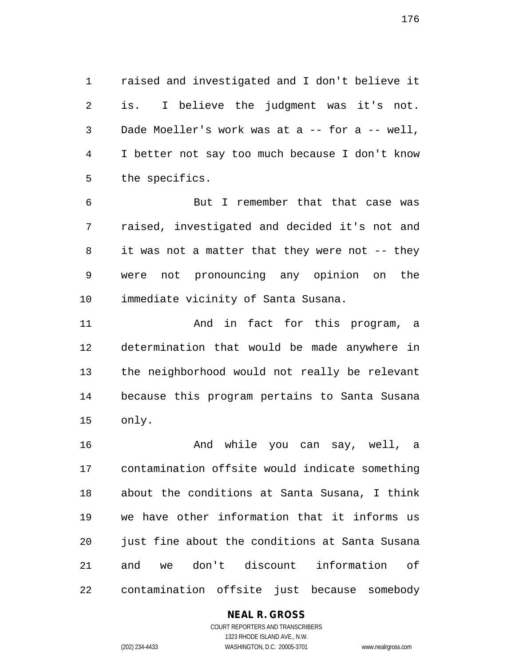raised and investigated and I don't believe it is. I believe the judgment was it's not. Dade Moeller's work was at a -- for a -- well, I better not say too much because I don't know the specifics.

 But I remember that that case was raised, investigated and decided it's not and it was not a matter that they were not -- they were not pronouncing any opinion on the immediate vicinity of Santa Susana.

11 and in fact for this program, a determination that would be made anywhere in the neighborhood would not really be relevant because this program pertains to Santa Susana only.

 And while you can say, well, a contamination offsite would indicate something about the conditions at Santa Susana, I think we have other information that it informs us just fine about the conditions at Santa Susana and we don't discount information of contamination offsite just because somebody

#### **NEAL R. GROSS**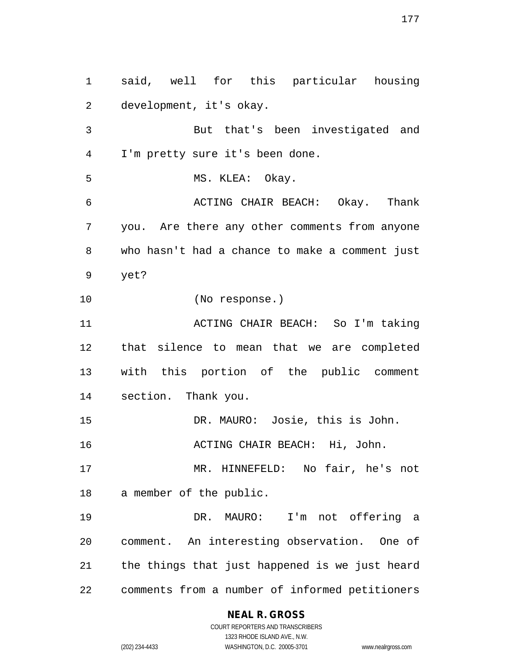said, well for this particular housing development, it's okay. But that's been investigated and I'm pretty sure it's been done. 5 MS. KLEA: Okay. ACTING CHAIR BEACH: Okay. Thank you. Are there any other comments from anyone who hasn't had a chance to make a comment just yet? (No response.) ACTING CHAIR BEACH: So I'm taking that silence to mean that we are completed with this portion of the public comment section. Thank you. DR. MAURO: Josie, this is John. **ACTING CHAIR BEACH:** Hi, John. MR. HINNEFELD: No fair, he's not a member of the public. DR. MAURO: I'm not offering a comment. An interesting observation. One of the things that just happened is we just heard comments from a number of informed petitioners

#### **NEAL R. GROSS**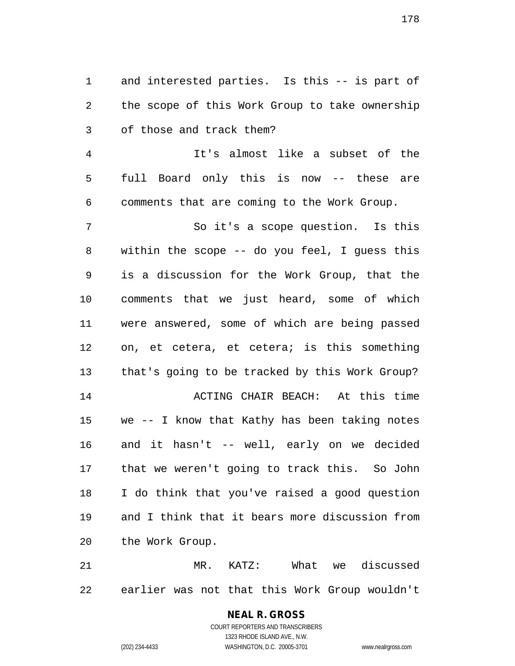and interested parties. Is this -- is part of the scope of this Work Group to take ownership of those and track them?

 It's almost like a subset of the full Board only this is now -- these are comments that are coming to the Work Group.

 So it's a scope question. Is this within the scope -- do you feel, I guess this is a discussion for the Work Group, that the comments that we just heard, some of which were answered, some of which are being passed on, et cetera, et cetera; is this something that's going to be tracked by this Work Group? ACTING CHAIR BEACH: At this time we -- I know that Kathy has been taking notes and it hasn't -- well, early on we decided that we weren't going to track this. So John I do think that you've raised a good question and I think that it bears more discussion from the Work Group.

 MR. KATZ: What we discussed earlier was not that this Work Group wouldn't

### **NEAL R. GROSS** COURT REPORTERS AND TRANSCRIBERS 1323 RHODE ISLAND AVE., N.W.

(202) 234-4433 WASHINGTON, D.C. 20005-3701 www.nealrgross.com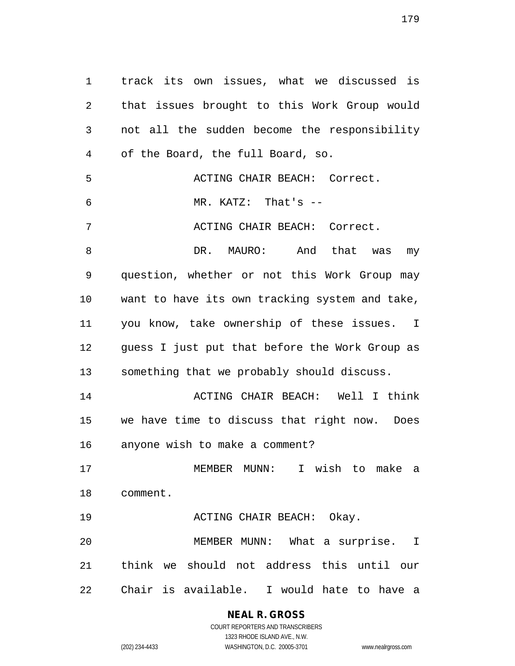track its own issues, what we discussed is that issues brought to this Work Group would not all the sudden become the responsibility of the Board, the full Board, so. ACTING CHAIR BEACH: Correct. MR. KATZ: That's -- ACTING CHAIR BEACH: Correct. 8 DR. MAURO: And that was my question, whether or not this Work Group may want to have its own tracking system and take, you know, take ownership of these issues. I guess I just put that before the Work Group as something that we probably should discuss. ACTING CHAIR BEACH: Well I think we have time to discuss that right now. Does anyone wish to make a comment? MEMBER MUNN: I wish to make a comment. ACTING CHAIR BEACH: Okay. MEMBER MUNN: What a surprise. I think we should not address this until our Chair is available. I would hate to have a

# **NEAL R. GROSS**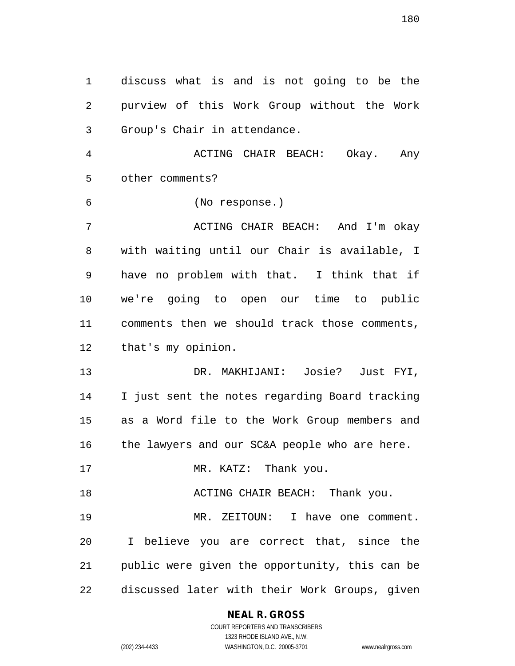discuss what is and is not going to be the purview of this Work Group without the Work Group's Chair in attendance.

 ACTING CHAIR BEACH: Okay. Any other comments?

(No response.)

7 ACTING CHAIR BEACH: And I'm okay with waiting until our Chair is available, I have no problem with that. I think that if we're going to open our time to public comments then we should track those comments, that's my opinion.

 DR. MAKHIJANI: Josie? Just FYI, I just sent the notes regarding Board tracking as a Word file to the Work Group members and 16 the lawyers and our SC&A people who are here.

17 MR. KATZ: Thank you.

**ACTING CHAIR BEACH:** Thank you.

 MR. ZEITOUN: I have one comment. I believe you are correct that, since the public were given the opportunity, this can be discussed later with their Work Groups, given

#### **NEAL R. GROSS**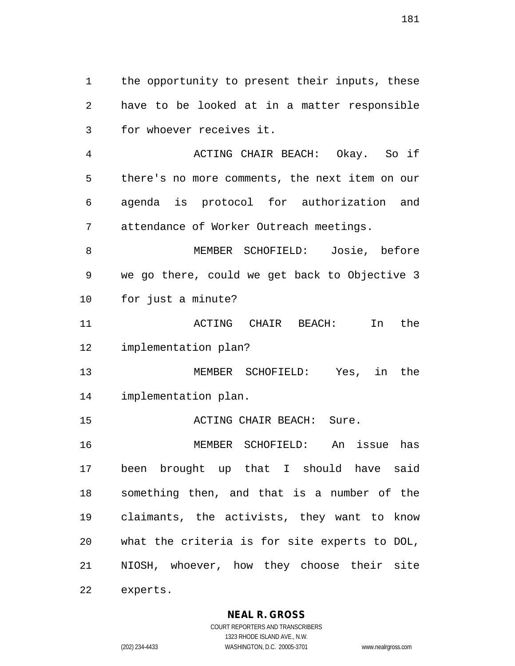the opportunity to present their inputs, these have to be looked at in a matter responsible for whoever receives it.

 ACTING CHAIR BEACH: Okay. So if there's no more comments, the next item on our agenda is protocol for authorization and attendance of Worker Outreach meetings.

 MEMBER SCHOFIELD: Josie, before we go there, could we get back to Objective 3 for just a minute?

 ACTING CHAIR BEACH: In the implementation plan?

 MEMBER SCHOFIELD: Yes, in the implementation plan.

15 ACTING CHAIR BEACH: Sure.

 MEMBER SCHOFIELD: An issue has been brought up that I should have said something then, and that is a number of the claimants, the activists, they want to know what the criteria is for site experts to DOL, NIOSH, whoever, how they choose their site experts.

**NEAL R. GROSS**

COURT REPORTERS AND TRANSCRIBERS 1323 RHODE ISLAND AVE., N.W. (202) 234-4433 WASHINGTON, D.C. 20005-3701 www.nealrgross.com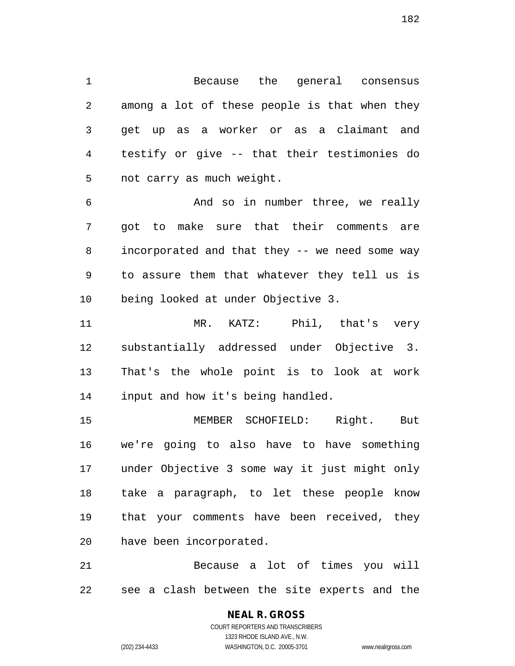Because the general consensus among a lot of these people is that when they get up as a worker or as a claimant and testify or give -- that their testimonies do not carry as much weight.

 And so in number three, we really got to make sure that their comments are incorporated and that they -- we need some way to assure them that whatever they tell us is being looked at under Objective 3.

 MR. KATZ: Phil, that's very substantially addressed under Objective 3. That's the whole point is to look at work input and how it's being handled.

 MEMBER SCHOFIELD: Right. But we're going to also have to have something under Objective 3 some way it just might only take a paragraph, to let these people know that your comments have been received, they have been incorporated.

 Because a lot of times you will see a clash between the site experts and the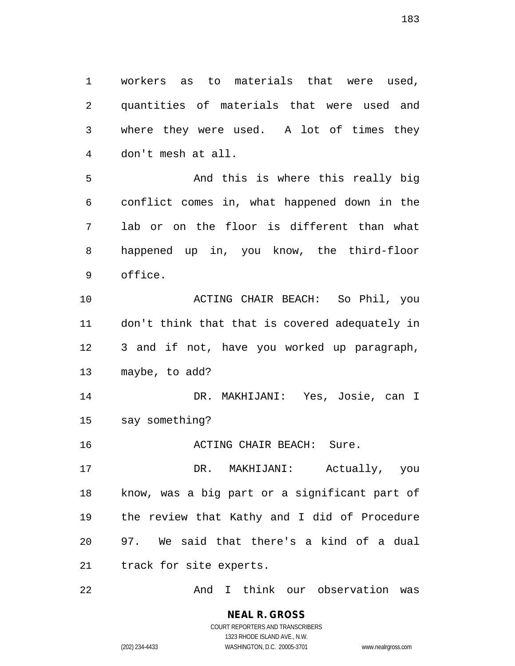workers as to materials that were used, quantities of materials that were used and where they were used. A lot of times they don't mesh at all.

 And this is where this really big conflict comes in, what happened down in the lab or on the floor is different than what happened up in, you know, the third-floor office.

 ACTING CHAIR BEACH: So Phil, you don't think that that is covered adequately in 3 and if not, have you worked up paragraph, maybe, to add?

 DR. MAKHIJANI: Yes, Josie, can I say something?

**ACTING CHAIR BEACH:** Sure.

 DR. MAKHIJANI: Actually, you know, was a big part or a significant part of the review that Kathy and I did of Procedure 97. We said that there's a kind of a dual track for site experts.

And I think our observation was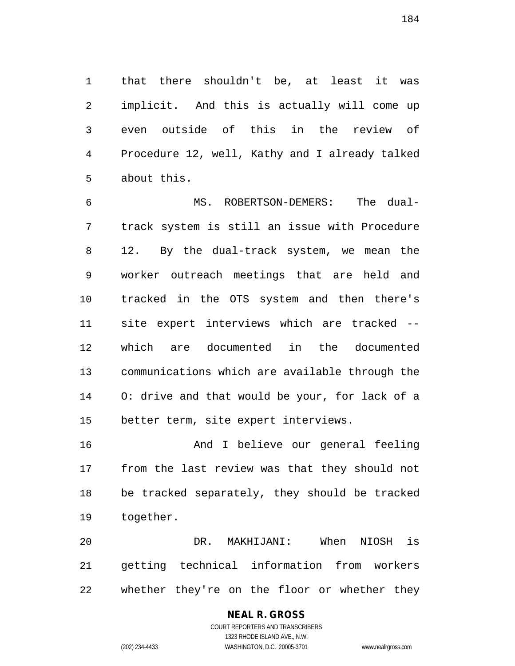that there shouldn't be, at least it was implicit. And this is actually will come up even outside of this in the review of Procedure 12, well, Kathy and I already talked about this.

 MS. ROBERTSON-DEMERS: The dual- track system is still an issue with Procedure 12. By the dual-track system, we mean the worker outreach meetings that are held and tracked in the OTS system and then there's site expert interviews which are tracked -- which are documented in the documented communications which are available through the O: drive and that would be your, for lack of a better term, site expert interviews.

 And I believe our general feeling from the last review was that they should not be tracked separately, they should be tracked together.

 DR. MAKHIJANI: When NIOSH is getting technical information from workers whether they're on the floor or whether they

# **NEAL R. GROSS**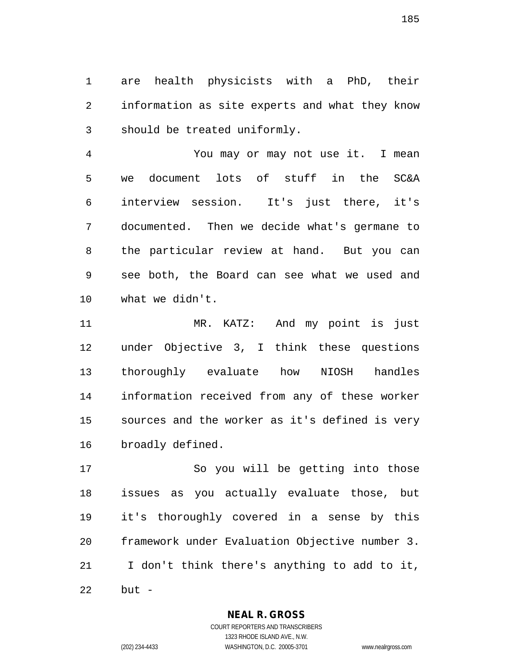are health physicists with a PhD, their information as site experts and what they know should be treated uniformly.

 You may or may not use it. I mean we document lots of stuff in the SC&A interview session. It's just there, it's documented. Then we decide what's germane to the particular review at hand. But you can see both, the Board can see what we used and what we didn't.

 MR. KATZ: And my point is just under Objective 3, I think these questions thoroughly evaluate how NIOSH handles information received from any of these worker sources and the worker as it's defined is very broadly defined.

 So you will be getting into those issues as you actually evaluate those, but it's thoroughly covered in a sense by this framework under Evaluation Objective number 3. I don't think there's anything to add to it, but -

**NEAL R. GROSS**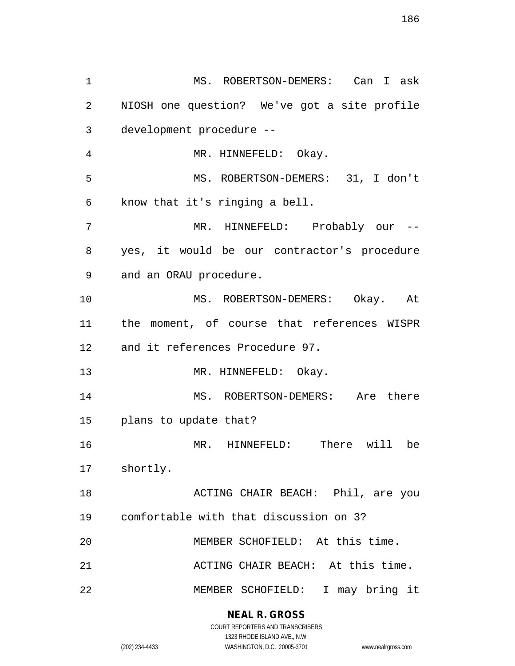MS. ROBERTSON-DEMERS: Can I ask NIOSH one question? We've got a site profile development procedure -- MR. HINNEFELD: Okay. MS. ROBERTSON-DEMERS: 31, I don't know that it's ringing a bell. MR. HINNEFELD: Probably our -- yes, it would be our contractor's procedure and an ORAU procedure. MS. ROBERTSON-DEMERS: Okay. At the moment, of course that references WISPR and it references Procedure 97. 13 MR. HINNEFELD: Okay. MS. ROBERTSON-DEMERS: Are there plans to update that? MR. HINNEFELD: There will be shortly. ACTING CHAIR BEACH: Phil, are you comfortable with that discussion on 3? MEMBER SCHOFIELD: At this time. ACTING CHAIR BEACH: At this time. MEMBER SCHOFIELD: I may bring it

> **NEAL R. GROSS** COURT REPORTERS AND TRANSCRIBERS

> > 1323 RHODE ISLAND AVE., N.W.

(202) 234-4433 WASHINGTON, D.C. 20005-3701 www.nealrgross.com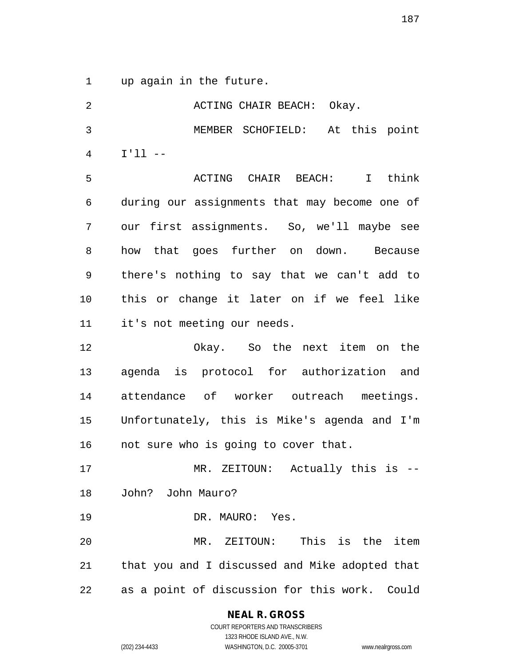up again in the future.

| 2  | ACTING CHAIR BEACH: Okay.                      |
|----|------------------------------------------------|
| 3  | MEMBER SCHOFIELD: At this point                |
| 4  | $I'11 - -$                                     |
| 5  | ACTING CHAIR BEACH:<br>I think                 |
| 6  | during our assignments that may become one of  |
| 7  | our first assignments. So, we'll maybe see     |
| 8  | how that goes further on down. Because         |
| 9  | there's nothing to say that we can't add to    |
| 10 | this or change it later on if we feel like     |
| 11 | it's not meeting our needs.                    |
| 12 | Okay. So the next item on the                  |
| 13 | agenda is protocol for authorization and       |
| 14 | attendance of worker outreach meetings.        |
| 15 | Unfortunately, this is Mike's agenda and I'm   |
| 16 | not sure who is going to cover that.           |
| 17 | MR. ZEITOUN: Actually this is --               |
| 18 | John? John Mauro?                              |
| 19 | DR. MAURO: Yes.                                |
| 20 | MR. ZEITOUN: This is the item                  |
| 21 | that you and I discussed and Mike adopted that |
| 22 | as a point of discussion for this work. Could  |

**NEAL R. GROSS**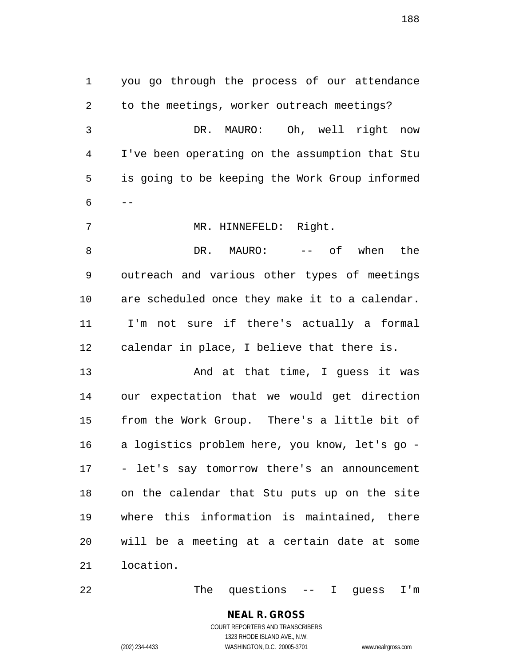you go through the process of our attendance to the meetings, worker outreach meetings? DR. MAURO: Oh, well right now I've been operating on the assumption that Stu is going to be keeping the Work Group informed  $6 - -$ 7 MR. HINNEFELD: Right. 8 DR. MAURO:  $--$  of when the outreach and various other types of meetings are scheduled once they make it to a calendar. I'm not sure if there's actually a formal calendar in place, I believe that there is. 13 And at that time, I guess it was our expectation that we would get direction from the Work Group. There's a little bit of a logistics problem here, you know, let's go - - let's say tomorrow there's an announcement on the calendar that Stu puts up on the site where this information is maintained, there will be a meeting at a certain date at some location.

22 The questions -- I guess I'm

# **NEAL R. GROSS**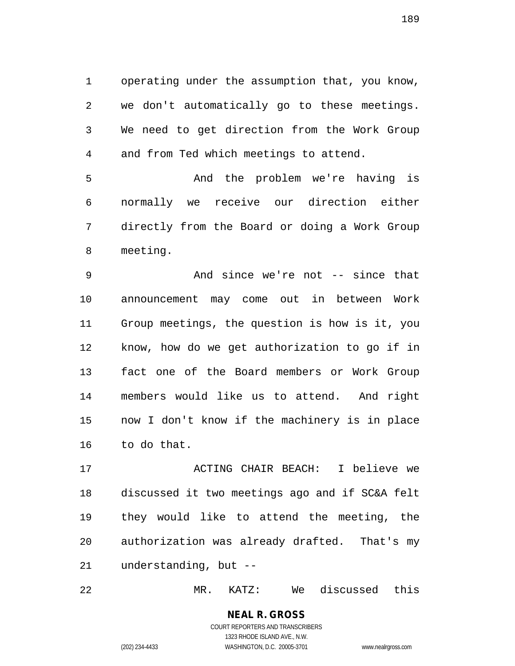operating under the assumption that, you know, we don't automatically go to these meetings. We need to get direction from the Work Group and from Ted which meetings to attend.

 And the problem we're having is normally we receive our direction either directly from the Board or doing a Work Group meeting.

 And since we're not -- since that announcement may come out in between Work Group meetings, the question is how is it, you know, how do we get authorization to go if in fact one of the Board members or Work Group members would like us to attend. And right now I don't know if the machinery is in place to do that.

 ACTING CHAIR BEACH: I believe we discussed it two meetings ago and if SC&A felt they would like to attend the meeting, the authorization was already drafted. That's my understanding, but --

MR. KATZ: We discussed this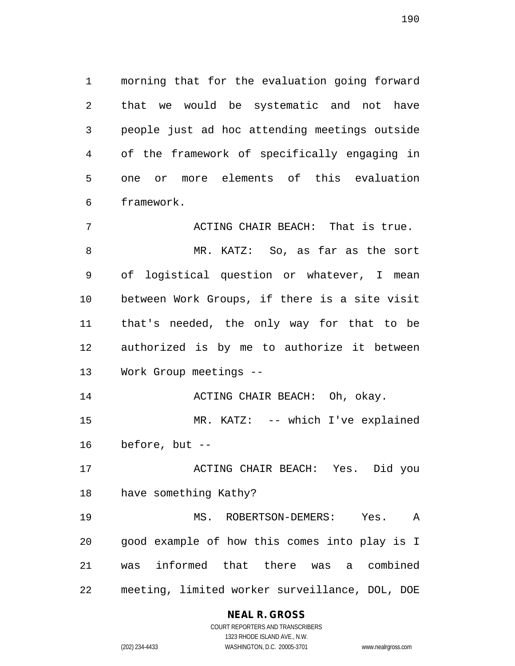morning that for the evaluation going forward that we would be systematic and not have people just ad hoc attending meetings outside of the framework of specifically engaging in one or more elements of this evaluation framework.

7 ACTING CHAIR BEACH: That is true. MR. KATZ: So, as far as the sort of logistical question or whatever, I mean between Work Groups, if there is a site visit that's needed, the only way for that to be authorized is by me to authorize it between Work Group meetings -- **ACTING CHAIR BEACH:** Oh, okay.

 MR. KATZ: -- which I've explained before, but --

 ACTING CHAIR BEACH: Yes. Did you have something Kathy?

 MS. ROBERTSON-DEMERS: Yes. A good example of how this comes into play is I was informed that there was a combined meeting, limited worker surveillance, DOL, DOE

# **NEAL R. GROSS**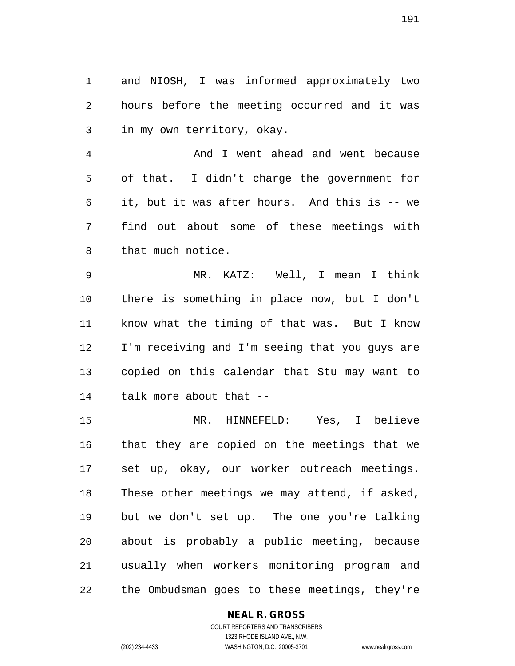and NIOSH, I was informed approximately two hours before the meeting occurred and it was in my own territory, okay.

 And I went ahead and went because of that. I didn't charge the government for it, but it was after hours. And this is -- we find out about some of these meetings with that much notice.

 MR. KATZ: Well, I mean I think there is something in place now, but I don't know what the timing of that was. But I know I'm receiving and I'm seeing that you guys are copied on this calendar that Stu may want to talk more about that --

 MR. HINNEFELD: Yes, I believe that they are copied on the meetings that we set up, okay, our worker outreach meetings. These other meetings we may attend, if asked, but we don't set up. The one you're talking about is probably a public meeting, because usually when workers monitoring program and the Ombudsman goes to these meetings, they're

# **NEAL R. GROSS**

COURT REPORTERS AND TRANSCRIBERS 1323 RHODE ISLAND AVE., N.W. (202) 234-4433 WASHINGTON, D.C. 20005-3701 www.nealrgross.com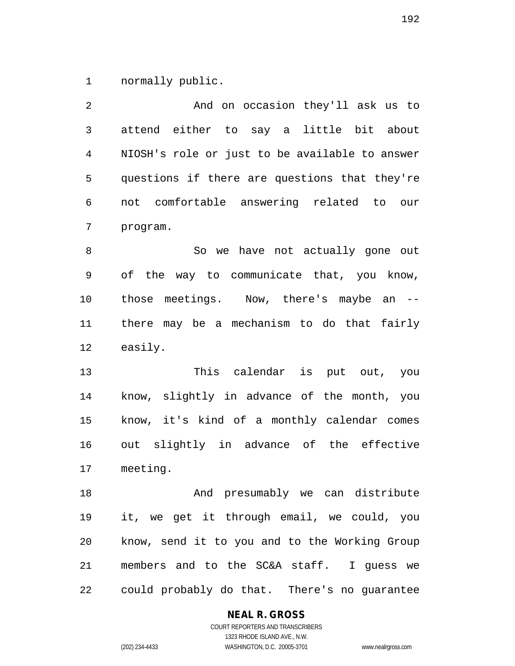normally public.

| 2  | And on occasion they'll ask us to              |
|----|------------------------------------------------|
| 3  | attend either to say a little bit about        |
| 4  | NIOSH's role or just to be available to answer |
| 5  | questions if there are questions that they're  |
| 6  | not comfortable answering related to our       |
| 7  | program.                                       |
| 8  | So we have not actually gone out               |
| 9  | of the way to communicate that, you know,      |
| 10 | those meetings. Now, there's maybe an --       |
| 11 | there may be a mechanism to do that fairly     |
| 12 | easily.                                        |
| 13 | This calendar is put out, you                  |
| 14 | know, slightly in advance of the month, you    |
| 15 | know, it's kind of a monthly calendar comes    |
| 16 | out slightly in advance of the effective       |
| 17 | meeting.                                       |
| 18 | And presumably we can distribute               |
| 19 | it, we get it through email, we could, you     |
| 20 | know, send it to you and to the Working Group  |
| 21 | members and to the SC&A staff. I guess we      |
| 22 | could probably do that. There's no guarantee   |

**NEAL R. GROSS**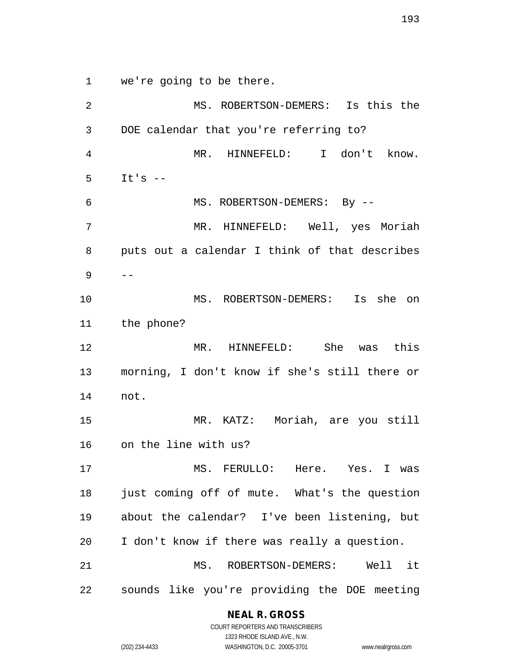we're going to be there.

 MS. ROBERTSON-DEMERS: Is this the DOE calendar that you're referring to? MR. HINNEFELD: I don't know. It's -- MS. ROBERTSON-DEMERS: By -- MR. HINNEFELD: Well, yes Moriah puts out a calendar I think of that describes  $9 - -$  MS. ROBERTSON-DEMERS: Is she on the phone? MR. HINNEFELD: She was this morning, I don't know if she's still there or not. MR. KATZ: Moriah, are you still on the line with us? MS. FERULLO: Here. Yes. I was just coming off of mute. What's the question about the calendar? I've been listening, but I don't know if there was really a question. MS. ROBERTSON-DEMERS: Well it sounds like you're providing the DOE meeting

# **NEAL R. GROSS**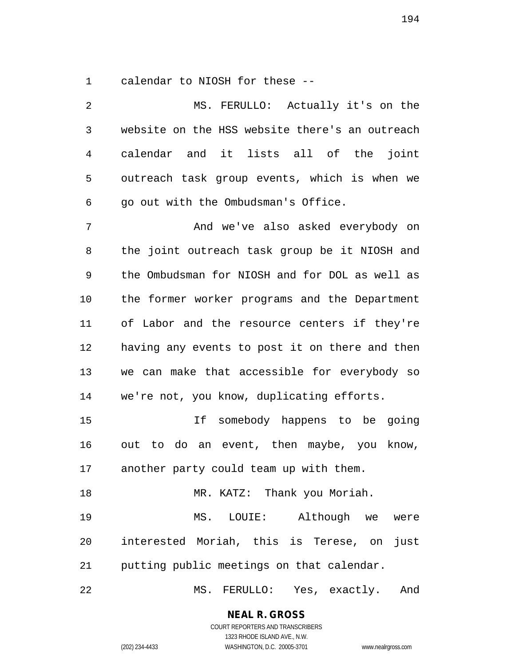calendar to NIOSH for these --

| 2              | MS. FERULLO: Actually it's on the              |
|----------------|------------------------------------------------|
| $\mathfrak{Z}$ | website on the HSS website there's an outreach |
| 4              | calendar and it lists all of the joint         |
| 5              | outreach task group events, which is when we   |
| 6              | go out with the Ombudsman's Office.            |
| 7              | And we've also asked everybody on              |
| 8              | the joint outreach task group be it NIOSH and  |
| 9              | the Ombudsman for NIOSH and for DOL as well as |
| 10             | the former worker programs and the Department  |
| 11             | of Labor and the resource centers if they're   |
| 12             | having any events to post it on there and then |
| 13             | we can make that accessible for everybody so   |
| 14             | we're not, you know, duplicating efforts.      |
| 15             | If somebody happens to be going                |
| 16             | out to do an event, then maybe, you know,      |
| 17             | another party could team up with them.         |
| 18             | MR. KATZ: Thank you Moriah.                    |
| 19             | MS. LOUIE: Although we<br>were                 |
| 20             | interested Moriah, this is Terese, on<br>just  |
| 21             | putting public meetings on that calendar.      |
| 22             | MS. FERULLO: Yes, exactly.<br>And              |

**NEAL R. GROSS**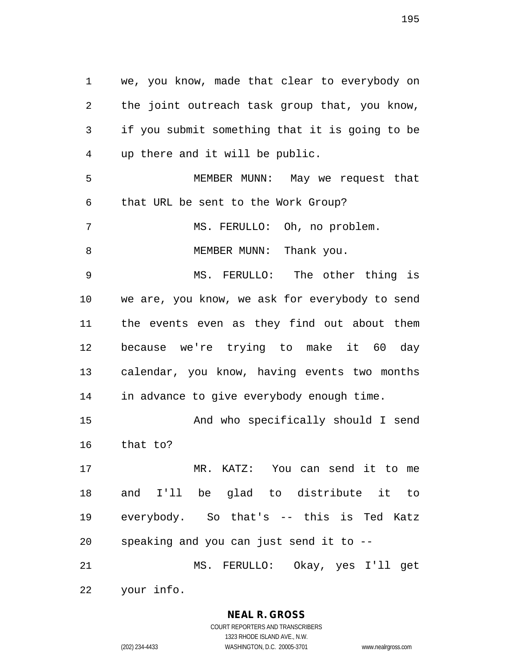we, you know, made that clear to everybody on the joint outreach task group that, you know, if you submit something that it is going to be up there and it will be public. MEMBER MUNN: May we request that that URL be sent to the Work Group? MS. FERULLO: Oh, no problem. 8 MEMBER MUNN: Thank you. MS. FERULLO: The other thing is we are, you know, we ask for everybody to send the events even as they find out about them because we're trying to make it 60 day calendar, you know, having events two months in advance to give everybody enough time. And who specifically should I send that to? MR. KATZ: You can send it to me and I'll be glad to distribute it to everybody. So that's -- this is Ted Katz speaking and you can just send it to -- MS. FERULLO: Okay, yes I'll get

your info.

**NEAL R. GROSS** COURT REPORTERS AND TRANSCRIBERS

1323 RHODE ISLAND AVE., N.W. (202) 234-4433 WASHINGTON, D.C. 20005-3701 www.nealrgross.com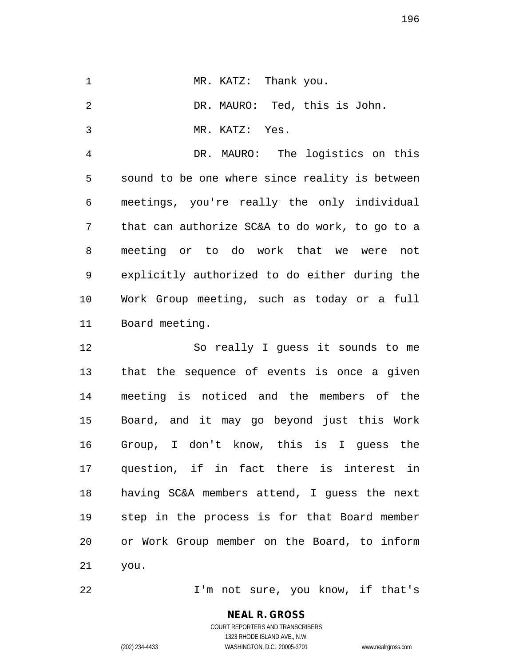|  | MR. KATZ: Thank you. |  |  |
|--|----------------------|--|--|
|  |                      |  |  |

DR. MAURO: Ted, this is John.

MR. KATZ: Yes.

 DR. MAURO: The logistics on this sound to be one where since reality is between meetings, you're really the only individual that can authorize SC&A to do work, to go to a meeting or to do work that we were not explicitly authorized to do either during the Work Group meeting, such as today or a full Board meeting.

 So really I guess it sounds to me that the sequence of events is once a given meeting is noticed and the members of the Board, and it may go beyond just this Work Group, I don't know, this is I guess the question, if in fact there is interest in having SC&A members attend, I guess the next step in the process is for that Board member or Work Group member on the Board, to inform you.

I'm not sure, you know, if that's

**NEAL R. GROSS** COURT REPORTERS AND TRANSCRIBERS 1323 RHODE ISLAND AVE., N.W.

(202) 234-4433 WASHINGTON, D.C. 20005-3701 www.nealrgross.com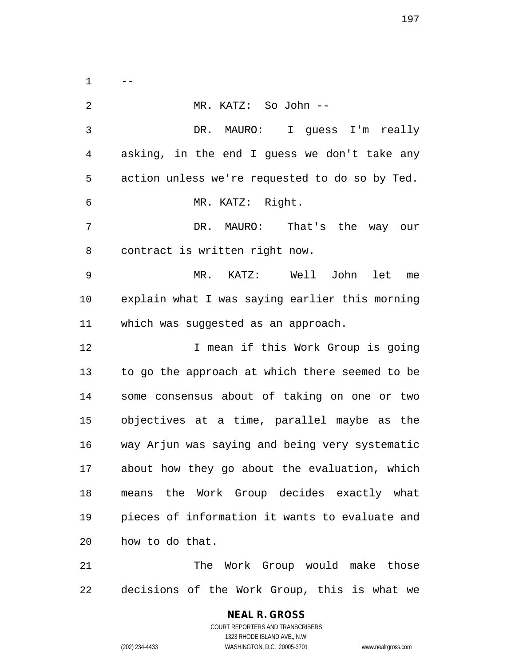$1 \qquad -$ 

 MR. KATZ: So John -- DR. MAURO: I guess I'm really asking, in the end I guess we don't take any action unless we're requested to do so by Ted. MR. KATZ: Right. DR. MAURO: That's the way our contract is written right now. MR. KATZ: Well John let me explain what I was saying earlier this morning which was suggested as an approach. 12 I mean if this Work Group is going to go the approach at which there seemed to be some consensus about of taking on one or two objectives at a time, parallel maybe as the way Arjun was saying and being very systematic about how they go about the evaluation, which means the Work Group decides exactly what pieces of information it wants to evaluate and how to do that. The Work Group would make those decisions of the Work Group, this is what we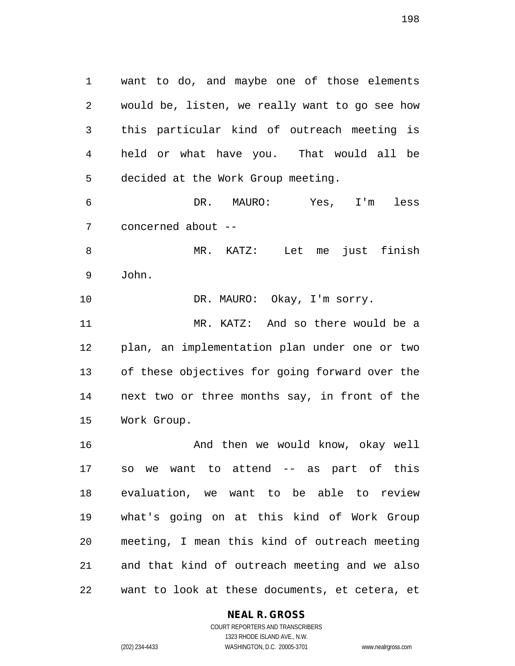want to do, and maybe one of those elements would be, listen, we really want to go see how this particular kind of outreach meeting is held or what have you. That would all be decided at the Work Group meeting. DR. MAURO: Yes, I'm less concerned about --

MR. KATZ: Let me just finish

John.

10 DR. MAURO: Okay, I'm sorry.

 MR. KATZ: And so there would be a plan, an implementation plan under one or two of these objectives for going forward over the next two or three months say, in front of the Work Group.

 And then we would know, okay well so we want to attend -- as part of this evaluation, we want to be able to review what's going on at this kind of Work Group meeting, I mean this kind of outreach meeting and that kind of outreach meeting and we also want to look at these documents, et cetera, et

# **NEAL R. GROSS**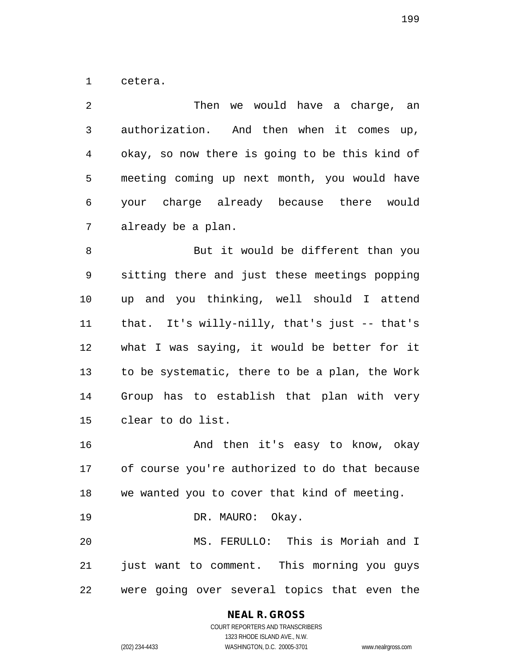cetera.

| 2              | Then we would have a charge, an                |
|----------------|------------------------------------------------|
| 3              | authorization. And then when it comes up,      |
| $\overline{4}$ | okay, so now there is going to be this kind of |
| 5              | meeting coming up next month, you would have   |
| 6              | your charge already because there would        |
| 7              | already be a plan.                             |
| 8              | But it would be different than you             |
| 9              | sitting there and just these meetings popping  |
| 10             | up and you thinking, well should I attend      |
| 11             | that. It's willy-nilly, that's just -- that's  |
| 12             | what I was saying, it would be better for it   |
| 13             | to be systematic, there to be a plan, the Work |
| 14             | Group has to establish that plan with very     |
| 15             | clear to do list.                              |
| 16             | And then it's easy to know, okay               |
| 17             | of course you're authorized to do that because |
| 18             | we wanted you to cover that kind of meeting.   |
| 19             | DR. MAURO: Okay.                               |
| 20             | MS. FERULLO: This is Moriah and I              |
| 21             | just want to comment. This morning you guys    |

were going over several topics that even the

**NEAL R. GROSS**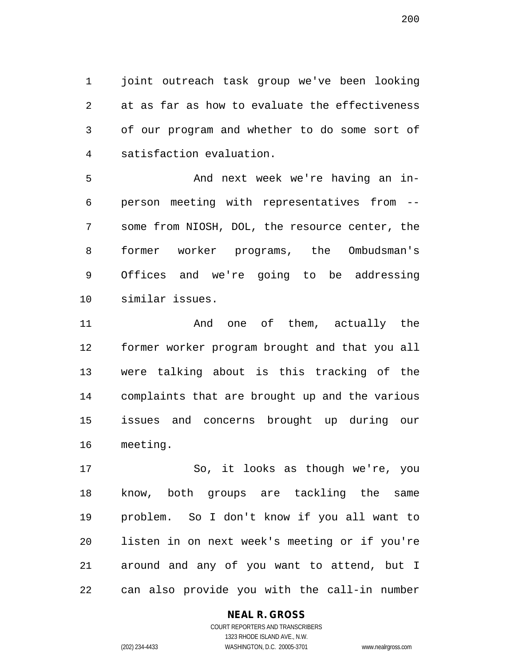joint outreach task group we've been looking at as far as how to evaluate the effectiveness of our program and whether to do some sort of satisfaction evaluation.

 And next week we're having an in- person meeting with representatives from -- some from NIOSH, DOL, the resource center, the former worker programs, the Ombudsman's Offices and we're going to be addressing similar issues.

 And one of them, actually the former worker program brought and that you all were talking about is this tracking of the complaints that are brought up and the various issues and concerns brought up during our meeting.

 So, it looks as though we're, you know, both groups are tackling the same problem. So I don't know if you all want to listen in on next week's meeting or if you're around and any of you want to attend, but I can also provide you with the call-in number

# **NEAL R. GROSS**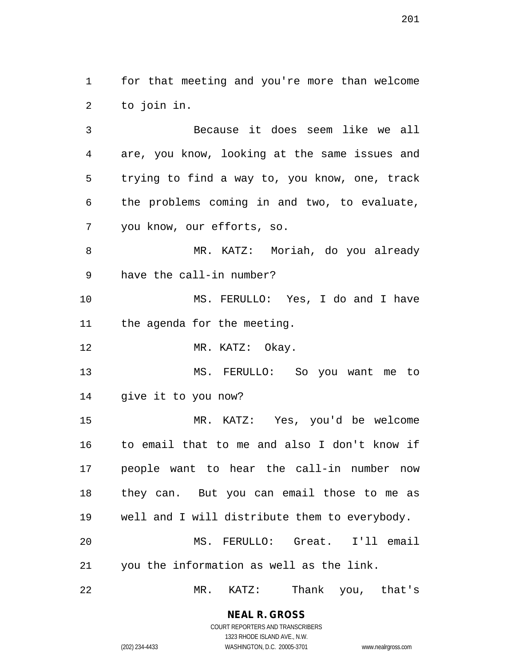for that meeting and you're more than welcome to join in.

 Because it does seem like we all are, you know, looking at the same issues and trying to find a way to, you know, one, track the problems coming in and two, to evaluate, you know, our efforts, so.

 MR. KATZ: Moriah, do you already have the call-in number?

 MS. FERULLO: Yes, I do and I have the agenda for the meeting.

12 MR. KATZ: Okay.

 MS. FERULLO: So you want me to give it to you now?

 MR. KATZ: Yes, you'd be welcome to email that to me and also I don't know if people want to hear the call-in number now they can. But you can email those to me as well and I will distribute them to everybody. MS. FERULLO: Great. I'll email you the information as well as the link.

MR. KATZ: Thank you, that's

**NEAL R. GROSS** COURT REPORTERS AND TRANSCRIBERS

1323 RHODE ISLAND AVE., N.W. (202) 234-4433 WASHINGTON, D.C. 20005-3701 www.nealrgross.com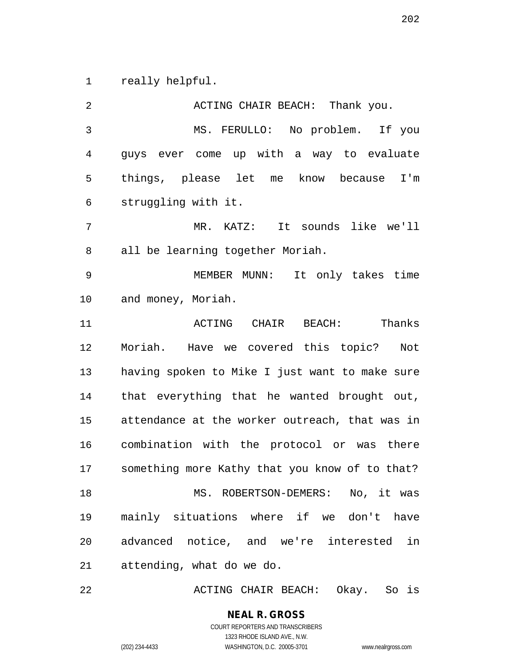really helpful.

 ACTING CHAIR BEACH: Thank you. MS. FERULLO: No problem. If you guys ever come up with a way to evaluate things, please let me know because I'm struggling with it. MR. KATZ: It sounds like we'll all be learning together Moriah. MEMBER MUNN: It only takes time and money, Moriah. ACTING CHAIR BEACH: Thanks Moriah. Have we covered this topic? Not having spoken to Mike I just want to make sure that everything that he wanted brought out, attendance at the worker outreach, that was in combination with the protocol or was there something more Kathy that you know of to that? MS. ROBERTSON-DEMERS: No, it was mainly situations where if we don't have advanced notice, and we're interested in attending, what do we do.

ACTING CHAIR BEACH: Okay. So is

**NEAL R. GROSS** COURT REPORTERS AND TRANSCRIBERS 1323 RHODE ISLAND AVE., N.W.

(202) 234-4433 WASHINGTON, D.C. 20005-3701 www.nealrgross.com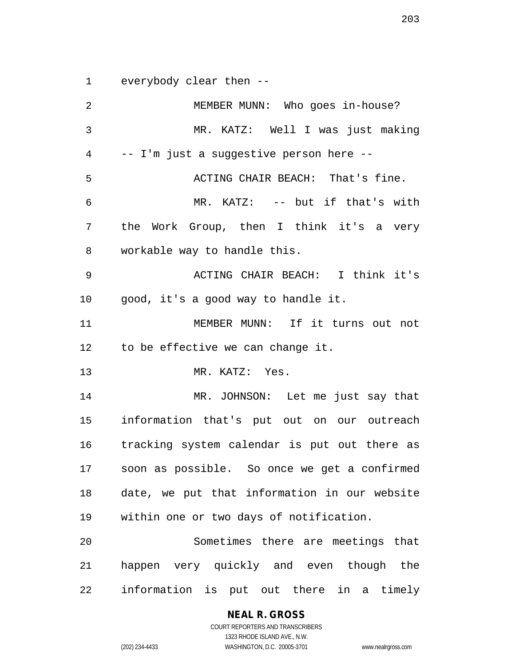everybody clear then --

 MEMBER MUNN: Who goes in-house? MR. KATZ: Well I was just making -- I'm just a suggestive person here -- ACTING CHAIR BEACH: That's fine. MR. KATZ: -- but if that's with the Work Group, then I think it's a very workable way to handle this. ACTING CHAIR BEACH: I think it's good, it's a good way to handle it. MEMBER MUNN: If it turns out not to be effective we can change it. MR. KATZ: Yes. MR. JOHNSON: Let me just say that information that's put out on our outreach tracking system calendar is put out there as soon as possible. So once we get a confirmed date, we put that information in our website within one or two days of notification. Sometimes there are meetings that happen very quickly and even though the information is put out there in a timely

**NEAL R. GROSS**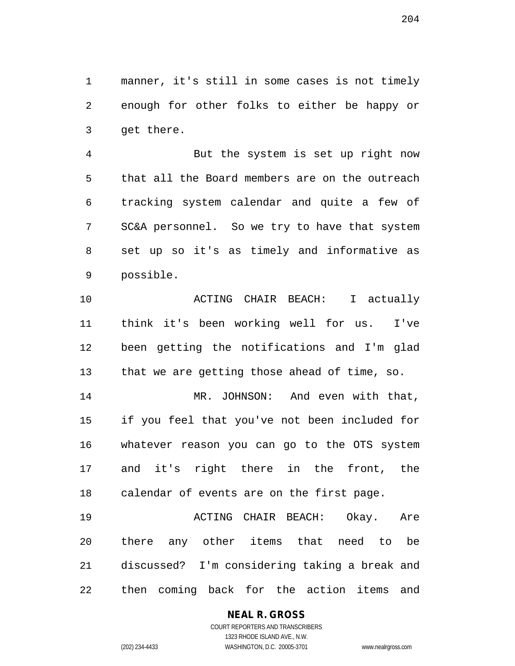manner, it's still in some cases is not timely enough for other folks to either be happy or get there.

 But the system is set up right now that all the Board members are on the outreach tracking system calendar and quite a few of SC&A personnel. So we try to have that system set up so it's as timely and informative as possible.

 ACTING CHAIR BEACH: I actually think it's been working well for us. I've been getting the notifications and I'm glad that we are getting those ahead of time, so.

 MR. JOHNSON: And even with that, if you feel that you've not been included for whatever reason you can go to the OTS system and it's right there in the front, the calendar of events are on the first page.

 ACTING CHAIR BEACH: Okay. Are there any other items that need to be discussed? I'm considering taking a break and then coming back for the action items and

# **NEAL R. GROSS**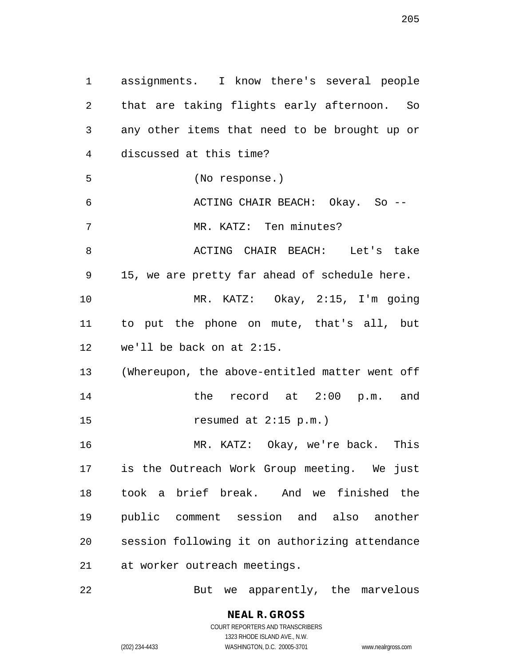assignments. I know there's several people that are taking flights early afternoon. So any other items that need to be brought up or discussed at this time? (No response.) ACTING CHAIR BEACH: Okay. So -- 7 MR. KATZ: Ten minutes? 8 ACTING CHAIR BEACH: Let's take 15, we are pretty far ahead of schedule here. MR. KATZ: Okay, 2:15, I'm going to put the phone on mute, that's all, but we'll be back on at 2:15. (Whereupon, the above-entitled matter went off the record at 2:00 p.m. and resumed at 2:15 p.m.) MR. KATZ: Okay, we're back. This is the Outreach Work Group meeting. We just took a brief break. And we finished the public comment session and also another session following it on authorizing attendance at worker outreach meetings.

But we apparently, the marvelous

**NEAL R. GROSS** COURT REPORTERS AND TRANSCRIBERS

1323 RHODE ISLAND AVE., N.W.

(202) 234-4433 WASHINGTON, D.C. 20005-3701 www.nealrgross.com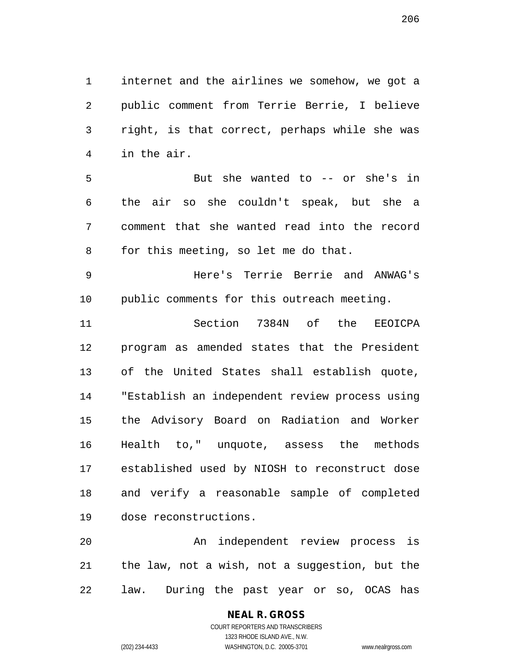internet and the airlines we somehow, we got a public comment from Terrie Berrie, I believe right, is that correct, perhaps while she was in the air.

 But she wanted to -- or she's in the air so she couldn't speak, but she a comment that she wanted read into the record for this meeting, so let me do that.

 Here's Terrie Berrie and ANWAG's public comments for this outreach meeting.

 Section 7384N of the EEOICPA program as amended states that the President of the United States shall establish quote, "Establish an independent review process using the Advisory Board on Radiation and Worker Health to," unquote, assess the methods established used by NIOSH to reconstruct dose and verify a reasonable sample of completed dose reconstructions.

 An independent review process is the law, not a wish, not a suggestion, but the law. During the past year or so, OCAS has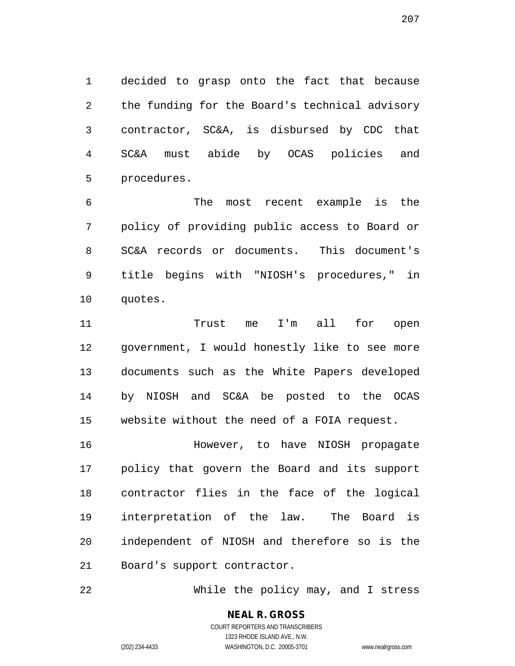decided to grasp onto the fact that because the funding for the Board's technical advisory contractor, SC&A, is disbursed by CDC that SC&A must abide by OCAS policies and procedures.

 The most recent example is the policy of providing public access to Board or SC&A records or documents. This document's title begins with "NIOSH's procedures," in quotes.

 Trust me I'm all for open government, I would honestly like to see more documents such as the White Papers developed by NIOSH and SC&A be posted to the OCAS website without the need of a FOIA request.

 However, to have NIOSH propagate policy that govern the Board and its support contractor flies in the face of the logical interpretation of the law. The Board is independent of NIOSH and therefore so is the Board's support contractor.

While the policy may, and I stress

#### **NEAL R. GROSS** COURT REPORTERS AND TRANSCRIBERS

1323 RHODE ISLAND AVE., N.W. (202) 234-4433 WASHINGTON, D.C. 20005-3701 www.nealrgross.com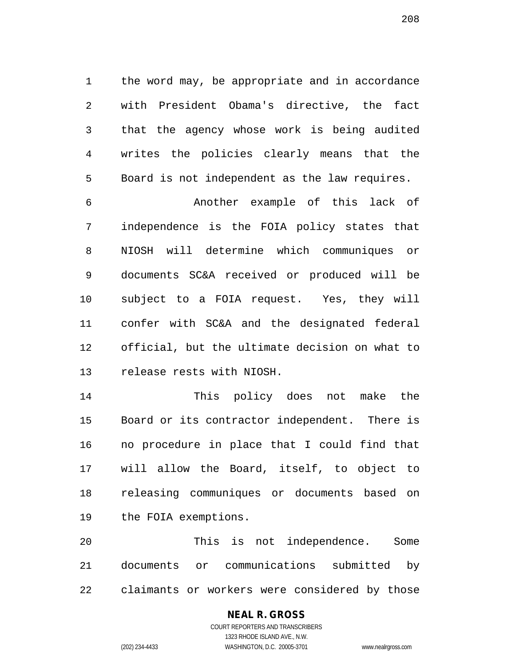the word may, be appropriate and in accordance with President Obama's directive, the fact that the agency whose work is being audited writes the policies clearly means that the Board is not independent as the law requires.

 Another example of this lack of independence is the FOIA policy states that NIOSH will determine which communiques or documents SC&A received or produced will be subject to a FOIA request. Yes, they will confer with SC&A and the designated federal official, but the ultimate decision on what to release rests with NIOSH.

 This policy does not make the Board or its contractor independent. There is no procedure in place that I could find that will allow the Board, itself, to object to releasing communiques or documents based on the FOIA exemptions.

 This is not independence. Some documents or communications submitted by claimants or workers were considered by those

# **NEAL R. GROSS**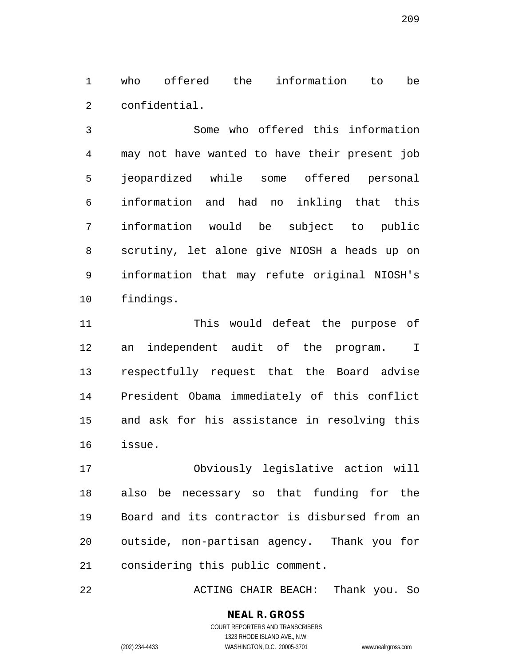who offered the information to be confidential.

 Some who offered this information may not have wanted to have their present job jeopardized while some offered personal information and had no inkling that this information would be subject to public scrutiny, let alone give NIOSH a heads up on information that may refute original NIOSH's findings.

 This would defeat the purpose of an independent audit of the program. I respectfully request that the Board advise President Obama immediately of this conflict and ask for his assistance in resolving this issue.

 Obviously legislative action will also be necessary so that funding for the Board and its contractor is disbursed from an outside, non-partisan agency. Thank you for considering this public comment.

ACTING CHAIR BEACH: Thank you. So

(202) 234-4433 WASHINGTON, D.C. 20005-3701 www.nealrgross.com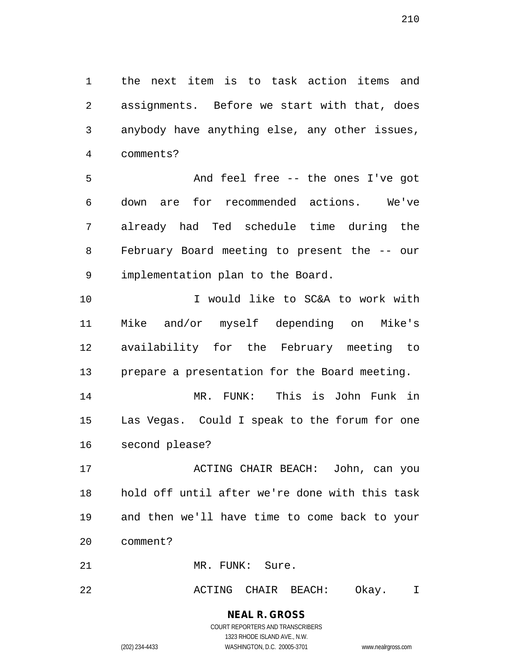the next item is to task action items and assignments. Before we start with that, does anybody have anything else, any other issues, comments?

 And feel free -- the ones I've got down are for recommended actions. We've already had Ted schedule time during the February Board meeting to present the -- our implementation plan to the Board.

 I would like to SC&A to work with Mike and/or myself depending on Mike's availability for the February meeting to prepare a presentation for the Board meeting.

 MR. FUNK: This is John Funk in Las Vegas. Could I speak to the forum for one second please?

 ACTING CHAIR BEACH: John, can you hold off until after we're done with this task and then we'll have time to come back to your comment?

MR. FUNK: Sure.

ACTING CHAIR BEACH: Okay. I

**NEAL R. GROSS** COURT REPORTERS AND TRANSCRIBERS 1323 RHODE ISLAND AVE., N.W.

(202) 234-4433 WASHINGTON, D.C. 20005-3701 www.nealrgross.com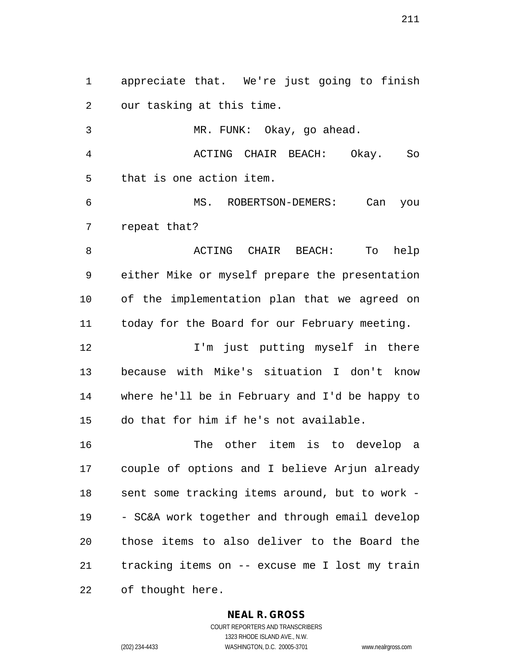appreciate that. We're just going to finish our tasking at this time. MR. FUNK: Okay, go ahead. ACTING CHAIR BEACH: Okay. So that is one action item. MS. ROBERTSON-DEMERS: Can you repeat that? ACTING CHAIR BEACH: To help either Mike or myself prepare the presentation of the implementation plan that we agreed on today for the Board for our February meeting. **I'm** just putting myself in there because with Mike's situation I don't know where he'll be in February and I'd be happy to do that for him if he's not available. The other item is to develop a couple of options and I believe Arjun already sent some tracking items around, but to work - - SC&A work together and through email develop those items to also deliver to the Board the tracking items on -- excuse me I lost my train of thought here.

# **NEAL R. GROSS**

COURT REPORTERS AND TRANSCRIBERS 1323 RHODE ISLAND AVE., N.W. (202) 234-4433 WASHINGTON, D.C. 20005-3701 www.nealrgross.com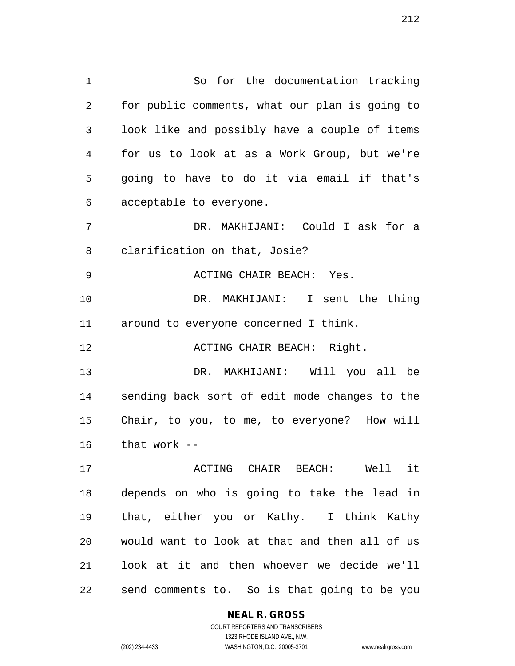So for the documentation tracking for public comments, what our plan is going to look like and possibly have a couple of items for us to look at as a Work Group, but we're going to have to do it via email if that's acceptable to everyone.

 DR. MAKHIJANI: Could I ask for a clarification on that, Josie?

9 ACTING CHAIR BEACH: Yes.

 DR. MAKHIJANI: I sent the thing around to everyone concerned I think.

**ACTING CHAIR BEACH:** Right.

 DR. MAKHIJANI: Will you all be sending back sort of edit mode changes to the Chair, to you, to me, to everyone? How will that work --

 ACTING CHAIR BEACH: Well it depends on who is going to take the lead in that, either you or Kathy. I think Kathy would want to look at that and then all of us look at it and then whoever we decide we'll send comments to. So is that going to be you

**NEAL R. GROSS**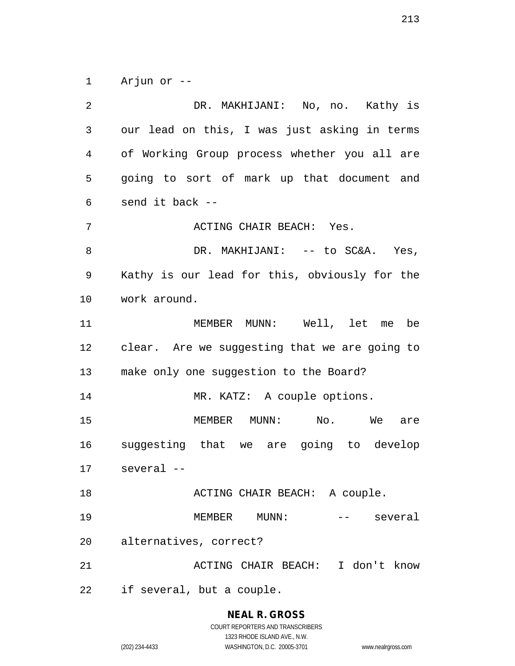Arjun or --

 DR. MAKHIJANI: No, no. Kathy is our lead on this, I was just asking in terms of Working Group process whether you all are going to sort of mark up that document and send it back -- ACTING CHAIR BEACH: Yes. 8 DR. MAKHIJANI: -- to SC&A. Yes, Kathy is our lead for this, obviously for the work around. MEMBER MUNN: Well, let me be clear. Are we suggesting that we are going to make only one suggestion to the Board? MR. KATZ: A couple options. 15 MEMBER MUNN: No. We are suggesting that we are going to develop several -- 18 ACTING CHAIR BEACH: A couple. 19 MEMBER MUNN: -- several alternatives, correct? 21 ACTING CHAIR BEACH: I don't know if several, but a couple.

(202) 234-4433 WASHINGTON, D.C. 20005-3701 www.nealrgross.com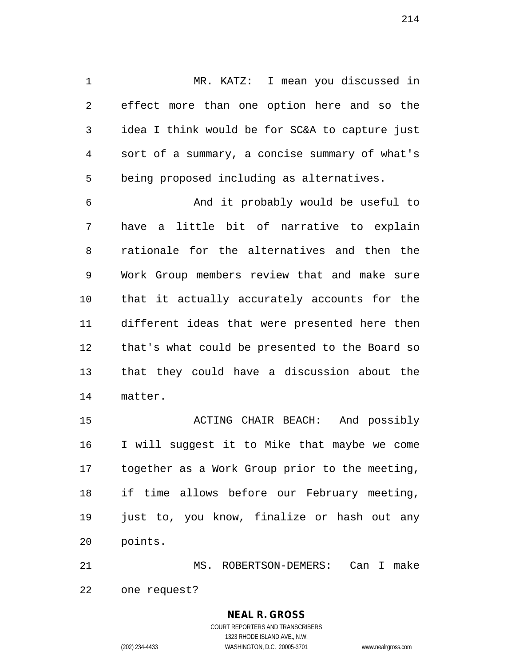MR. KATZ: I mean you discussed in effect more than one option here and so the idea I think would be for SC&A to capture just sort of a summary, a concise summary of what's being proposed including as alternatives.

 And it probably would be useful to have a little bit of narrative to explain rationale for the alternatives and then the Work Group members review that and make sure that it actually accurately accounts for the different ideas that were presented here then that's what could be presented to the Board so that they could have a discussion about the matter.

 ACTING CHAIR BEACH: And possibly I will suggest it to Mike that maybe we come together as a Work Group prior to the meeting, if time allows before our February meeting, just to, you know, finalize or hash out any points.

 MS. ROBERTSON-DEMERS: Can I make one request?

# COURT REPORTERS AND TRANSCRIBERS 1323 RHODE ISLAND AVE., N.W. (202) 234-4433 WASHINGTON, D.C. 20005-3701 www.nealrgross.com

**NEAL R. GROSS**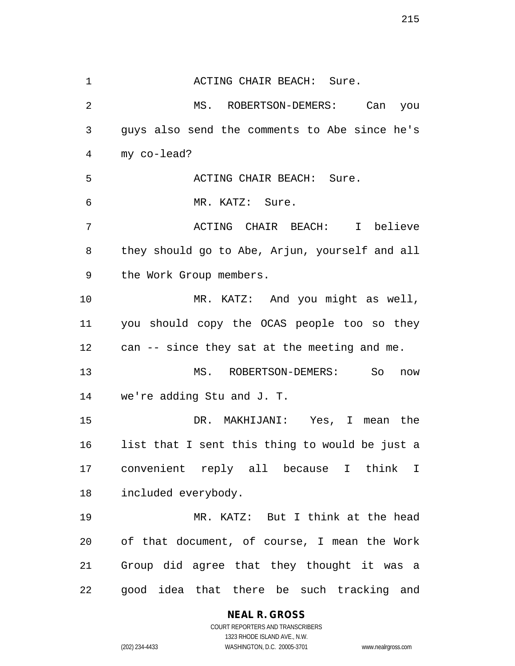1 ACTING CHAIR BEACH: Sure. MS. ROBERTSON-DEMERS: Can you guys also send the comments to Abe since he's my co-lead? ACTING CHAIR BEACH: Sure. MR. KATZ: Sure. ACTING CHAIR BEACH: I believe they should go to Abe, Arjun, yourself and all the Work Group members. MR. KATZ: And you might as well, you should copy the OCAS people too so they can -- since they sat at the meeting and me. MS. ROBERTSON-DEMERS: So now we're adding Stu and J. T. DR. MAKHIJANI: Yes, I mean the list that I sent this thing to would be just a convenient reply all because I think I included everybody. MR. KATZ: But I think at the head of that document, of course, I mean the Work Group did agree that they thought it was a good idea that there be such tracking and

#### **NEAL R. GROSS** COURT REPORTERS AND TRANSCRIBERS

1323 RHODE ISLAND AVE., N.W. (202) 234-4433 WASHINGTON, D.C. 20005-3701 www.nealrgross.com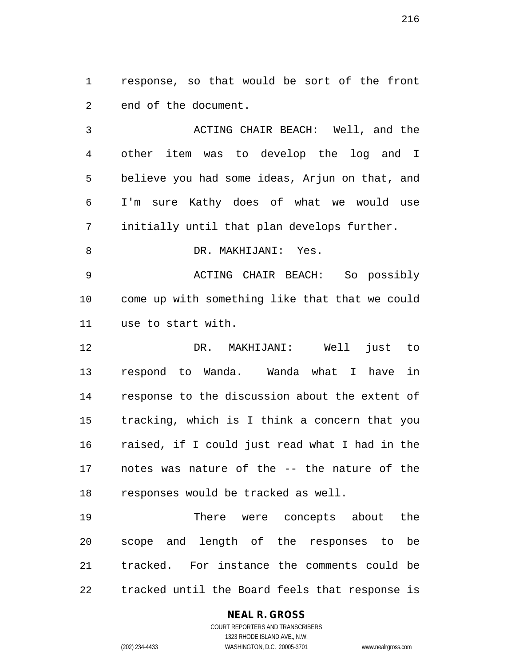response, so that would be sort of the front end of the document.

 ACTING CHAIR BEACH: Well, and the other item was to develop the log and I believe you had some ideas, Arjun on that, and I'm sure Kathy does of what we would use initially until that plan develops further.

8 DR. MAKHIJANI: Yes.

 ACTING CHAIR BEACH: So possibly come up with something like that that we could use to start with.

 DR. MAKHIJANI: Well just to respond to Wanda. Wanda what I have in response to the discussion about the extent of tracking, which is I think a concern that you raised, if I could just read what I had in the notes was nature of the -- the nature of the responses would be tracked as well.

 There were concepts about the scope and length of the responses to be tracked. For instance the comments could be tracked until the Board feels that response is

# **NEAL R. GROSS**

COURT REPORTERS AND TRANSCRIBERS 1323 RHODE ISLAND AVE., N.W. (202) 234-4433 WASHINGTON, D.C. 20005-3701 www.nealrgross.com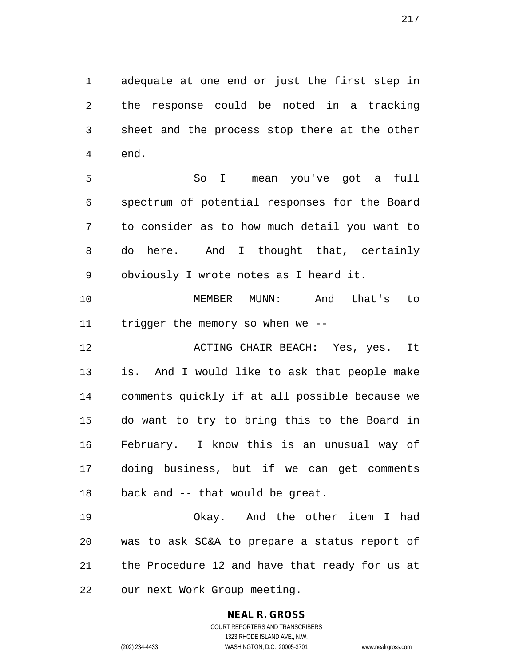adequate at one end or just the first step in the response could be noted in a tracking sheet and the process stop there at the other end.

 So I mean you've got a full spectrum of potential responses for the Board to consider as to how much detail you want to do here. And I thought that, certainly obviously I wrote notes as I heard it.

 MEMBER MUNN: And that's to trigger the memory so when we --

 ACTING CHAIR BEACH: Yes, yes. It is. And I would like to ask that people make comments quickly if at all possible because we do want to try to bring this to the Board in February. I know this is an unusual way of doing business, but if we can get comments back and -- that would be great.

 Okay. And the other item I had was to ask SC&A to prepare a status report of the Procedure 12 and have that ready for us at our next Work Group meeting.

## **NEAL R. GROSS**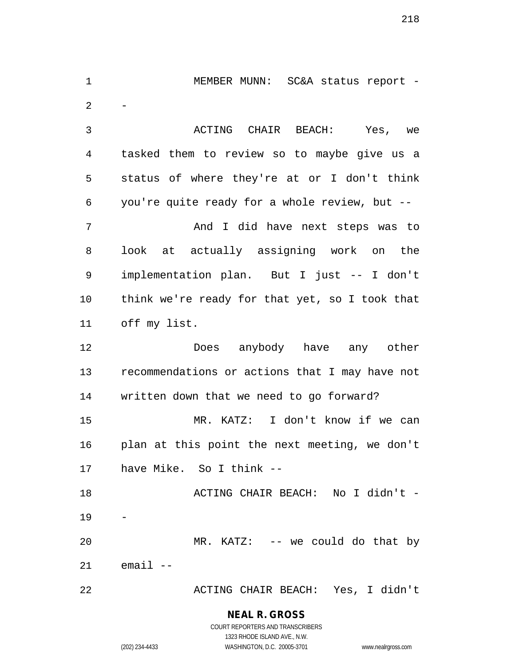1 MEMBER MUNN: SC&A status report - $\overline{2}$  ACTING CHAIR BEACH: Yes, we tasked them to review so to maybe give us a status of where they're at or I don't think you're quite ready for a whole review, but -- And I did have next steps was to look at actually assigning work on the implementation plan. But I just -- I don't think we're ready for that yet, so I took that off my list. Does anybody have any other recommendations or actions that I may have not written down that we need to go forward? MR. KATZ: I don't know if we can plan at this point the next meeting, we don't have Mike. So I think -- 18 ACTING CHAIR BEACH: No I didn't - MR. KATZ: -- we could do that by email -- ACTING CHAIR BEACH: Yes, I didn't

> **NEAL R. GROSS** COURT REPORTERS AND TRANSCRIBERS

> > 1323 RHODE ISLAND AVE., N.W.

(202) 234-4433 WASHINGTON, D.C. 20005-3701 www.nealrgross.com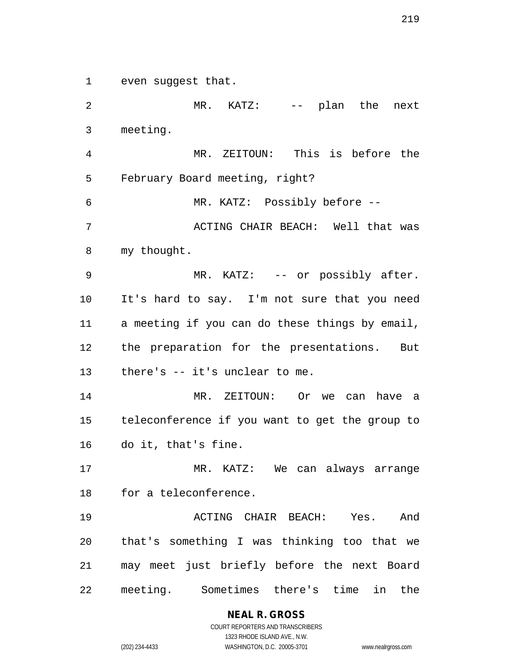even suggest that.

 MR. KATZ: -- plan the next meeting. MR. ZEITOUN: This is before the February Board meeting, right? MR. KATZ: Possibly before -- 7 ACTING CHAIR BEACH: Well that was my thought. 9 MR. KATZ: -- or possibly after. It's hard to say. I'm not sure that you need a meeting if you can do these things by email, the preparation for the presentations. But there's -- it's unclear to me. MR. ZEITOUN: Or we can have a teleconference if you want to get the group to do it, that's fine. MR. KATZ: We can always arrange for a teleconference. ACTING CHAIR BEACH: Yes. And that's something I was thinking too that we may meet just briefly before the next Board meeting. Sometimes there's time in the

> **NEAL R. GROSS** COURT REPORTERS AND TRANSCRIBERS

> > 1323 RHODE ISLAND AVE., N.W.

(202) 234-4433 WASHINGTON, D.C. 20005-3701 www.nealrgross.com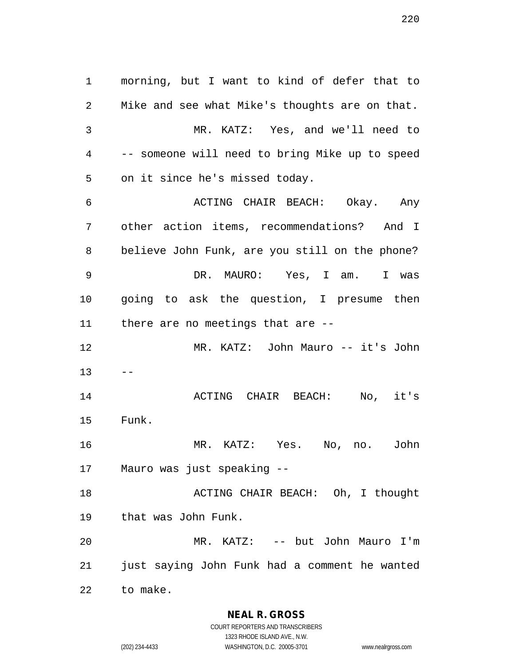morning, but I want to kind of defer that to Mike and see what Mike's thoughts are on that. MR. KATZ: Yes, and we'll need to -- someone will need to bring Mike up to speed on it since he's missed today. ACTING CHAIR BEACH: Okay. Any other action items, recommendations? And I believe John Funk, are you still on the phone? DR. MAURO: Yes, I am. I was going to ask the question, I presume then there are no meetings that are -- MR. KATZ: John Mauro -- it's John  $13 - -$  ACTING CHAIR BEACH: No, it's Funk. MR. KATZ: Yes. No, no. John Mauro was just speaking -- 18 ACTING CHAIR BEACH: Oh, I thought that was John Funk. MR. KATZ: -- but John Mauro I'm just saying John Funk had a comment he wanted

to make.

**NEAL R. GROSS**

COURT REPORTERS AND TRANSCRIBERS 1323 RHODE ISLAND AVE., N.W. (202) 234-4433 WASHINGTON, D.C. 20005-3701 www.nealrgross.com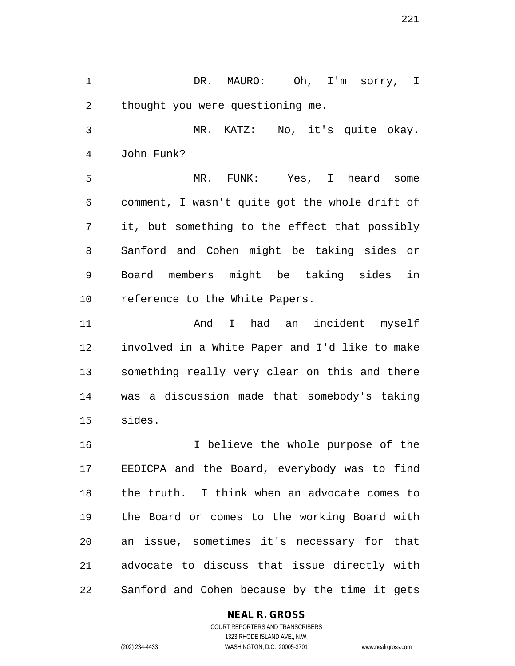DR. MAURO: Oh, I'm sorry, I thought you were questioning me.

 MR. KATZ: No, it's quite okay. John Funk?

 MR. FUNK: Yes, I heard some comment, I wasn't quite got the whole drift of it, but something to the effect that possibly Sanford and Cohen might be taking sides or Board members might be taking sides in reference to the White Papers.

11 And I had an incident myself involved in a White Paper and I'd like to make something really very clear on this and there was a discussion made that somebody's taking sides.

 I believe the whole purpose of the EEOICPA and the Board, everybody was to find the truth. I think when an advocate comes to the Board or comes to the working Board with an issue, sometimes it's necessary for that advocate to discuss that issue directly with Sanford and Cohen because by the time it gets

### **NEAL R. GROSS**

COURT REPORTERS AND TRANSCRIBERS 1323 RHODE ISLAND AVE., N.W. (202) 234-4433 WASHINGTON, D.C. 20005-3701 www.nealrgross.com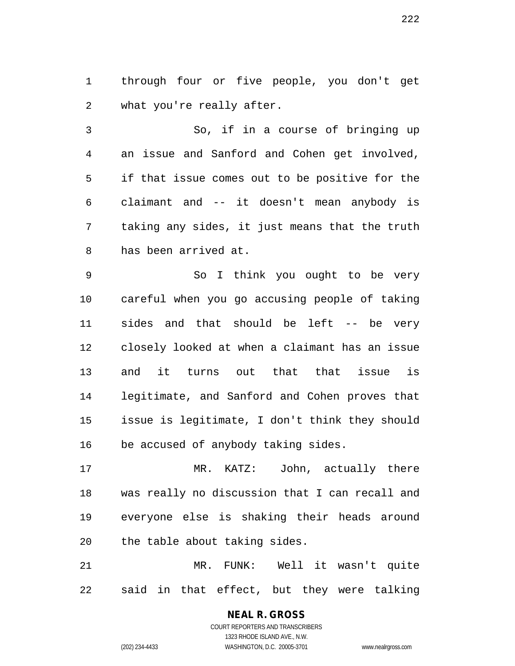through four or five people, you don't get what you're really after.

 So, if in a course of bringing up an issue and Sanford and Cohen get involved, if that issue comes out to be positive for the claimant and -- it doesn't mean anybody is taking any sides, it just means that the truth has been arrived at.

 So I think you ought to be very careful when you go accusing people of taking sides and that should be left -- be very closely looked at when a claimant has an issue and it turns out that that issue is legitimate, and Sanford and Cohen proves that issue is legitimate, I don't think they should be accused of anybody taking sides.

 MR. KATZ: John, actually there was really no discussion that I can recall and everyone else is shaking their heads around the table about taking sides.

 MR. FUNK: Well it wasn't quite said in that effect, but they were talking

# **NEAL R. GROSS**

COURT REPORTERS AND TRANSCRIBERS 1323 RHODE ISLAND AVE., N.W. (202) 234-4433 WASHINGTON, D.C. 20005-3701 www.nealrgross.com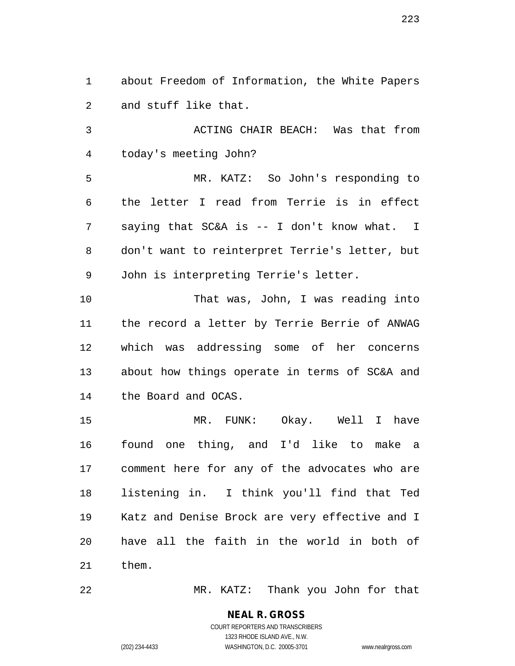about Freedom of Information, the White Papers and stuff like that.

 ACTING CHAIR BEACH: Was that from today's meeting John?

 MR. KATZ: So John's responding to the letter I read from Terrie is in effect saying that SC&A is -- I don't know what. I don't want to reinterpret Terrie's letter, but John is interpreting Terrie's letter.

 That was, John, I was reading into the record a letter by Terrie Berrie of ANWAG which was addressing some of her concerns about how things operate in terms of SC&A and the Board and OCAS.

 MR. FUNK: Okay. Well I have found one thing, and I'd like to make a comment here for any of the advocates who are listening in. I think you'll find that Ted Katz and Denise Brock are very effective and I have all the faith in the world in both of them.

MR. KATZ: Thank you John for that

#### **NEAL R. GROSS** COURT REPORTERS AND TRANSCRIBERS

1323 RHODE ISLAND AVE., N.W.

(202) 234-4433 WASHINGTON, D.C. 20005-3701 www.nealrgross.com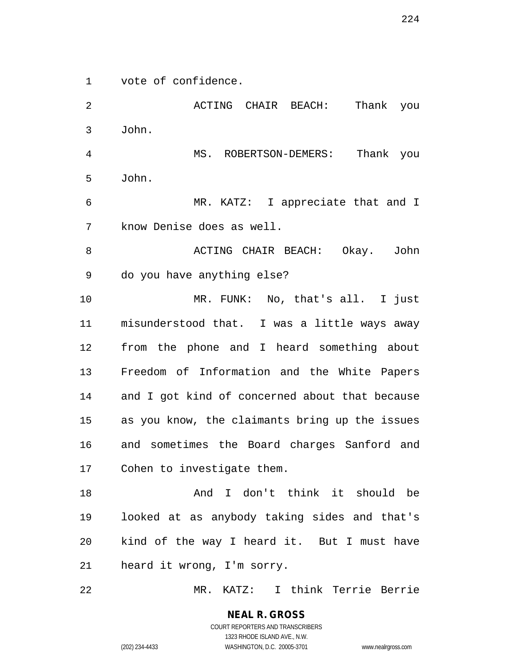vote of confidence.

 ACTING CHAIR BEACH: Thank you John. MS. ROBERTSON-DEMERS: Thank you John. MR. KATZ: I appreciate that and I know Denise does as well. 8 ACTING CHAIR BEACH: Okay. John do you have anything else? MR. FUNK: No, that's all. I just misunderstood that. I was a little ways away from the phone and I heard something about Freedom of Information and the White Papers and I got kind of concerned about that because as you know, the claimants bring up the issues and sometimes the Board charges Sanford and Cohen to investigate them. 18 And I don't think it should be looked at as anybody taking sides and that's kind of the way I heard it. But I must have heard it wrong, I'm sorry.

MR. KATZ: I think Terrie Berrie

**NEAL R. GROSS** COURT REPORTERS AND TRANSCRIBERS 1323 RHODE ISLAND AVE., N.W. (202) 234-4433 WASHINGTON, D.C. 20005-3701 www.nealrgross.com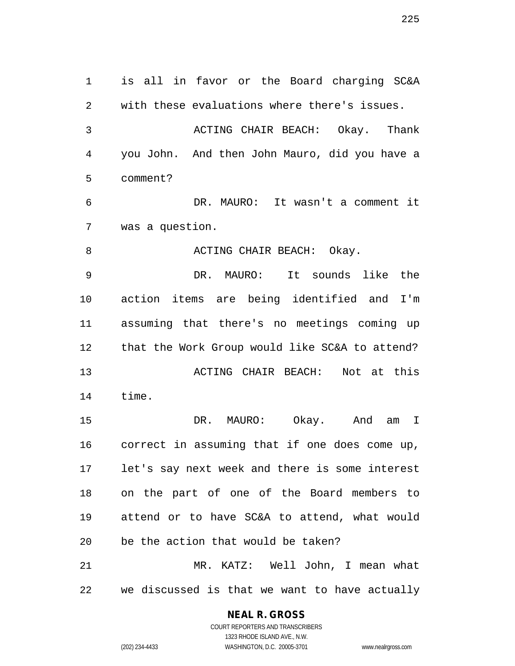is all in favor or the Board charging SC&A with these evaluations where there's issues. ACTING CHAIR BEACH: Okay. Thank you John. And then John Mauro, did you have a comment? DR. MAURO: It wasn't a comment it was a question. 8 ACTING CHAIR BEACH: Okay. DR. MAURO: It sounds like the action items are being identified and I'm assuming that there's no meetings coming up that the Work Group would like SC&A to attend? ACTING CHAIR BEACH: Not at this time. DR. MAURO: Okay. And am I correct in assuming that if one does come up, let's say next week and there is some interest on the part of one of the Board members to attend or to have SC&A to attend, what would be the action that would be taken? MR. KATZ: Well John, I mean what we discussed is that we want to have actually

### **NEAL R. GROSS**

COURT REPORTERS AND TRANSCRIBERS 1323 RHODE ISLAND AVE., N.W. (202) 234-4433 WASHINGTON, D.C. 20005-3701 www.nealrgross.com